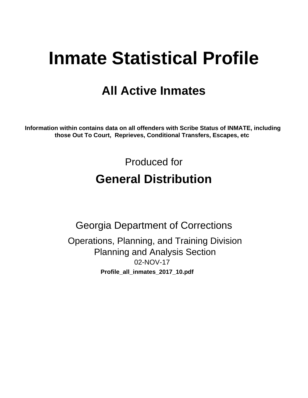# **Inmate Statistical Profile**

## **All Active Inmates**

Information within contains data on all offenders with Scribe Status of INMATE, including those Out To Court, Reprieves, Conditional Transfers, Escapes, etc

> Produced for **General Distribution**

**Georgia Department of Corrections** Operations, Planning, and Training Division **Planning and Analysis Section** 02-NOV-17 Profile\_all\_inmates\_2017\_10.pdf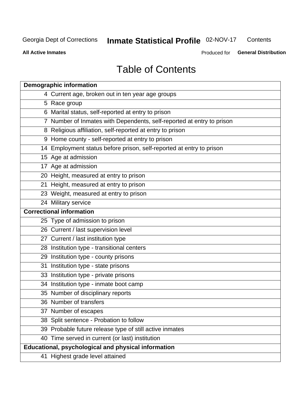#### **Inmate Statistical Profile 02-NOV-17** Contents

**All Active Inmates** 

Produced for General Distribution

## **Table of Contents**

| <b>Demographic information</b>                                        |
|-----------------------------------------------------------------------|
| 4 Current age, broken out in ten year age groups                      |
| 5 Race group                                                          |
| 6 Marital status, self-reported at entry to prison                    |
| 7 Number of Inmates with Dependents, self-reported at entry to prison |
| 8 Religious affiliation, self-reported at entry to prison             |
| 9 Home county - self-reported at entry to prison                      |
| 14 Employment status before prison, self-reported at entry to prison  |
| 15 Age at admission                                                   |
| 17 Age at admission                                                   |
| 20 Height, measured at entry to prison                                |
| 21 Height, measured at entry to prison                                |
| 23 Weight, measured at entry to prison                                |
| 24 Military service                                                   |
| <b>Correctional information</b>                                       |
| 25 Type of admission to prison                                        |
| 26 Current / last supervision level                                   |
| 27 Current / last institution type                                    |
| 28 Institution type - transitional centers                            |
| 29 Institution type - county prisons                                  |
| 31 Institution type - state prisons                                   |
| 33 Institution type - private prisons                                 |
| 34 Institution type - inmate boot camp                                |
| 35 Number of disciplinary reports                                     |
| 36 Number of transfers                                                |
| 37 Number of escapes                                                  |
| 38 Split sentence - Probation to follow                               |
| 39 Probable future release type of still active inmates               |
| 40 Time served in current (or last) institution                       |
| Educational, psychological and physical information                   |
| 41 Highest grade level attained                                       |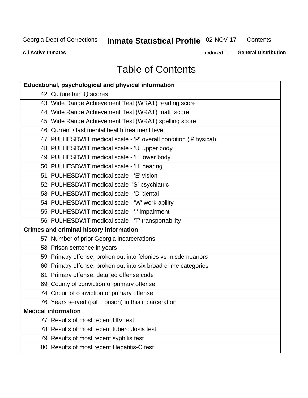## Inmate Statistical Profile 02-NOV-17

Contents

**All Active Inmates** 

Produced for General Distribution

## **Table of Contents**

| <b>Educational, psychological and physical information</b>       |
|------------------------------------------------------------------|
| 42 Culture fair IQ scores                                        |
| 43 Wide Range Achievement Test (WRAT) reading score              |
| 44 Wide Range Achievement Test (WRAT) math score                 |
| 45 Wide Range Achievement Test (WRAT) spelling score             |
| 46 Current / last mental health treatment level                  |
| 47 PULHESDWIT medical scale - 'P' overall condition ('P'hysical) |
| 48 PULHESDWIT medical scale - 'U' upper body                     |
| 49 PULHESDWIT medical scale - 'L' lower body                     |
| 50 PULHESDWIT medical scale - 'H' hearing                        |
| 51 PULHESDWIT medical scale - 'E' vision                         |
| 52 PULHESDWIT medical scale -'S' psychiatric                     |
| 53 PULHESDWIT medical scale - 'D' dental                         |
| 54 PULHESDWIT medical scale - 'W' work ability                   |
| 55 PULHESDWIT medical scale - 'I' impairment                     |
| 56 PULHESDWIT medical scale - 'T' transportability               |
| <b>Crimes and criminal history information</b>                   |
| 57 Number of prior Georgia incarcerations                        |
| 58 Prison sentence in years                                      |
| 59 Primary offense, broken out into felonies vs misdemeanors     |
| 60 Primary offense, broken out into six broad crime categories   |
| 61 Primary offense, detailed offense code                        |
| 69 County of conviction of primary offense                       |
| 74 Circuit of conviction of primary offense                      |
| 76 Years served (jail + prison) in this incarceration            |
| <b>Medical information</b>                                       |
| 77 Results of most recent HIV test                               |
| 78 Results of most recent tuberculosis test                      |
| 79 Results of most recent syphilis test                          |
| 80 Results of most recent Hepatitis-C test                       |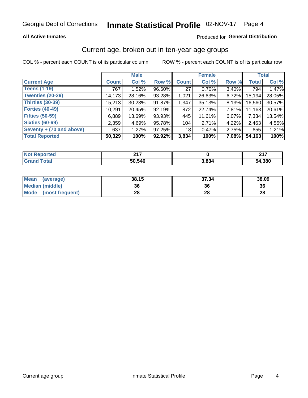## Inmate Statistical Profile 02-NOV-17 Page 4

## **All Active Inmates**

## Produced for General Distribution

## Current age, broken out in ten-year age groups

COL % - percent each COUNT is of its particular column

|                          | <b>Male</b>  |        |        | <b>Female</b> |          |          | <b>Total</b> |        |
|--------------------------|--------------|--------|--------|---------------|----------|----------|--------------|--------|
| <b>Current Age</b>       | <b>Count</b> | Col %  | Row %  | <b>Count</b>  | Col %    | Row %    | <b>Total</b> | Col %  |
| <b>Teens (1-19)</b>      | 767          | 1.52%  | 96.60% | 27            | $0.70\%$ | 3.40%    | 794          | 1.47%  |
| <b>Twenties (20-29)</b>  | 14,173       | 28.16% | 93.28% | 1,021         | 26.63%   | 6.72%    | 15,194       | 28.05% |
| Thirties (30-39)         | 15,213       | 30.23% | 91.87% | 1,347         | 35.13%   | $8.13\%$ | 16,560       | 30.57% |
| <b>Forties (40-49)</b>   | 10,291       | 20.45% | 92.19% | 872           | 22.74%   | 7.81%    | 11,163       | 20.61% |
| <b>Fifties (50-59)</b>   | 6,889        | 13.69% | 93.93% | 445           | 11.61%   | 6.07%    | 7,334        | 13.54% |
| <b>Sixties (60-69)</b>   | 2,359        | 4.69%  | 95.78% | 104           | 2.71%    | 4.22%    | 2,463        | 4.55%  |
| Seventy + (70 and above) | 637          | 1.27%  | 97.25% | 18            | 0.47%    | $2.75\%$ | 655          | 1.21%  |
| <b>Total Reported</b>    | 50,329       | 100%   | 92.92% | 3,834         | 100%     | 7.08%    | 54,163       | 100%   |

| <b>Not</b><br>المستعلمات<br>τeα | 047    |       | 247    |
|---------------------------------|--------|-------|--------|
| $T0+0'$                         | 50 54F | 1.834 | 54,380 |

| <b>Mean</b><br>(average) | 38.15 | 37.34 | 38.09 |
|--------------------------|-------|-------|-------|
| Median (middle)          | 36    | 36    | 36    |
| Mode<br>(most frequent)  | 28    | 28    | 28    |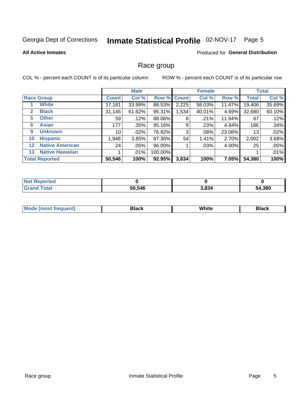#### Inmate Statistical Profile 02-NOV-17 Page 5

### **All Active Inmates**

## **Produced for General Distribution**

## Race group

COL % - percent each COUNT is of its particular column

|                   |                        | <b>Male</b>     |         |           | <b>Female</b> |        |        | <b>Total</b> |        |
|-------------------|------------------------|-----------------|---------|-----------|---------------|--------|--------|--------------|--------|
|                   | <b>Race Group</b>      | <b>Count</b>    | Col %   |           | Row % Count   | Col %  | Row %  | <b>Total</b> | Col %  |
|                   | <b>White</b>           | 17,181          | 33.99%  | 88.53%    | 2,225         | 58.03% | 11.47% | 19,406       | 35.69% |
| $\mathbf{2}$      | <b>Black</b>           | 31,146          | 61.62%  | 95.31%    | 1,534         | 40.01% | 4.69%  | 32,680       | 60.10% |
| 5.                | <b>Other</b>           | 59 <sup>1</sup> | .12%    | 88.06%    | 8             | .21%   | 11.94% | 67           | .12%   |
| 6                 | <b>Asian</b>           | 177             | .35%    | 95.16%    | 9             | .23%   | 4.84%  | 186          | .34%   |
| 9                 | <b>Unknown</b>         | 10              | $.02\%$ | 76.92%    | 3             | .08%   | 23.08% | 13           | .02%   |
| 10                | <b>Hispanic</b>        | 1,948           | 3.85%   | 97.30%    | 54            | 1.41%  | 2.70%  | 2,002        | 3.68%  |
| $12 \overline{ }$ | <b>Native American</b> | 24              | $.05\%$ | 96.00%    |               | .03%   | 4.00%  | 25           | .05%   |
| 13                | <b>Native Hawaiian</b> |                 | .01%    | 100.00%   |               |        |        |              | .01%   |
|                   | <b>Total Reported</b>  | 50,546          | 100%    | $92.95\%$ | 3,834         | 100%   | 7.05%I | 54,380       | 100%   |

| <b>Not Reported</b> |        |       |        |
|---------------------|--------|-------|--------|
| <b>Grand Total</b>  | 50,546 | 3,834 | 54,380 |

| <b>Mode</b><br>---<br>most frequent) | Black | White | <b>Black</b> |
|--------------------------------------|-------|-------|--------------|
|                                      |       |       |              |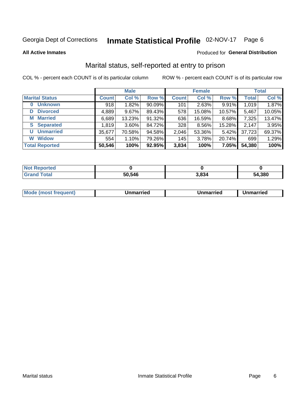## Inmate Statistical Profile 02-NOV-17 Page 6

**All Active Inmates** 

## Produced for General Distribution

## Marital status, self-reported at entry to prison

COL % - percent each COUNT is of its particular column

|                            | <b>Male</b>  |          |        | <b>Female</b> |        |        | <b>Total</b> |        |
|----------------------------|--------------|----------|--------|---------------|--------|--------|--------------|--------|
| <b>Marital Status</b>      | <b>Count</b> | Col %    | Row %  | <b>Count</b>  | Col %  | Row %  | <b>Total</b> | Col %  |
| <b>Unknown</b><br>$\bf{0}$ | 918          | 1.82%    | 90.09% | 101           | 2.63%  | 9.91%  | 1,019        | 1.87%  |
| <b>Divorced</b><br>D       | 4,889        | $9.67\%$ | 89.43% | 578           | 15.08% | 10.57% | 5,467        | 10.05% |
| <b>Married</b><br>М        | 6,689        | 13.23%   | 91.32% | 636           | 16.59% | 8.68%  | 7,325        | 13.47% |
| <b>Separated</b><br>S      | 1,819        | 3.60%    | 84.72% | 328           | 8.56%  | 15.28% | 2,147        | 3.95%  |
| <b>Unmarried</b><br>U      | 35,677       | 70.58%   | 94.58% | 2,046         | 53.36% | 5.42%  | 37,723       | 69.37% |
| <b>Widow</b><br>W          | 554          | 1.10%    | 79.26% | 145           | 3.78%  | 20.74% | 699          | 1.29%  |
| <b>Total Reported</b>      | 50,546       | 100%     | 92.95% | 3,834         | 100%   | 7.05%  | 54,380       | 100%   |

| <b>Not Repo</b><br><b>ported</b> |        |       |        |
|----------------------------------|--------|-------|--------|
| <b>Total</b>                     | 50.546 | 3,834 | 54,380 |

| <b>Mode (most frequent)</b><br>Unmarried<br>Unmarried<br>Jnmarried |
|--------------------------------------------------------------------|
|--------------------------------------------------------------------|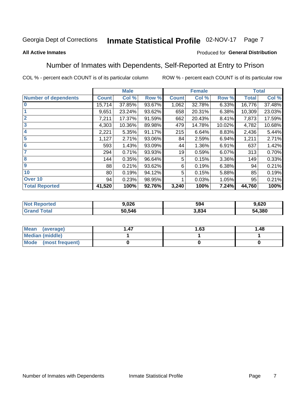#### Inmate Statistical Profile 02-NOV-17 Page 7

### **All Active Inmates**

## Produced for General Distribution

## Number of Inmates with Dependents, Self-Reported at Entry to Prison

COL % - percent each COUNT is of its particular column

|                             |              | <b>Male</b> |        |              | <b>Female</b> |        |              | <b>Total</b> |
|-----------------------------|--------------|-------------|--------|--------------|---------------|--------|--------------|--------------|
| <b>Number of dependents</b> | <b>Count</b> | Col %       | Row %  | <b>Count</b> | Col %         | Row %  | <b>Total</b> | Col %        |
| l 0                         | 15,714       | 37.85%      | 93.67% | 1,062        | 32.78%        | 6.33%  | 16,776       | 37.48%       |
|                             | 9,651        | 23.24%      | 93.62% | 658          | 20.31%        | 6.38%  | 10,309       | 23.03%       |
| $\overline{2}$              | 7,211        | 17.37%      | 91.59% | 662          | 20.43%        | 8.41%  | 7,873        | 17.59%       |
| $\overline{\mathbf{3}}$     | 4,303        | 10.36%      | 89.98% | 479          | 14.78%        | 10.02% | 4,782        | 10.68%       |
| 4                           | 2,221        | 5.35%       | 91.17% | 215          | 6.64%         | 8.83%  | 2,436        | 5.44%        |
| 5                           | 1,127        | 2.71%       | 93.06% | 84           | 2.59%         | 6.94%  | 1,211        | 2.71%        |
| 6                           | 593          | 1.43%       | 93.09% | 44           | 1.36%         | 6.91%  | 637          | 1.42%        |
| 7                           | 294          | 0.71%       | 93.93% | 19           | 0.59%         | 6.07%  | 313          | 0.70%        |
| 8                           | 144          | 0.35%       | 96.64% | 5            | 0.15%         | 3.36%  | 149          | 0.33%        |
| 9                           | 88           | 0.21%       | 93.62% | 6            | 0.19%         | 6.38%  | 94           | 0.21%        |
| 10                          | 80           | 0.19%       | 94.12% | 5            | 0.15%         | 5.88%  | 85           | 0.19%        |
| Over 10                     | 94           | 0.23%       | 98.95% |              | 0.03%         | 1.05%  | 95           | 0.21%        |
| <b>Total Reported</b>       | 41,520       | 100%        | 92.76% | 3,240        | 100%          | 7.24%  | 44,760       | 100%         |

| w. | 9.026  | 594   | 9,620  |
|----|--------|-------|--------|
|    | 50.546 | 1,834 | 54,380 |

| Mean (average)         | 1.63 | 1.48 |
|------------------------|------|------|
| <b>Median (middle)</b> |      |      |
| Mode (most frequent)   |      |      |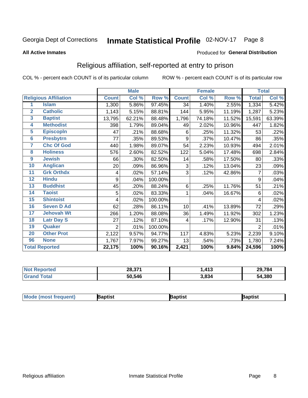#### Inmate Statistical Profile 02-NOV-17 Page 8

### **All Active Inmates**

### Produced for General Distribution

## Religious affiliation, self-reported at entry to prison

COL % - percent each COUNT is of its particular column

|                  |                              |                | <b>Male</b> |         |              | <b>Female</b> |        |                     | <b>Total</b> |
|------------------|------------------------------|----------------|-------------|---------|--------------|---------------|--------|---------------------|--------------|
|                  | <b>Religious Affiliation</b> | <b>Count</b>   | Col %       | Row %   | <b>Count</b> | Col %         | Row %  | <b>Total</b>        | Col %        |
| 1                | <b>Islam</b>                 | 1,300          | 5.86%       | 97.45%  | 34           | 1.40%         | 2.55%  | 1,334               | 5.42%        |
| $\overline{2}$   | <b>Catholic</b>              | 1,143          | 5.15%       | 88.81%  | 144          | 5.95%         | 11.19% | 1,287               | 5.23%        |
| 3                | <b>Baptist</b>               | 13,795         | 62.21%      | 88.48%  | 1,796        | 74.18%        | 11.52% | 15,591              | 63.39%       |
| 4                | <b>Methodist</b>             | 398            | 1.79%       | 89.04%  | 49           | 2.02%         | 10.96% | 447                 | 1.82%        |
| $\overline{5}$   | <b>EpiscopIn</b>             | 47             | .21%        | 88.68%  | 6            | .25%          | 11.32% | 53                  | .22%         |
| $6\phantom{1}6$  | <b>Presbytrn</b>             | 77             | .35%        | 89.53%  | 9            | .37%          | 10.47% | 86                  | .35%         |
| 7                | <b>Chc Of God</b>            | 440            | 1.98%       | 89.07%  | 54           | 2.23%         | 10.93% | 494                 | 2.01%        |
| 8                | <b>Holiness</b>              | 576            | 2.60%       | 82.52%  | 122          | 5.04%         | 17.48% | 698                 | 2.84%        |
| $\boldsymbol{9}$ | <b>Jewish</b>                | 66             | .30%        | 82.50%  | 14           | .58%          | 17.50% | 80                  | .33%         |
| 10               | <b>Anglican</b>              | 20             | .09%        | 86.96%  | 3            | .12%          | 13.04% | 23                  | .09%         |
| 11               | <b>Grk Orthdx</b>            | 4              | .02%        | 57.14%  | 3            | .12%          | 42.86% | 7                   | .03%         |
| 12               | <b>Hindu</b>                 | 9              | .04%        | 100.00% |              |               |        | 9                   | .04%         |
| 13               | <b>Buddhist</b>              | 45             | .20%        | 88.24%  | 6            | .25%          | 11.76% | 51                  | .21%         |
| 14               | <b>Taoist</b>                | 5              | .02%        | 83.33%  | 1            | .04%          | 16.67% | 6                   | .02%         |
| 15               | <b>Shintoist</b>             | 4              | .02%        | 100.00% |              |               |        | 4                   | .02%         |
| 16               | <b>Seven D Ad</b>            | 62             | .28%        | 86.11%  | 10           | .41%          | 13.89% | 72                  | .29%         |
| 17               | <b>Jehovah Wt</b>            | 266            | 1.20%       | 88.08%  | 36           | 1.49%         | 11.92% | 302                 | 1.23%        |
| 18               | <b>Latr Day S</b>            | 27             | .12%        | 87.10%  | 4            | .17%          | 12.90% | 31                  | .13%         |
| 19               | Quaker                       | $\overline{2}$ | .01%        | 100.00% |              |               |        | $\overline{2}$      | .01%         |
| 20               | <b>Other Prot</b>            | 2,122          | 9.57%       | 94.77%  | 117          | 4.83%         | 5.23%  | 2,239               | 9.10%        |
| 96               | <b>None</b>                  | 1,767          | 7.97%       | 99.27%  | 13           | .54%          | .73%   | 1,780               | 7.24%        |
|                  | <b>Total Reported</b>        | 22,175         | 100%        | 90.16%  | 2,421        | 100%          | 9.84%  | $\overline{24,596}$ | 100%         |

| Reported<br>NO. | 28,371 | .413  | 29,784 |
|-----------------|--------|-------|--------|
| <b>otal</b>     | 50,546 | 3,834 | 54,380 |

|  | <b>Mode (most frequent)</b> | าptist | <b>3aptist</b> | 3aptist |
|--|-----------------------------|--------|----------------|---------|
|--|-----------------------------|--------|----------------|---------|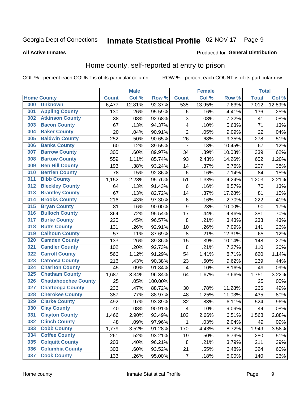## Inmate Statistical Profile 02-NOV-17 Page 9

### **All Active Inmates**

### Produced for General Distribution

## Home county, self-reported at entry to prison

COL % - percent each COUNT is of its particular column

|     |                             |              | <b>Male</b> |                  |                  | <b>Female</b> |        | <b>Total</b> |        |
|-----|-----------------------------|--------------|-------------|------------------|------------------|---------------|--------|--------------|--------|
|     | <b>Home County</b>          | <b>Count</b> | Col %       | Row <sup>%</sup> | <b>Count</b>     | Col %         | Row %  | <b>Total</b> | Col %  |
| 000 | <b>Unknown</b>              | 6,477        | 12.81%      | 92.37%           | 535              | 13.95%        | 7.63%  | 7,012        | 12.89% |
| 001 | <b>Appling County</b>       | 130          | .26%        | 95.59%           | $\,6$            | .16%          | 4.41%  | 136          | .25%   |
| 002 | <b>Atkinson County</b>      | 38           | .08%        | 92.68%           | 3                | .08%          | 7.32%  | 41           | .08%   |
| 003 | <b>Bacon County</b>         | 67           | .13%        | 94.37%           | 4                | .10%          | 5.63%  | 71           | .13%   |
| 004 | <b>Baker County</b>         | 20           | .04%        | 90.91%           | $\overline{2}$   | .05%          | 9.09%  | 22           | .04%   |
| 005 | <b>Baldwin County</b>       | 252          | .50%        | 90.65%           | 26               | .68%          | 9.35%  | 278          | .51%   |
| 006 | <b>Banks County</b>         | 60           | .12%        | 89.55%           | $\overline{7}$   | .18%          | 10.45% | 67           | .12%   |
| 007 | <b>Barrow County</b>        | 305          | .60%        | 89.97%           | 34               | .89%          | 10.03% | 339          | .62%   |
| 008 | <b>Bartow County</b>        | 559          | 1.11%       | 85.74%           | 93               | 2.43%         | 14.26% | 652          | 1.20%  |
| 009 | <b>Ben Hill County</b>      | 193          | .38%        | 93.24%           | 14               | .37%          | 6.76%  | 207          | .38%   |
| 010 | <b>Berrien County</b>       | 78           | .15%        | 92.86%           | $\,6$            | .16%          | 7.14%  | 84           | .15%   |
| 011 | <b>Bibb County</b>          | 1,152        | 2.28%       | 95.76%           | 51               | 1.33%         | 4.24%  | 1,203        | 2.21%  |
| 012 | <b>Bleckley County</b>      | 64           | .13%        | 91.43%           | 6                | .16%          | 8.57%  | 70           | .13%   |
| 013 | <b>Brantley County</b>      | 67           | .13%        | 82.72%           | 14               | .37%          | 17.28% | 81           | .15%   |
| 014 | <b>Brooks County</b>        | 216          | .43%        | 97.30%           | $\,6$            | .16%          | 2.70%  | 222          | .41%   |
| 015 | <b>Bryan County</b>         | 81           | .16%        | 90.00%           | $\boldsymbol{9}$ | .23%          | 10.00% | 90           | .17%   |
| 016 | <b>Bulloch County</b>       | 364          | .72%        | 95.54%           | 17               | .44%          | 4.46%  | 381          | .70%   |
| 017 | <b>Burke County</b>         | 225          | .45%        | 96.57%           | $\bf 8$          | .21%          | 3.43%  | 233          | .43%   |
| 018 | <b>Butts County</b>         | 131          | .26%        | 92.91%           | 10               | .26%          | 7.09%  | 141          | .26%   |
| 019 | <b>Calhoun County</b>       | 57           | .11%        | 87.69%           | 8                | .21%          | 12.31% | 65           | .12%   |
| 020 | <b>Camden County</b>        | 133          | .26%        | 89.86%           | 15               | .39%          | 10.14% | 148          | .27%   |
| 021 | <b>Candler County</b>       | 102          | .20%        | 92.73%           | 8                | .21%          | 7.27%  | 110          | .20%   |
| 022 | <b>Carroll County</b>       | 566          | 1.12%       | 91.29%           | 54               | 1.41%         | 8.71%  | 620          | 1.14%  |
| 023 | <b>Catoosa County</b>       | 216          | .43%        | 90.38%           | 23               | .60%          | 9.62%  | 239          | .44%   |
| 024 | <b>Charlton County</b>      | 45           | .09%        | 91.84%           | 4                | .10%          | 8.16%  | 49           | .09%   |
| 025 | <b>Chatham County</b>       | 1,687        | 3.34%       | 96.34%           | 64               | 1.67%         | 3.66%  | 1,751        | 3.22%  |
| 026 | <b>Chattahoochee County</b> | 25           | .05%        | 100.00%          |                  |               |        | 25           | .05%   |
| 027 | <b>Chattooga County</b>     | 236          | .47%        | 88.72%           | 30               | .78%          | 11.28% | 266          | .49%   |
| 028 | <b>Cherokee County</b>      | 387          | .77%        | 88.97%           | 48               | 1.25%         | 11.03% | 435          | .80%   |
| 029 | <b>Clarke County</b>        | 492          | .97%        | 93.89%           | 32               | .83%          | 6.11%  | 524          | .96%   |
| 030 | <b>Clay County</b>          | 40           | .08%        | 90.91%           | $\overline{4}$   | .10%          | 9.09%  | 44           | .08%   |
| 031 | <b>Clayton County</b>       | 1,466        | 2.90%       | 93.49%           | 102              | 2.66%         | 6.51%  | 1,568        | 2.88%  |
| 032 | <b>Clinch County</b>        | 48           | .09%        | 97.96%           | 1                | .03%          | 2.04%  | 49           | .09%   |
| 033 | <b>Cobb County</b>          | 1,779        | 3.52%       | 91.28%           | 170              | 4.43%         | 8.72%  | 1,949        | 3.58%  |
| 034 | <b>Coffee County</b>        | 261          | .52%        | 93.21%           | 19               | .50%          | 6.79%  | 280          | .51%   |
| 035 | <b>Colquitt County</b>      | 203          | .40%        | 96.21%           | 8                | .21%          | 3.79%  | 211          | .39%   |
| 036 | <b>Columbia County</b>      | 303          | .60%        | 93.52%           | 21               | .55%          | 6.48%  | 324          | .60%   |
| 037 | <b>Cook County</b>          | 133          | .26%        | 95.00%           | $\overline{7}$   | .18%          | 5.00%  | 140          | .26%   |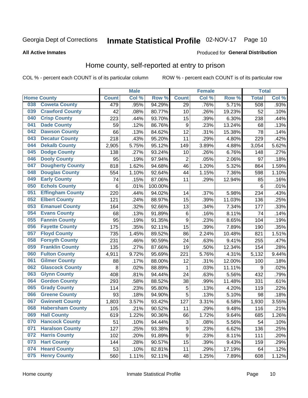#### Inmate Statistical Profile 02-NOV-17 Page 10

### **All Active Inmates**

### Produced for General Distribution

## Home county, self-reported at entry to prison

COL % - percent each COUNT is of its particular column

|     |                         |              | <b>Male</b> |                  |                  | <b>Female</b> |        | <b>Total</b>    |                     |
|-----|-------------------------|--------------|-------------|------------------|------------------|---------------|--------|-----------------|---------------------|
|     | <b>Home County</b>      | <b>Count</b> | Col%        | Row <sup>%</sup> | <b>Count</b>     | Col %         | Row %  | <b>Total</b>    | Col %               |
| 038 | <b>Coweta County</b>    | 479          | .95%        | 94.29%           | 29               | .76%          | 5.71%  | 508             | .93%                |
| 039 | <b>Crawford County</b>  | 42           | .08%        | 80.77%           | 10               | .26%          | 19.23% | 52              | .10%                |
| 040 | <b>Crisp County</b>     | 223          | .44%        | 93.70%           | 15               | .39%          | 6.30%  | 238             | .44%                |
| 041 | <b>Dade County</b>      | 59           | .12%        | 86.76%           | $\boldsymbol{9}$ | .23%          | 13.24% | 68              | .13%                |
| 042 | <b>Dawson County</b>    | 66           | .13%        | 84.62%           | 12               | .31%          | 15.38% | 78              | .14%                |
| 043 | <b>Decatur County</b>   | 218          | .43%        | 95.20%           | 11               | .29%          | 4.80%  | 229             | .42%                |
| 044 | <b>Dekalb County</b>    | 2,905        | 5.75%       | 95.12%           | 149              | 3.89%         | 4.88%  | 3,054           | 5.62%               |
| 045 | <b>Dodge County</b>     | 138          | .27%        | 93.24%           | 10               | .26%          | 6.76%  | 148             | .27%                |
| 046 | <b>Dooly County</b>     | 95           | .19%        | 97.94%           | $\overline{2}$   | .05%          | 2.06%  | 97              | .18%                |
| 047 | <b>Dougherty County</b> | 818          | 1.62%       | 94.68%           | 46               | 1.20%         | 5.32%  | 864             | 1.59%               |
| 048 | <b>Douglas County</b>   | 554          | 1.10%       | 92.64%           | 44               | 1.15%         | 7.36%  | 598             | 1.10%               |
| 049 | <b>Early County</b>     | 74           | .15%        | 87.06%           | 11               | .29%          | 12.94% | 85              | .16%                |
| 050 | <b>Echols County</b>    | 6            | .01%        | 100.00%          |                  |               |        | $6\phantom{1}6$ | .01%                |
| 051 | <b>Effingham County</b> | 220          | .44%        | 94.02%           | 14               | .37%          | 5.98%  | 234             | .43%                |
| 052 | <b>Elbert County</b>    | 121          | .24%        | 88.97%           | 15               | .39%          | 11.03% | 136             | .25%                |
| 053 | <b>Emanuel County</b>   | 164          | .32%        | 92.66%           | 13               | .34%          | 7.34%  | 177             | .33%                |
| 054 | <b>Evans County</b>     | 68           | .13%        | 91.89%           | 6                | .16%          | 8.11%  | 74              | .14%                |
| 055 | <b>Fannin County</b>    | 95           | .19%        | 91.35%           | $\boldsymbol{9}$ | .23%          | 8.65%  | 104             | .19%                |
| 056 | <b>Fayette County</b>   | 175          | .35%        | 92.11%           | 15               | .39%          | 7.89%  | 190             | .35%                |
| 057 | <b>Floyd County</b>     | 735          | 1.45%       | 89.52%           | 86               | 2.24%         | 10.48% | 821             | 1.51%               |
| 058 | <b>Forsyth County</b>   | 231          | .46%        | 90.59%           | 24               | .63%          | 9.41%  | 255             | .47%                |
| 059 | <b>Franklin County</b>  | 135          | .27%        | 87.66%           | 19               | .50%          | 12.34% | 154             | .28%                |
| 060 | <b>Fulton County</b>    | 4,911        | 9.72%       | 95.69%           | 221              | 5.76%         | 4.31%  | 5,132           | $\overline{9.44\%}$ |
| 061 | <b>Gilmer County</b>    | 88           | .17%        | 88.00%           | 12               | .31%          | 12.00% | 100             | .18%                |
| 062 | <b>Glascock County</b>  | 8            | .02%        | 88.89%           | 1                | .03%          | 11.11% | 9               | .02%                |
| 063 | <b>Glynn County</b>     | 408          | .81%        | 94.44%           | 24               | .63%          | 5.56%  | 432             | .79%                |
| 064 | <b>Gordon County</b>    | 293          | .58%        | 88.52%           | 38               | .99%          | 11.48% | 331             | .61%                |
| 065 | <b>Grady County</b>     | 114          | .23%        | 95.80%           | 5                | .13%          | 4.20%  | 119             | .22%                |
| 066 | <b>Greene County</b>    | 93           | .18%        | 94.90%           | 5                | .13%          | 5.10%  | 98              | .18%                |
| 067 | <b>Gwinnett County</b>  | 1,803        | 3.57%       | 93.42%           | 127              | 3.31%         | 6.58%  | 1,930           | 3.55%               |
| 068 | <b>Habersham County</b> | 105          | .21%        | 90.52%           | 11               | .29%          | 9.48%  | 116             | .21%                |
| 069 | <b>Hall County</b>      | 619          | 1.22%       | 90.36%           | 66               | 1.72%         | 9.64%  | 685             | 1.26%               |
| 070 | <b>Hancock County</b>   | 51           | .10%        | 94.44%           | 3                | .08%          | 5.56%  | 54              | .10%                |
| 071 | <b>Haralson County</b>  | 127          | .25%        | 93.38%           | 9                | .23%          | 6.62%  | 136             | .25%                |
| 072 | <b>Harris County</b>    | 102          | .20%        | 91.89%           | $\boldsymbol{9}$ | .23%          | 8.11%  | 111             | .20%                |
| 073 | <b>Hart County</b>      | 144          | .28%        | 90.57%           | 15               | .39%          | 9.43%  | 159             | .29%                |
| 074 | <b>Heard County</b>     | 53           | .10%        | 82.81%           | 11               | .29%          | 17.19% | 64              | .12%                |
| 075 | <b>Henry County</b>     | 560          | 1.11%       | 92.11%           | 48               | 1.25%         | 7.89%  | 608             | 1.12%               |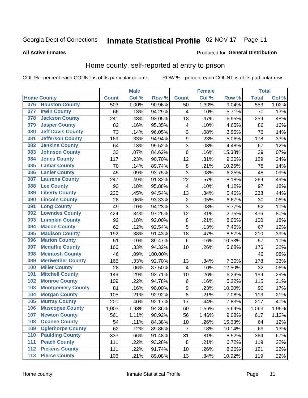## Inmate Statistical Profile 02-NOV-17 Page 11

**All Active Inmates** 

## **Produced for General Distribution**

## Home county, self-reported at entry to prison

COL % - percent each COUNT is of its particular column

|                  |                          |              | <b>Male</b> |                  |                         | <b>Female</b> |        | <b>Total</b> |       |
|------------------|--------------------------|--------------|-------------|------------------|-------------------------|---------------|--------|--------------|-------|
|                  | <b>Home County</b>       | <b>Count</b> | Col %       | Row <sup>%</sup> | <b>Count</b>            | Col %         | Row %  | <b>Total</b> | Col % |
| 076              | <b>Houston County</b>    | 503          | 1.00%       | 90.96%           | 50                      | 1.30%         | 9.04%  | 553          | 1.02% |
| 077              | <b>Irwin County</b>      | 66           | .13%        | 94.29%           | 4                       | .10%          | 5.71%  | 70           | .13%  |
| 078              | <b>Jackson County</b>    | 241          | .48%        | 93.05%           | 18                      | .47%          | 6.95%  | 259          | .48%  |
| 079              | <b>Jasper County</b>     | 82           | .16%        | 95.35%           | 4                       | .10%          | 4.65%  | 86           | .16%  |
| 080              | <b>Jeff Davis County</b> | 73           | .14%        | 96.05%           | 3                       | .08%          | 3.95%  | 76           | .14%  |
| 081              | <b>Jefferson County</b>  | 169          | .33%        | 94.94%           | $\mathsf 9$             | .23%          | 5.06%  | 178          | .33%  |
| 082              | <b>Jenkins County</b>    | 64           | .13%        | 95.52%           | 3                       | .08%          | 4.48%  | 67           | .12%  |
| 083              | <b>Johnson County</b>    | 33           | .07%        | 84.62%           | 6                       | .16%          | 15.38% | 39           | .07%  |
| 084              | <b>Jones County</b>      | 117          | .23%        | 90.70%           | 12                      | .31%          | 9.30%  | 129          | .24%  |
| 085              | <b>Lamar County</b>      | 70           | .14%        | 89.74%           | $\bf 8$                 | .21%          | 10.26% | 78           | .14%  |
| 086              | <b>Lanier County</b>     | 45           | .09%        | 93.75%           | 3                       | .08%          | 6.25%  | 48           | .09%  |
| 087              | <b>Laurens County</b>    | 247          | .49%        | 91.82%           | 22                      | .57%          | 8.18%  | 269          | .49%  |
| 088              | <b>Lee County</b>        | 93           | .18%        | 95.88%           | $\overline{\mathbf{4}}$ | .10%          | 4.12%  | 97           | .18%  |
| 089              | <b>Liberty County</b>    | 225          | .45%        | 94.54%           | 13                      | .34%          | 5.46%  | 238          | .44%  |
| 090              | <b>Lincoln County</b>    | 28           | .06%        | 93.33%           | $\overline{c}$          | .05%          | 6.67%  | 30           | .06%  |
| 091              | <b>Long County</b>       | 49           | .10%        | 94.23%           | 3                       | .08%          | 5.77%  | 52           | .10%  |
| 092              | <b>Lowndes County</b>    | 424          | .84%        | 97.25%           | 12                      | .31%          | 2.75%  | 436          | .80%  |
| 093              | <b>Lumpkin County</b>    | 92           | .18%        | 92.00%           | $\bf 8$                 | .21%          | 8.00%  | 100          | .18%  |
| 094              | <b>Macon County</b>      | 62           | .12%        | 92.54%           | 5                       | .13%          | 7.46%  | 67           | .12%  |
| 095              | <b>Madison County</b>    | 192          | .38%        | 91.43%           | 18                      | .47%          | 8.57%  | 210          | .39%  |
| 096              | <b>Marion County</b>     | 51           | .10%        | 89.47%           | 6                       | .16%          | 10.53% | 57           | .10%  |
| 097              | <b>Mcduffie County</b>   | 166          | .33%        | 94.32%           | 10                      | .26%          | 5.68%  | 176          | .32%  |
| 098              | <b>Mcintosh County</b>   | 46           | .09%        | 100.00%          |                         |               |        | 46           | .08%  |
| 099              | <b>Meriwether County</b> | 165          | .33%        | 92.70%           | 13                      | .34%          | 7.30%  | 178          | .33%  |
| 100              | <b>Miller County</b>     | 28           | .06%        | 87.50%           | $\overline{\mathbf{4}}$ | .10%          | 12.50% | 32           | .06%  |
| 101              | <b>Mitchell County</b>   | 149          | .29%        | 93.71%           | 10                      | .26%          | 6.29%  | 159          | .29%  |
| 102              | <b>Monroe County</b>     | 109          | .22%        | 94.78%           | $\,6$                   | .16%          | 5.22%  | 115          | .21%  |
| 103              | <b>Montgomery County</b> | 81           | .16%        | 90.00%           | 9                       | .23%          | 10.00% | 90           | .17%  |
| 104              | <b>Morgan County</b>     | 105          | .21%        | 92.92%           | 8                       | .21%          | 7.08%  | 113          | .21%  |
| 105              | <b>Murray County</b>     | 200          | .40%        | 92.17%           | 17                      | .44%          | 7.83%  | 217          | .40%  |
| 106              | <b>Muscogee County</b>   | 1,003        | 1.98%       | 94.36%           | 60                      | 1.56%         | 5.64%  | 1,063        | 1.95% |
| 107              | <b>Newton County</b>     | 561          | 1.11%       | 90.92%           | 56                      | 1.46%         | 9.08%  | 617          | 1.13% |
| 108              | <b>Oconee County</b>     | 54           | .11%        | 84.38%           | 10                      | .26%          | 15.63% | 64           | .12%  |
| 109              | <b>Oglethorpe County</b> | 62           | .12%        | 89.86%           | $\overline{7}$          | .18%          | 10.14% | 69           | .13%  |
| 110              | <b>Paulding County</b>   | 333          | .66%        | 91.48%           | 31                      | .81%          | 8.52%  | 364          | .67%  |
| 111              | <b>Peach County</b>      | 111          | .22%        | 93.28%           | 8                       | .21%          | 6.72%  | 119          | .22%  |
| $\overline{112}$ | <b>Pickens County</b>    | 111          | .22%        | 91.74%           | 10                      | .26%          | 8.26%  | 121          | .22%  |
| 113              | <b>Pierce County</b>     | 106          | .21%        | 89.08%           | 13                      | .34%          | 10.92% | 119          | .22%  |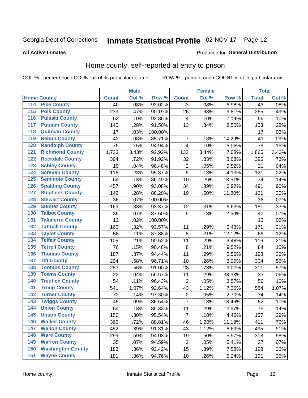## Inmate Statistical Profile 02-NOV-17 Page 12

## **All Active Inmates**

### Produced for General Distribution

## Home county, self-reported at entry to prison

COL % - percent each COUNT is of its particular column

|                  |                          |              | <b>Male</b> |         |                         | <b>Female</b> |        | <b>Total</b> |       |
|------------------|--------------------------|--------------|-------------|---------|-------------------------|---------------|--------|--------------|-------|
|                  | <b>Home County</b>       | <b>Count</b> | Col %       | Row %   | <b>Count</b>            | Col %         | Row %  | <b>Total</b> | Col % |
| 114              | <b>Pike County</b>       | 40           | .08%        | 93.02%  | 3                       | .08%          | 6.98%  | 43           | .08%  |
| $\overline{115}$ | <b>Polk County</b>       | 239          | .47%        | 90.19%  | 26                      | .68%          | 9.81%  | 265          | .49%  |
| 116              | <b>Pulaski County</b>    | 52           | .10%        | 92.86%  | $\overline{\mathbf{4}}$ | .10%          | 7.14%  | 56           | .10%  |
| 117              | <b>Putnam County</b>     | 140          | .28%        | 91.50%  | 13                      | .34%          | 8.50%  | 153          | .28%  |
| 118              | <b>Quitman County</b>    | 17           | .03%        | 100.00% |                         |               |        | 17           | .03%  |
| 119              | <b>Rabun County</b>      | 42           | .08%        | 85.71%  | $\overline{7}$          | .18%          | 14.29% | 49           | .09%  |
| 120              | <b>Randolph County</b>   | 75           | .15%        | 94.94%  | $\overline{\mathbf{4}}$ | .10%          | 5.06%  | 79           | .15%  |
| 121              | <b>Richmond County</b>   | 1,733        | 3.43%       | 92.92%  | 132                     | 3.44%         | 7.08%  | 1,865        | 3.43% |
| 122              | <b>Rockdale County</b>   | 364          | .72%        | 91.92%  | 32                      | .83%          | 8.08%  | 396          | .73%  |
| 123              | <b>Schley County</b>     | 19           | .04%        | 90.48%  | $\overline{\mathbf{c}}$ | .05%          | 9.52%  | 21           | .04%  |
| 124              | <b>Screven County</b>    | 116          | .23%        | 95.87%  | 5                       | .13%          | 4.13%  | 121          | .22%  |
| 125              | <b>Seminole County</b>   | 64           | .13%        | 86.49%  | 10                      | .26%          | 13.51% | 74           | .14%  |
| 126              | <b>Spalding County</b>   | 457          | .90%        | 93.08%  | 34                      | .89%          | 6.92%  | 491          | .90%  |
| 127              | <b>Stephens County</b>   | 142          | .28%        | 88.20%  | 19                      | .50%          | 11.80% | 161          | .30%  |
| 128              | <b>Stewart County</b>    | 36           | .07%        | 100.00% |                         |               |        | 36           | .07%  |
| 129              | <b>Sumter County</b>     | 169          | .33%        | 93.37%  | 12                      | .31%          | 6.63%  | 181          | .33%  |
| 130              | <b>Talbot County</b>     | 35           | .07%        | 87.50%  | 5                       | .13%          | 12.50% | 40           | .07%  |
| 131              | <b>Taliaferro County</b> | 12           | .02%        | 100.00% |                         |               |        | 12           | .02%  |
| 132              | <b>Tattnall County</b>   | 160          | .32%        | 93.57%  | 11                      | .29%          | 6.43%  | 171          | .31%  |
| 133              | <b>Taylor County</b>     | 58           | .11%        | 87.88%  | 8                       | .21%          | 12.12% | 66           | .12%  |
| 134              | <b>Telfair County</b>    | 105          | .21%        | 90.52%  | 11                      | .29%          | 9.48%  | 116          | .21%  |
| 135              | <b>Terrell County</b>    | 76           | .15%        | 90.48%  | $\bf 8$                 | .21%          | 9.52%  | 84           | .15%  |
| 136              | <b>Thomas County</b>     | 187          | .37%        | 94.44%  | 11                      | .29%          | 5.56%  | 198          | .36%  |
| 137              | <b>Tift County</b>       | 294          | .58%        | 96.71%  | 10                      | .26%          | 3.29%  | 304          | .56%  |
| 138              | <b>Toombs County</b>     | 283          | .56%        | 91.00%  | 28                      | .73%          | 9.00%  | 311          | .57%  |
| 139              | <b>Towns County</b>      | 22           | .04%        | 66.67%  | 11                      | .29%          | 33.33% | 33           | .06%  |
| 140              | <b>Treutlen County</b>   | 54           | .11%        | 96.43%  | $\mathbf 2$             | .05%          | 3.57%  | 56           | .10%  |
| 141              | <b>Troup County</b>      | 541          | 1.07%       | 92.64%  | 43                      | 1.12%         | 7.36%  | 584          | 1.07% |
| $\overline{142}$ | <b>Turner County</b>     | 72           | .14%        | 97.30%  | $\mathbf 2$             | .05%          | 2.70%  | 74           | .14%  |
| 143              | <b>Twiggs County</b>     | 45           | .09%        | 86.54%  | $\overline{7}$          | .18%          | 13.46% | 52           | .10%  |
| 144              | <b>Union County</b>      | 64           | .13%        | 85.33%  | 11                      | .29%          | 14.67% | 75           | .14%  |
| 145              | <b>Upson County</b>      | 150          | .30%        | 95.54%  | $\overline{7}$          | .18%          | 4.46%  | 157          | .29%  |
| 146              | <b>Walker County</b>     | 365          | .72%        | 88.81%  | 46                      | 1.20%         | 11.19% | 411          | .76%  |
| 147              | <b>Walton County</b>     | 452          | .89%        | 91.31%  | 43                      | 1.12%         | 8.69%  | 495          | .91%  |
| 148              | <b>Ware County</b>       | 299          | .59%        | 94.03%  | 19                      | .50%          | 5.97%  | 318          | .58%  |
| 149              | <b>Warren County</b>     | 35           | .07%        | 94.59%  | $\overline{c}$          | .05%          | 5.41%  | 37           | .07%  |
| 150              | <b>Washington County</b> | 183          | .36%        | 92.42%  | 15                      | .39%          | 7.58%  | 198          | .36%  |
| 151              | <b>Wayne County</b>      | 181          | .36%        | 94.76%  | 10                      | .26%          | 5.24%  | 191          | .35%  |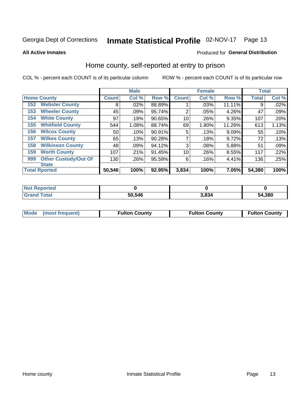## Inmate Statistical Profile 02-NOV-17 Page 13

**All Active Inmates** 

### Produced for General Distribution

## Home county, self-reported at entry to prison

COL % - percent each COUNT is of its particular column

|     |                             |              | <b>Male</b> |        |              | <b>Female</b> |        | <b>Total</b> |       |
|-----|-----------------------------|--------------|-------------|--------|--------------|---------------|--------|--------------|-------|
|     | <b>Home County</b>          | <b>Count</b> | Col %       | Row %  | <b>Count</b> | Col %         | Row %  | <b>Total</b> | Col % |
| 152 | <b>Webster County</b>       | 8            | .02%        | 88.89% |              | .03%          | 11.11% | 9            | .02%  |
| 153 | <b>Wheeler County</b>       | 45           | .09%        | 95.74% | 2            | .05%          | 4.26%  | 47           | .09%  |
| 154 | <b>White County</b>         | 97           | .19%        | 90.65% | 10           | .26%          | 9.35%  | 107          | .20%  |
| 155 | <b>Whitfield County</b>     | 544          | 1.08%       | 88.74% | 69           | 1.80%         | 11.26% | 613          | 1.13% |
| 156 | <b>Wilcox County</b>        | 50           | .10%        | 90.91% | 5            | .13%          | 9.09%  | 55           | .10%  |
| 157 | <b>Wilkes County</b>        | 65           | .13%        | 90.28% | 7            | .18%          | 9.72%  | 72           | .13%  |
| 158 | <b>Wilkinson County</b>     | 48           | $.09\%$     | 94.12% | 3            | .08%          | 5.88%  | 51           | .09%  |
| 159 | <b>Worth County</b>         | 107          | .21%        | 91.45% | 10           | .26%          | 8.55%  | 117          | .22%  |
| 999 | <b>Other Custody/Out Of</b> | 130          | .26%        | 95.59% | 6            | .16%          | 4.41%  | 136          | .25%  |
|     | <b>State</b>                |              |             |        |              |               |        |              |       |
|     | <b>Total Rported</b>        | 50,546       | 100%        | 92.95% | 3,834        | 100%          | 7.05%  | 54,380       | 100%  |

| <b>Not</b><br>Reported |        |       |        |
|------------------------|--------|-------|--------|
| <b>Total</b>           | 50,546 | 3.834 | 54,380 |

| Mode (most frequent) | <b>Fulton County</b> | <b>Fulton County</b> | <b>Fulton County</b> |
|----------------------|----------------------|----------------------|----------------------|
|                      |                      |                      |                      |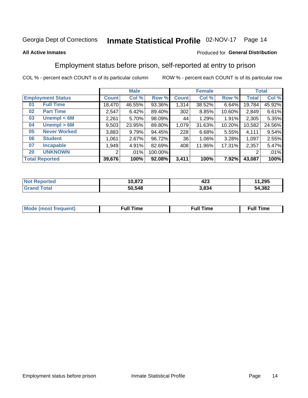#### Inmate Statistical Profile 02-NOV-17 Page 14

## **All Active Inmates**

## Produced for General Distribution

## Employment status before prison, self-reported at entry to prison

COL % - percent each COUNT is of its particular column

|                           | <b>Male</b>  |        |         | <b>Female</b> |        |        | <b>Total</b> |        |
|---------------------------|--------------|--------|---------|---------------|--------|--------|--------------|--------|
| <b>Employment Status</b>  | <b>Count</b> | Col %  | Row %   | <b>Count</b>  | Col %  | Row %  | Total        | Col %  |
| <b>Full Time</b><br>01    | 18,470       | 46.55% | 93.36%  | 1,314         | 38.52% | 6.64%  | 19,784       | 45.92% |
| <b>Part Time</b><br>02    | 2,547        | 6.42%  | 89.40%  | 302           | 8.85%  | 10.60% | 2,849        | 6.61%  |
| Unempl $<$ 6M<br>03       | 2,261        | 5.70%  | 98.09%  | 44            | 1.29%  | 1.91%  | 2,305        | 5.35%  |
| Unempl > 6M<br>04         | 9,503        | 23.95% | 89.80%  | 1,079         | 31.63% | 10.20% | 10,582       | 24.56% |
| <b>Never Worked</b><br>05 | 3,883        | 9.79%  | 94.45%  | 228           | 6.68%  | 5.55%  | 4,111        | 9.54%  |
| <b>Student</b><br>06      | .061         | 2.67%  | 96.72%  | 36            | 1.06%  | 3.28%  | 1,097        | 2.55%  |
| <b>Incapable</b><br>07    | 1,949        | 4.91%  | 82.69%  | 408           | 11.96% | 17.31% | 2,357        | 5.47%  |
| <b>UNKNOWN</b><br>20      | 2            | .01%   | 100.00% |               |        |        | 2            | .01%   |
| <b>Total Reported</b>     | 39,676       | 100%   | 92.08%  | 3,411         | 100%   | 7.92%  | 43,087       | 100%   |

| <b>Not Reported</b> | 10,872 | <br>423 | 1,295<br>44 |
|---------------------|--------|---------|-------------|
| <b>Grand Total</b>  | 50,548 | 3,834   | 54,382      |

| <b>Mode (most frequent)</b> | $^{\prime\prime}$ Time | <b>Time</b><br>rull i |
|-----------------------------|------------------------|-----------------------|
|                             |                        |                       |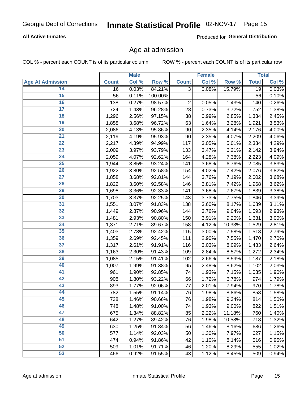## Inmate Statistical Profile 02-NOV-17 Page 15

## **All Active Inmates**

Produced for General Distribution

## Age at admission

COL % - percent each COUNT is of its particular column

|                         |              | <b>Male</b> |         |                | <b>Female</b> |        |              | <b>Total</b> |
|-------------------------|--------------|-------------|---------|----------------|---------------|--------|--------------|--------------|
| <b>Age At Admission</b> | <b>Count</b> | Col %       | Row %   | <b>Count</b>   | Col %         | Row %  | <b>Total</b> | Col %        |
| 14                      | 16           | 0.03%       | 84.21%  | 3              | 0.08%         | 15.79% | 19           | 0.03%        |
| $\overline{15}$         | 56           | 0.11%       | 100.00% |                |               |        | 56           | 0.10%        |
| 16                      | 138          | 0.27%       | 98.57%  | $\overline{2}$ | 0.05%         | 1.43%  | 140          | 0.26%        |
| $\overline{17}$         | 724          | 1.43%       | 96.28%  | 28             | 0.73%         | 3.72%  | 752          | 1.38%        |
| $\overline{18}$         | 1,296        | 2.56%       | 97.15%  | 38             | 0.99%         | 2.85%  | 1,334        | 2.45%        |
| 19                      | 1,858        | 3.68%       | 96.72%  | 63             | 1.64%         | 3.28%  | 1,921        | 3.53%        |
| $\overline{20}$         | 2,086        | 4.13%       | 95.86%  | 90             | 2.35%         | 4.14%  | 2,176        | 4.00%        |
| $\overline{21}$         | 2,119        | 4.19%       | 95.93%  | 90             | 2.35%         | 4.07%  | 2,209        | 4.06%        |
| $\overline{22}$         | 2,217        | 4.39%       | 94.99%  | 117            | 3.05%         | 5.01%  | 2,334        | 4.29%        |
| 23                      | 2,009        | 3.97%       | 93.79%  | 133            | 3.47%         | 6.21%  | 2,142        | 3.94%        |
| $\overline{24}$         | 2,059        | 4.07%       | 92.62%  | 164            | 4.28%         | 7.38%  | 2,223        | 4.09%        |
| 25                      | 1,944        | 3.85%       | 93.24%  | 141            | 3.68%         | 6.76%  | 2,085        | 3.83%        |
| $\overline{26}$         | 1,922        | 3.80%       | 92.58%  | 154            | 4.02%         | 7.42%  | 2,076        | 3.82%        |
| $\overline{27}$         | 1,858        | 3.68%       | 92.81%  | 144            | 3.76%         | 7.19%  | 2,002        | 3.68%        |
| 28                      | 1,822        | 3.60%       | 92.58%  | 146            | 3.81%         | 7.42%  | 1,968        | 3.62%        |
| 29                      | 1,698        | 3.36%       | 92.33%  | 141            | 3.68%         | 7.67%  | 1,839        | 3.38%        |
| 30                      | 1,703        | 3.37%       | 92.25%  | 143            | 3.73%         | 7.75%  | 1,846        | 3.39%        |
| $\overline{31}$         | 1,551        | 3.07%       | 91.83%  | 138            | 3.60%         | 8.17%  | 1,689        | 3.11%        |
| 32                      | 1,449        | 2.87%       | 90.96%  | 144            | 3.76%         | 9.04%  | 1,593        | 2.93%        |
| 33                      | 1,481        | 2.93%       | 90.80%  | 150            | 3.91%         | 9.20%  | 1,631        | 3.00%        |
| 34                      | 1,371        | 2.71%       | 89.67%  | 158            | 4.12%         | 10.33% | 1,529        | 2.81%        |
| 35                      | 1,403        | 2.78%       | 92.42%  | 115            | 3.00%         | 7.58%  | 1,518        | 2.79%        |
| 36                      | 1,359        | 2.69%       | 92.45%  | 111            | 2.90%         | 7.55%  | 1,470        | 2.70%        |
| $\overline{37}$         | 1,317        | 2.61%       | 91.91%  | 116            | 3.03%         | 8.09%  | 1,433        | 2.64%        |
| 38                      | 1,163        | 2.30%       | 91.43%  | 109            | 2.84%         | 8.57%  | 1,272        | 2.34%        |
| 39                      | 1,085        | 2.15%       | 91.41%  | 102            | 2.66%         | 8.59%  | 1,187        | 2.18%        |
| 40                      | 1,007        | 1.99%       | 91.38%  | 95             | 2.48%         | 8.62%  | 1,102        | 2.03%        |
| 41                      | 961          | 1.90%       | 92.85%  | 74             | 1.93%         | 7.15%  | 1,035        | 1.90%        |
| 42                      | 908          | 1.80%       | 93.22%  | 66             | 1.72%         | 6.78%  | 974          | 1.79%        |
| 43                      | 893          | 1.77%       | 92.06%  | 77             | 2.01%         | 7.94%  | 970          | 1.78%        |
| 44                      | 782          | 1.55%       | 91.14%  | 76             | 1.98%         | 8.86%  | 858          | 1.58%        |
| 45                      | 738          | 1.46%       | 90.66%  | 76             | 1.98%         | 9.34%  | 814          | 1.50%        |
| 46                      | 748          | 1.48%       | 91.00%  | 74             | 1.93%         | 9.00%  | 822          | 1.51%        |
| 47                      | 675          | 1.34%       | 88.82%  | 85             | 2.22%         | 11.18% | 760          | 1.40%        |
| 48                      | 642          | 1.27%       | 89.42%  | 76             | 1.98%         | 10.58% | 718          | 1.32%        |
| 49                      | 630          | 1.25%       | 91.84%  | 56             | 1.46%         | 8.16%  | 686          | 1.26%        |
| 50                      | 577          | 1.14%       | 92.03%  | 50             | 1.30%         | 7.97%  | 627          | 1.15%        |
| 51                      | 474          | 0.94%       | 91.86%  | 42             | 1.10%         | 8.14%  | 516          | 0.95%        |
| 52                      | 509          | 1.01%       | 91.71%  | 46             | 1.20%         | 8.29%  | 555          | 1.02%        |
| 53                      | 466          | 0.92%       | 91.55%  | 43             | 1.12%         | 8.45%  | 509          | 0.94%        |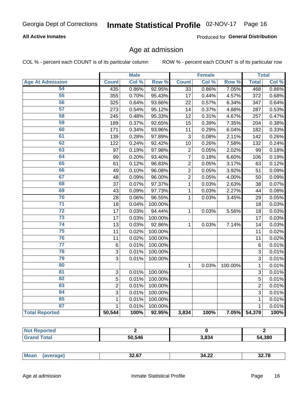## Inmate Statistical Profile 02-NOV-17 Page 16

## **All Active Inmates**

Produced for General Distribution

## Age at admission

COL % - percent each COUNT is of its particular column

|                         |                | <b>Male</b> |         |                 | <b>Female</b> |         |                | <b>Total</b> |
|-------------------------|----------------|-------------|---------|-----------------|---------------|---------|----------------|--------------|
| <b>Age At Admission</b> | <b>Count</b>   | Col %       | Row %   | <b>Count</b>    | Col %         | Row %   | <b>Total</b>   | Col %        |
| 54                      | 435            | 0.86%       | 92.95%  | $\overline{33}$ | 0.86%         | 7.05%   | 468            | 0.86%        |
| $\overline{55}$         | 355            | 0.70%       | 95.43%  | 17              | 0.44%         | 4.57%   | 372            | 0.68%        |
| 56                      | 325            | 0.64%       | 93.66%  | 22              | 0.57%         | 6.34%   | 347            | 0.64%        |
| $\overline{57}$         | 273            | 0.54%       | 95.12%  | 14              | 0.37%         | 4.88%   | 287            | 0.53%        |
| 58                      | 245            | 0.48%       | 95.33%  | 12              | 0.31%         | 4.67%   | 257            | 0.47%        |
| 59                      | 189            | 0.37%       | 92.65%  | 15              | 0.39%         | 7.35%   | 204            | 0.38%        |
| 60                      | 171            | 0.34%       | 93.96%  | 11              | 0.29%         | 6.04%   | 182            | 0.33%        |
| 61                      | 139            | 0.28%       | 97.89%  | 3               | 0.08%         | 2.11%   | 142            | 0.26%        |
| 62                      | 122            | 0.24%       | 92.42%  | 10              | 0.26%         | 7.58%   | 132            | 0.24%        |
| 63                      | 97             | 0.19%       | 97.98%  | $\overline{2}$  | 0.05%         | 2.02%   | 99             | 0.18%        |
| 64                      | 99             | 0.20%       | 93.40%  | $\overline{7}$  | 0.18%         | 6.60%   | 106            | 0.19%        |
| 65                      | 61             | 0.12%       | 96.83%  | $\overline{2}$  | 0.05%         | 3.17%   | 63             | 0.12%        |
| 66                      | 49             | 0.10%       | 96.08%  | $\overline{2}$  | 0.05%         | 3.92%   | 51             | 0.09%        |
| 67                      | 48             | 0.09%       | 96.00%  | $\overline{2}$  | 0.05%         | 4.00%   | 50             | 0.09%        |
| 68                      | 37             | 0.07%       | 97.37%  | 1               | 0.03%         | 2.63%   | 38             | 0.07%        |
| 69                      | 43             | 0.09%       | 97.73%  | 1               | 0.03%         | 2.27%   | 44             | 0.08%        |
| 70                      | 28             | 0.06%       | 96.55%  | 1               | 0.03%         | 3.45%   | 29             | 0.05%        |
| $\overline{71}$         | 18             | 0.04%       | 100.00% |                 |               |         | 18             | 0.03%        |
| $\overline{72}$         | 17             | 0.03%       | 94.44%  | $\mathbf{1}$    | 0.03%         | 5.56%   | 18             | 0.03%        |
| $\overline{73}$         | 17             | 0.03%       | 100.00% |                 |               |         | 17             | 0.03%        |
| $\overline{74}$         | 13             | 0.03%       | 92.86%  | $\mathbf{1}$    | 0.03%         | 7.14%   | 14             | 0.03%        |
| 75                      | 11             | 0.02%       | 100.00% |                 |               |         | 11             | 0.02%        |
| 76                      | 11             | 0.02%       | 100.00% |                 |               |         | 11             | 0.02%        |
| $\overline{77}$         | 6              | 0.01%       | 100.00% |                 |               |         | $6\phantom{1}$ | 0.01%        |
| 78                      | $\overline{3}$ | 0.01%       | 100.00% |                 |               |         | 3              | 0.01%        |
| 79                      | $\overline{3}$ | 0.01%       | 100.00% |                 |               |         | 3              | 0.01%        |
| 80                      |                |             |         | 1               | 0.03%         | 100.00% | $\mathbf{1}$   | 0.01%        |
| $\overline{81}$         | 3              | 0.01%       | 100.00% |                 |               |         | 3              | 0.01%        |
| 82                      | 5              | 0.01%       | 100.00% |                 |               |         | 5              | 0.01%        |
| 83                      | $\overline{2}$ | 0.01%       | 100.00% |                 |               |         | $\overline{2}$ | 0.01%        |
| 84                      | 3              | 0.01%       | 100.00% |                 |               |         | 3              | 0.01%        |
| 85                      | $\mathbf 1$    | 0.01%       | 100.00% |                 |               |         | 1              | 0.01%        |
| 87                      | $\mathbf{1}$   | 0.01%       | 100.00% |                 |               |         | $\mathbf{1}$   | 0.01%        |
| <b>Total Reported</b>   | 50,544         | 100%        | 92.95%  | 3,834           | 100%          | 7.05%   | 54,378         | 100%         |

| 50,546 | 3.834 | 54,380 |
|--------|-------|--------|

|--|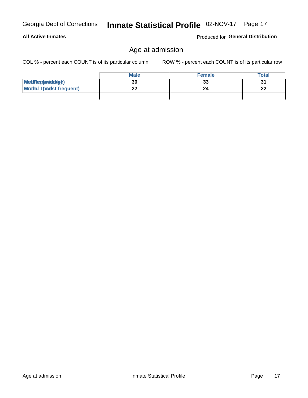## **All Active Inmates**

Produced for General Distribution

## Age at admission

Inmate Statistical Profile 02-NOV-17 Page 17

COL % - percent each COUNT is of its particular column

|                                  | <b>Male</b> | <b>Female</b> | <b>Total</b> |
|----------------------------------|-------------|---------------|--------------|
| MetiRep(aniektig)                | 30          | 33            | 31           |
| <b>Micaded Tomadst frequent)</b> | ົ           | 24            | ົ<br>LL      |
|                                  |             |               |              |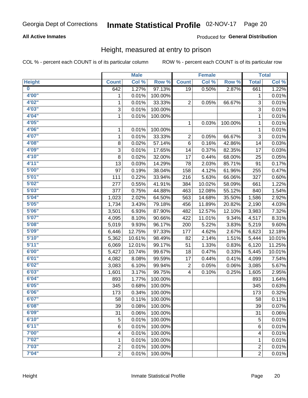## Inmate Statistical Profile 02-NOV-17 Page 20

## **All Active Inmates**

## Produced for General Distribution

## Height, measured at entry to prison

COL % - percent each COUNT is of its particular column

|                         |                | <b>Male</b> |         |                         | <b>Female</b> |         |                | <b>Total</b>        |
|-------------------------|----------------|-------------|---------|-------------------------|---------------|---------|----------------|---------------------|
| <b>Height</b>           | <b>Count</b>   | Col %       | Row %   | <b>Count</b>            | Col %         | Row %   | <b>Total</b>   | Col %               |
| $\overline{\mathbf{0}}$ | 642            | 1.27%       | 97.13%  | 19                      | 0.50%         | 2.87%   | 661            | 1.22%               |
| 4'00"                   | 1              | 0.01%       | 100.00% |                         |               |         | 1              | 0.01%               |
| 4'02"                   | $\mathbf{1}$   | 0.01%       | 33.33%  | 2                       | 0.05%         | 66.67%  | 3              | 0.01%               |
| 4'03''                  | 3              | 0.01%       | 100.00% |                         |               |         | 3              | 0.01%               |
| 4'04"                   | $\mathbf{1}$   | 0.01%       | 100.00% |                         |               |         | 1              | 0.01%               |
| 4'05"                   |                |             |         | 1                       | 0.03%         | 100.00% | $\mathbf{1}$   | 0.01%               |
| 4'06"                   | 1              | 0.01%       | 100.00% |                         |               |         | 1              | 0.01%               |
| 4'07"                   | 1              | 0.01%       | 33.33%  | 2                       | 0.05%         | 66.67%  | 3              | 0.01%               |
| 4'08"                   | 8              | 0.02%       | 57.14%  | 6                       | 0.16%         | 42.86%  | 14             | 0.03%               |
| 4'09"                   | 3              | 0.01%       | 17.65%  | 14                      | 0.37%         | 82.35%  | 17             | 0.03%               |
| 4'10"                   | 8              | 0.02%       | 32.00%  | 17                      | 0.44%         | 68.00%  | 25             | 0.05%               |
| 4'11''                  | 13             | 0.03%       | 14.29%  | 78                      | 2.03%         | 85.71%  | 91             | 0.17%               |
| 5'00''                  | 97             | 0.19%       | 38.04%  | 158                     | 4.12%         | 61.96%  | 255            | 0.47%               |
| 5'01"                   | 111            | 0.22%       | 33.94%  | 216                     | 5.63%         | 66.06%  | 327            | 0.60%               |
| 5'02"                   | 277            | 0.55%       | 41.91%  | 384                     | 10.02%        | 58.09%  | 661            | 1.22%               |
| 5'03"                   | 377            | 0.75%       | 44.88%  | 463                     | 12.08%        | 55.12%  | 840            | 1.54%               |
| 5'04"                   | 1,023          | 2.02%       | 64.50%  | 563                     | 14.68%        | 35.50%  | 1,586          | 2.92%               |
| 5'05"                   | 1,734          | 3.43%       | 79.18%  | 456                     | 11.89%        | 20.82%  | 2,190          | 4.03%               |
| 5'06''                  | 3,501          | 6.93%       | 87.90%  | 482                     | 12.57%        | 12.10%  | 3,983          | 7.32%               |
| 5'07''                  | 4,095          | 8.10%       | 90.66%  | 422                     | 11.01%        | 9.34%   | 4,517          | 8.31%               |
| 5'08''                  | 5,019          | 9.93%       | 96.17%  | 200                     | 5.22%         | 3.83%   | 5,219          | 9.60%               |
| 5'09''                  | 6,446          | 12.75%      | 97.33%  | 177                     | 4.62%         | 2.67%   | 6,623          | 12.18%              |
| 5'10''                  | 5,362          | 10.61%      | 98.49%  | 82                      | 2.14%         | 1.51%   | 5,444          | 10.01%              |
| 5'11"                   | 6,069          | 12.01%      | 99.17%  | 51                      | 1.33%         | 0.83%   | 6,120          | 11.25%              |
| 6'00''                  | 5,427          | 10.74%      | 99.67%  | 18                      | 0.47%         | 0.33%   | 5,445          | 10.01%              |
| 6'01''                  | 4,082          | 8.08%       | 99.59%  | 17                      | 0.44%         | 0.41%   | 4,099          | 7.54%               |
| 6'02"                   | 3,083          | 6.10%       | 99.94%  | 2                       | 0.05%         | 0.06%   | 3,085          | 5.67%               |
| 6'03''                  | 1,601          | 3.17%       | 99.75%  | $\overline{\mathbf{4}}$ | 0.10%         | 0.25%   | 1,605          | 2.95%               |
| 6'04"                   | 893            | 1.77%       | 100.00% |                         |               |         | 893            | 1.64%               |
| 6'05"                   | 345            | 0.68%       | 100.00% |                         |               |         | 345            | 0.63%               |
| 6'06"                   | 173            | 0.34%       | 100.00% |                         |               |         | 173            | 0.32%               |
| 6'07"                   | 58             | 0.11%       | 100.00% |                         |               |         | 58             | 0.11%               |
| 6'08''                  | 39             | 0.08%       | 100.00% |                         |               |         | 39             | 0.07%               |
| 6'09''                  | 31             | 0.06%       | 100.00% |                         |               |         | 31             | 0.06%               |
| 6'10''                  | 5              | 0.01%       | 100.00% |                         |               |         | 5              | 0.01%               |
| 6'11''                  | 6              | 0.01%       | 100.00% |                         |               |         | 6              | $\overline{0.01\%}$ |
| 7'00"                   | 4              | 0.01%       | 100.00% |                         |               |         | 4              | 0.01%               |
| 7'02"                   | 1              | 0.01%       | 100.00% |                         |               |         | 1              | 0.01%               |
| 7'03''                  | $\overline{c}$ | 0.01%       | 100.00% |                         |               |         | $\overline{c}$ | 0.01%               |
| 7'04"                   | $\overline{2}$ | 0.01%       | 100.00% |                         |               |         | $\overline{2}$ | $\overline{0.01\%}$ |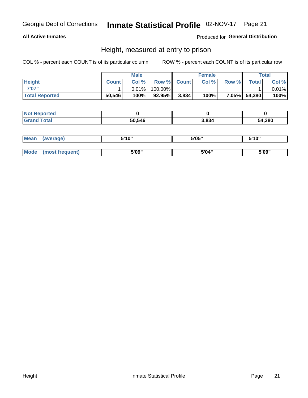## Inmate Statistical Profile 02-NOV-17 Page 21

## **All Active Inmates**

## Produced for General Distribution

## Height, measured at entry to prison

COL % - percent each COUNT is of its particular column

|                       |              | <b>Male</b> |         |             | <b>Female</b> |       |              | Total |
|-----------------------|--------------|-------------|---------|-------------|---------------|-------|--------------|-------|
| <b>Height</b>         | <b>Count</b> | Col %       |         | Row % Count | Col %         | Row % | <b>Total</b> | Col % |
| 7'07"                 |              | $0.01\%$    | 100.00% |             |               |       |              | 0.01% |
| <b>Total Reported</b> | 50,546       | 100%        | 92.95%  | 3,834       | 100%          |       | 7.05% 54,380 | 100%  |

| <b>Not Reported</b> |        |       |        |
|---------------------|--------|-------|--------|
| <b>Grand Total</b>  | 50.546 | 3.834 | 54,380 |

| <b>Mean</b> | (average)       | 5'10" | 5'05" | 5'10" |
|-------------|-----------------|-------|-------|-------|
|             |                 |       |       |       |
| <b>Mode</b> | (most frequent) | 5'09" | 5'04" | 5'09" |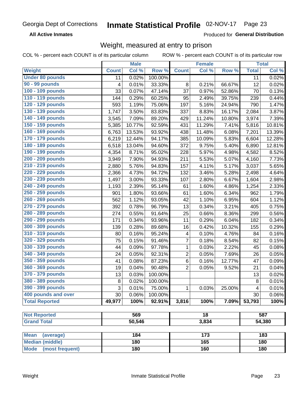#### Inmate Statistical Profile 02-NOV-17 Page 23

**All Active Inmates** 

Produced for General Distribution

## Weight, measured at entry to prison

COL % - percent each COUNT is of its particular column

|                                |              | <b>Male</b> |         |                | <b>Female</b>   |        |              | <b>Total</b>        |
|--------------------------------|--------------|-------------|---------|----------------|-----------------|--------|--------------|---------------------|
| Weight                         | <b>Count</b> | Col %       | Row %   | <b>Count</b>   | Col %           | Row %  | <b>Total</b> | Col %               |
| <b>Under 80 pounds</b>         | 11           | 0.02%       | 100.00% |                |                 |        | 11           | 0.02%               |
| 90 - 99 pounds                 | 4            | 0.01%       | 33.33%  | 8              | 0.21%           | 66.67% | 12           | 0.02%               |
| 100 - 109 pounds               | 33           | 0.07%       | 47.14%  | 37             | 0.97%           | 52.86% | 70           | 0.13%               |
| 110 - 119 pounds               | 144          | 0.29%       | 60.25%  | 95             | 2.49%           | 39.75% | 239          | 0.44%               |
| 120 - 129 pounds               | 593          | 1.19%       | 75.06%  | 197            | 5.16%           | 24.94% | 790          | 1.47%               |
| 130 - 139 pounds               | 1,747        | 3.50%       | 83.83%  | 337            | 8.83%           | 16.17% | 2,084        | 3.87%               |
| 140 - 149 pounds               | 3,545        | 7.09%       | 89.20%  | 429            | 11.24%          | 10.80% | 3,974        | 7.39%               |
| 150 - 159 pounds               | 5,385        | 10.77%      | 92.59%  | 431            | 11.29%          | 7.41%  | 5,816        | 10.81%              |
| 160 - 169 pounds               | 6,763        | 13.53%      | 93.92%  | 438            | 11.48%          | 6.08%  | 7,201        | 13.39%              |
| 170 - 179 pounds               | 6,219        | 12.44%      | 94.17%  | 385            | 10.09%          | 5.83%  | 6,604        | 12.28%              |
| 180 - 189 pounds               | 6,518        | 13.04%      | 94.60%  | 372            | 9.75%           | 5.40%  | 6,890        | 12.81%              |
| 190 - 199 pounds               | 4,354        | 8.71%       | 95.02%  | 228            | 5.97%           | 4.98%  | 4,582        | 8.52%               |
| 200 - 209 pounds               | 3,949        | 7.90%       | 94.93%  | 211            | 5.53%           | 5.07%  | 4,160        | 7.73%               |
| 210 - 219 pounds               | 2,880        | 5.76%       | 94.83%  | 157            | $4.11\%$        | 5.17%  | 3,037        | 5.65%               |
| 220 - 229 pounds               | 2,366        | 4.73%       | 94.72%  | 132            | 3.46%           | 5.28%  | 2,498        | 4.64%               |
| 230 - 239 pounds               | 1,497        | 3.00%       | 93.33%  | 107            | 2.80%           | 6.67%  | 1,604        | 2.98%               |
| 240 - 249 pounds               | 1,193        | 2.39%       | 95.14%  | 61             | 1.60%           | 4.86%  | 1,254        | 2.33%               |
| 250 - 259 pounds               | 901          | 1.80%       | 93.66%  | 61             | 1.60%           | 6.34%  | 962          | 1.79%               |
| 260 - 269 pounds               | 562          | 1.12%       | 93.05%  | 42             | 1.10%           | 6.95%  | 604          | 1.12%               |
| 270 - 279 pounds               | 392          | 0.78%       | 96.79%  | 13             | 0.34%           | 3.21%  | 405          | 0.75%               |
| 280 - 289 pounds               | 274          | 0.55%       | 91.64%  | 25             | 0.66%           | 8.36%  | 299          | 0.56%               |
| 290 - 299 pounds               | 171          | 0.34%       | 93.96%  | 11             | 0.29%           | 6.04%  | 182          | 0.34%               |
| 300 - 309 pounds               | 139          | 0.28%       | 89.68%  | 16             | 0.42%           | 10.32% | 155          | 0.29%               |
| 310 - 319 pounds               | 80           | 0.16%       | 95.24%  | 4              | 0.10%           | 4.76%  | 84           | 0.16%               |
| 320 - 329 pounds               | 75           | 0.15%       | 91.46%  | 7              | 0.18%           | 8.54%  | 82           | 0.15%               |
| 330 - 339 pounds               | 44           | 0.09%       | 97.78%  | 1              | 0.03%           | 2.22%  | 45           | 0.08%               |
| 340 - 349 pounds               | 24           | 0.05%       | 92.31%  | 2              | 0.05%           | 7.69%  | 26           | 0.05%               |
| 350 - 359 pounds               | 41           | 0.08%       | 87.23%  | $\,6$          | 0.16%           | 12.77% | 47           | 0.09%               |
| 360 - 369 pounds               | 19           | 0.04%       | 90.48%  | $\overline{2}$ | 0.05%           | 9.52%  | 21           | 0.04%               |
| 370 - 379 pounds               | 13           | 0.03%       | 100.00% |                |                 |        | 13           | 0.02%               |
| 380 - 389 pounds               | 8            | 0.02%       | 100.00% |                |                 |        | 8            | 0.01%               |
| 390 - 399 pounds               | 3            | 0.01%       | 75.00%  | 1              | 0.03%           | 25.00% | 4            | $\overline{0.01\%}$ |
| 400 pounds and over            | 30           | 0.06%       | 100.00% |                |                 |        | 30           | 0.06%               |
| <b>Total Reported</b>          | 49,977       | 100%        | 92.91%  | 3,816          | 100%            | 7.09%  | 53,793       | 100%                |
|                                |              |             |         |                |                 |        |              |                     |
| <b>Not Reported</b>            |              | 569         |         |                | $\overline{18}$ |        |              | 587                 |
| <b>Grand Total</b>             |              | 50,546      |         |                | 3,834           |        |              | 54,380              |
|                                |              |             |         |                |                 |        |              |                     |
| <b>Mean</b><br>(average)       |              | 184<br>180  |         |                | 173<br>165      |        |              | 183<br>180          |
| <b>Median (middle)</b>         |              |             |         |                |                 |        |              |                     |
| <b>Mode</b><br>(most frequent) |              | 180         |         |                | 160             |        |              | 180                 |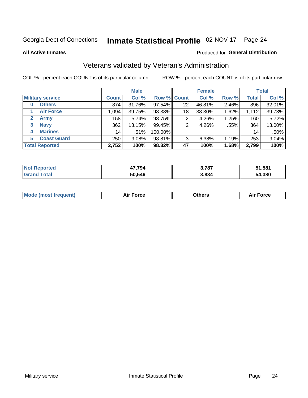## Inmate Statistical Profile 02-NOV-17 Page 24

**All Active Inmates** 

### Produced for General Distribution

## Veterans validated by Veteran's Administration

COL % - percent each COUNT is of its particular column

|                             |              | <b>Male</b> |         |                    | <b>Female</b> |       |              | <b>Total</b> |
|-----------------------------|--------------|-------------|---------|--------------------|---------------|-------|--------------|--------------|
| <b>Military service</b>     | <b>Count</b> | Col %       |         | <b>Row % Count</b> | Col %         | Row % | <b>Total</b> | Col %        |
| <b>Others</b><br>0          | 874          | 31.76%      | 97.54%  | 22                 | 46.81%        | 2.46% | 896          | 32.01%       |
| <b>Air Force</b>            | 1.094        | 39.75%      | 98.38%  | 18                 | 38.30%        | 1.62% | 1,112        | 39.73%       |
| <b>Army</b><br>$\mathbf{2}$ | 158          | 5.74%       | 98.75%  | 2                  | 4.26%         | 1.25% | 160          | 5.72%        |
| <b>Navy</b><br>3            | 362          | 13.15%      | 99.45%  | 2                  | 4.26%         | .55%  | 364          | 13.00%       |
| <b>Marines</b><br>4         | 14           | .51%        | 100.00% |                    |               |       | 14           | .50%         |
| <b>Coast Guard</b><br>5.    | 250          | $9.08\%$    | 98.81%  | 3                  | 6.38%         | 1.19% | 253          | 9.04%        |
| <b>Total Reported</b>       | 2,752        | 100%        | 98.32%  | 47                 | 100%          | 1.68% | 2,799        | 100%         |

| <b>Not</b><br>ported<br>кен | 17.794<br>4 | 3,787 | 51,581 |
|-----------------------------|-------------|-------|--------|
| <b>Fotal</b>                | 50,546      | 3,834 | 54,380 |

|  |  | <b>Mode (most frequent)</b> | <b>Force</b><br>Aır | วthers | orce |
|--|--|-----------------------------|---------------------|--------|------|
|--|--|-----------------------------|---------------------|--------|------|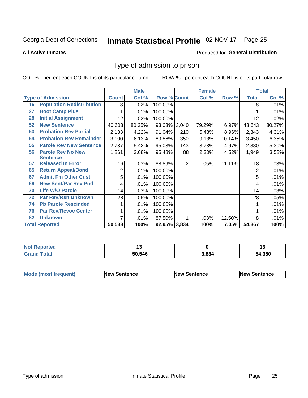#### Inmate Statistical Profile 02-NOV-17 Page 25

**All Active Inmates** 

### Produced for General Distribution

## Type of admission to prison

COL % - percent each COUNT is of its particular column

|    |                                  |                | <b>Male</b> |                    |                | <b>Female</b> |          |                | <b>Total</b> |
|----|----------------------------------|----------------|-------------|--------------------|----------------|---------------|----------|----------------|--------------|
|    | <b>Type of Admission</b>         | <b>Count</b>   | Col %       | <b>Row % Count</b> |                | Col %         | Row %    | <b>Total</b>   | Col %        |
| 16 | <b>Population Redistribution</b> | 8              | $.02\%$     | 100.00%            |                |               |          | 8              | .01%         |
| 27 | <b>Boot Camp Plus</b>            |                | .01%        | 100.00%            |                |               |          |                | .01%         |
| 28 | <b>Initial Assignment</b>        | 12             | $.02\%$     | 100.00%            |                |               |          | 12             | .02%         |
| 52 | <b>New Sentence</b>              | 40,603         | 80.35%      | 93.03% 3,040       |                | 79.29%        | 6.97%    | 43,643         | 80.27%       |
| 53 | <b>Probation Rev Partial</b>     | 2,133          | 4.22%       | 91.04%             | 210            | 5.48%         | 8.96%    | 2,343          | 4.31%        |
| 54 | <b>Probation Rev Remainder</b>   | 3,100          | 6.13%       | 89.86%             | 350            | 9.13%         | 10.14%   | 3,450          | 6.35%        |
| 55 | <b>Parole Rev New Sentence</b>   | 2,737          | 5.42%       | 95.03%             | 143            | 3.73%         | 4.97%    | 2,880          | 5.30%        |
| 56 | <b>Parole Rev No New</b>         | 1,861          | 3.68%       | 95.48%             | 88             | 2.30%         | 4.52%    | 1,949          | 3.58%        |
|    | <b>Sentence</b>                  |                |             |                    |                |               |          |                |              |
| 57 | <b>Released In Error</b>         | 16             | .03%        | 88.89%             | $\overline{2}$ | .05%          | 11.11%   | 18             | .03%         |
| 65 | <b>Return Appeal/Bond</b>        | $\overline{2}$ | .01%        | 100.00%            |                |               |          | $\overline{2}$ | .01%         |
| 67 | <b>Admit Fm Other Cust</b>       | 5              | .01%        | 100.00%            |                |               |          | 5              | .01%         |
| 69 | <b>New Sent/Par Rev Pnd</b>      | 4              | .01%        | 100.00%            |                |               |          | 4              | .01%         |
| 70 | <b>Life W/O Parole</b>           | 14             | .03%        | 100.00%            |                |               |          | 14             | .03%         |
| 72 | <b>Par Rev/Rsn Unknown</b>       | 28             | .06%        | 100.00%            |                |               |          | 28             | .05%         |
| 74 | <b>Pb Parole Rescinded</b>       | 1              | .01%        | 100.00%            |                |               |          |                | .01%         |
| 76 | <b>Par Rev/Revoc Center</b>      | 1              | .01%        | 100.00%            |                |               |          |                | .01%         |
| 82 | <b>Unknown</b>                   | 7              | .01%        | 87.50%             |                | .03%          | 12.50%   | 8              | .01%         |
|    | <b>Total Reported</b>            | 50,533         | 100%        | 92.95% 3,834       |                | 100%          | $7.05\%$ | 54,367         | 100%         |

| $N$<br><b>rted</b> |        |       | - 1    |
|--------------------|--------|-------|--------|
| int                | 50,546 | 3.834 | 54,380 |

| <b>Mode (most frequent)</b> | New Sentence | <b>New Sentence</b> | <b>New Sentence</b> |
|-----------------------------|--------------|---------------------|---------------------|
|                             |              |                     |                     |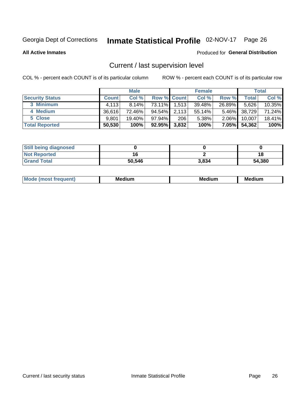## Inmate Statistical Profile 02-NOV-17 Page 26

**All Active Inmates** 

### Produced for General Distribution

## Current / last supervision level

COL % - percent each COUNT is of its particular column

|                        |              | <b>Male</b> |                    |       | <b>Female</b> |          |        | <b>Total</b> |
|------------------------|--------------|-------------|--------------------|-------|---------------|----------|--------|--------------|
| <b>Security Status</b> | <b>Count</b> | Col %       | <b>Row % Count</b> |       | Col %         | Row %    | Total  | Col %        |
| 3 Minimum              | 4.113        | $8.14\%$    | 73.11%             | 1,513 | 39.48%        | 26.89%   | 5,626  | 10.35%       |
| 4 Medium               | 36.616       | 72.46%      | $94.54\%$          | 2,113 | 55.14%        | $5.46\%$ | 38,729 | 71.24%       |
| 5 Close                | 9,801        | 19.40%      | 97.94%             | 206   | 5.38%         | $2.06\%$ | 10,007 | 18.41%       |
| <b>Total Reported</b>  | 50,530       | 100%        | 92.95%             | 3,832 | 100%          | $7.05\%$ | 54,362 | 100%         |

| <b>Still being diagnosed</b> |        |       |        |
|------------------------------|--------|-------|--------|
| <b>Not Reported</b>          |        |       | 1٤     |
| <b>Grand Total</b>           | 50,546 | 3,834 | 54,380 |

| M | M | . . |
|---|---|-----|
|   |   |     |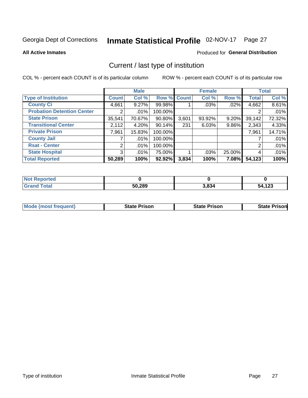## Inmate Statistical Profile 02-NOV-17 Page 27

**All Active Inmates** 

## Produced for General Distribution

## Current / last type of institution

COL % - percent each COUNT is of its particular column

|                                   |                       | <b>Male</b> |             |       | <b>Female</b> |        |              | <b>Total</b> |
|-----------------------------------|-----------------------|-------------|-------------|-------|---------------|--------|--------------|--------------|
| <b>Type of Institution</b>        | <b>Count</b>          | Col %       | Row % Count |       | Col %         | Row %  | <b>Total</b> | Col %        |
| <b>County Ci</b>                  | 4,661                 | 9.27%       | 99.98%      |       | .03%          | .02%   | 4,662        | 8.61%        |
| <b>Probation Detention Center</b> | $\mathbf{2}^{\prime}$ | .01%        | 100.00%     |       |               |        |              | .01%         |
| <b>State Prison</b>               | 35,541                | 70.67%      | $90.80\%$   | 3,601 | 93.92%        | 9.20%  | 39,142       | 72.32%       |
| <b>Transitional Center</b>        | 2,112                 | 4.20%       | $90.14\%$   | 231   | 6.03%         | 9.86%  | 2,343        | 4.33%        |
| <b>Private Prison</b>             | 7,961                 | 15.83%      | 100.00%     |       |               |        | 7,961        | 14.71%       |
| <b>County Jail</b>                |                       | .01%        | 100.00%     |       |               |        |              | .01%         |
| <b>Rsat - Center</b>              | $\overline{2}$        | $.01\%$     | 100.00%     |       |               |        | 2            | .01%         |
| <b>State Hospital</b>             | 3 <sup>1</sup>        | $.01\%$     | 75.00%      |       | .03%          | 25.00% | 4            | .01%         |
| <b>Total Reported</b>             | 50,289                | 100%        | 92.92%      | 3,834 | 100%          | 7.08%  | 54,123       | 100%         |

| $^{\dagger}$ Not $_{\odot}$<br>Reported |        |       |        |
|-----------------------------------------|--------|-------|--------|
| <b>Total</b><br><b>Grand</b>            | 50,289 | 3,834 | 54,123 |

| Mode (most frequent) | <b>State Prison</b> | <b>State Prison</b> | <b>State Prisonl</b> |
|----------------------|---------------------|---------------------|----------------------|
|                      |                     |                     |                      |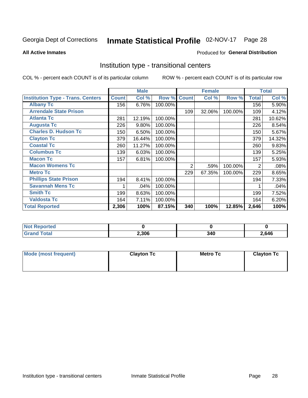## Inmate Statistical Profile 02-NOV-17 Page 28

**All Active Inmates** 

## Produced for General Distribution

## Institution type - transitional centers

COL % - percent each COUNT is of its particular column

|                                          |              | <b>Male</b> |         |              | <b>Female</b> |         |              | <b>Total</b> |
|------------------------------------------|--------------|-------------|---------|--------------|---------------|---------|--------------|--------------|
| <b>Institution Type - Trans. Centers</b> | <b>Count</b> | Col %       | Row %   | <b>Count</b> | Col %         | Row %   | <b>Total</b> | Col %        |
| <b>Albany Tc</b>                         | 156          | 6.76%       | 100.00% |              |               |         | 156          | 5.90%        |
| <b>Arrendale State Prison</b>            |              |             |         | 109          | 32.06%        | 100.00% | 109          | 4.12%        |
| <b>Atlanta Tc</b>                        | 281          | 12.19%      | 100.00% |              |               |         | 281          | 10.62%       |
| <b>Augusta Tc</b>                        | 226          | 9.80%       | 100.00% |              |               |         | 226          | 8.54%        |
| <b>Charles D. Hudson Tc</b>              | 150          | 6.50%       | 100.00% |              |               |         | 150          | 5.67%        |
| <b>Clayton Tc</b>                        | 379          | 16.44%      | 100.00% |              |               |         | 379          | 14.32%       |
| <b>Coastal Tc</b>                        | 260          | 11.27%      | 100.00% |              |               |         | 260          | 9.83%        |
| <b>Columbus Tc</b>                       | 139          | 6.03%       | 100.00% |              |               |         | 139          | 5.25%        |
| <b>Macon Tc</b>                          | 157          | 6.81%       | 100.00% |              |               |         | 157          | 5.93%        |
| <b>Macon Womens Tc</b>                   |              |             |         | 2            | .59%          | 100.00% | 2            | .08%         |
| <b>Metro Tc</b>                          |              |             |         | 229          | 67.35%        | 100.00% | 229          | 8.65%        |
| <b>Phillips State Prison</b>             | 194          | 8.41%       | 100.00% |              |               |         | 194          | 7.33%        |
| <b>Savannah Mens Tc</b>                  |              | .04%        | 100.00% |              |               |         |              | .04%         |
| <b>Smith Tc</b>                          | 199          | 8.63%       | 100.00% |              |               |         | 199          | 7.52%        |
| <b>Valdosta Tc</b>                       | 164          | 7.11%       | 100.00% |              |               |         | 164          | 6.20%        |
| <b>Total Reported</b>                    | 2,306        | 100%        | 87.15%  | 340          | 100%          | 12.85%  | 2,646        | 100%         |

| τeα |       |             |       |
|-----|-------|-------------|-------|
|     | 2,306 | 340.<br>J4∪ | 2,646 |

| Mode (most frequent) | <b>Clayton Tc</b> | Metro Tc | <b>Clayton Tc</b> |
|----------------------|-------------------|----------|-------------------|
|                      |                   |          |                   |
|                      |                   |          |                   |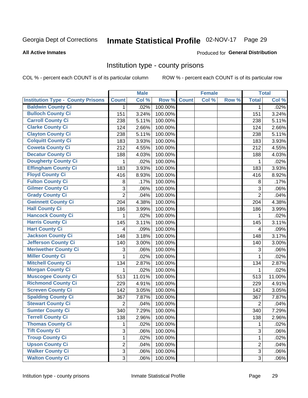## Inmate Statistical Profile 02-NOV-17 Page 29

### **All Active Inmates**

### Produced for General Distribution

## Institution type - county prisons

COL % - percent each COUNT is of its particular column

|                                          |                | <b>Male</b> |         |              | <b>Female</b> |       |                | <b>Total</b> |
|------------------------------------------|----------------|-------------|---------|--------------|---------------|-------|----------------|--------------|
| <b>Institution Type - County Prisons</b> | <b>Count</b>   | Col %       | Row %   | <b>Count</b> | Col %         | Row % | <b>Total</b>   | Col %        |
| <b>Baldwin County Ci</b>                 | $\mathbf{1}$   | .02%        | 100.00% |              |               |       | $\mathbf{1}$   | .02%         |
| <b>Bulloch County Ci</b>                 | 151            | 3.24%       | 100.00% |              |               |       | 151            | 3.24%        |
| <b>Carroll County Ci</b>                 | 238            | 5.11%       | 100.00% |              |               |       | 238            | 5.11%        |
| <b>Clarke County Ci</b>                  | 124            | 2.66%       | 100.00% |              |               |       | 124            | 2.66%        |
| <b>Clayton County Ci</b>                 | 238            | 5.11%       | 100.00% |              |               |       | 238            | 5.11%        |
| <b>Colquitt County Ci</b>                | 183            | 3.93%       | 100.00% |              |               |       | 183            | 3.93%        |
| <b>Coweta County Ci</b>                  | 212            | 4.55%       | 100.00% |              |               |       | 212            | 4.55%        |
| <b>Decatur County Ci</b>                 | 188            | 4.03%       | 100.00% |              |               |       | 188            | 4.03%        |
| <b>Dougherty County Ci</b>               | 1              | .02%        | 100.00% |              |               |       | 1              | .02%         |
| <b>Effingham County Ci</b>               | 183            | 3.93%       | 100.00% |              |               |       | 183            | 3.93%        |
| <b>Floyd County Ci</b>                   | 416            | 8.93%       | 100.00% |              |               |       | 416            | 8.92%        |
| <b>Fulton County Ci</b>                  | 8              | .17%        | 100.00% |              |               |       | $\,8\,$        | .17%         |
| <b>Gilmer County Ci</b>                  | 3              | .06%        | 100.00% |              |               |       | 3              | .06%         |
| <b>Grady County Ci</b>                   | $\overline{2}$ | .04%        | 100.00% |              |               |       | $\overline{2}$ | .04%         |
| <b>Gwinnett County Ci</b>                | 204            | 4.38%       | 100.00% |              |               |       | 204            | 4.38%        |
| <b>Hall County Ci</b>                    | 186            | 3.99%       | 100.00% |              |               |       | 186            | 3.99%        |
| <b>Hancock County Ci</b>                 | 1              | .02%        | 100.00% |              |               |       | 1              | .02%         |
| <b>Harris County Ci</b>                  | 145            | 3.11%       | 100.00% |              |               |       | 145            | 3.11%        |
| <b>Hart County Ci</b>                    | 4              | .09%        | 100.00% |              |               |       | 4              | .09%         |
| <b>Jackson County Ci</b>                 | 148            | 3.18%       | 100.00% |              |               |       | 148            | 3.17%        |
| <b>Jefferson County Ci</b>               | 140            | 3.00%       | 100.00% |              |               |       | 140            | 3.00%        |
| <b>Meriwether County Ci</b>              | 3              | .06%        | 100.00% |              |               |       | 3              | .06%         |
| <b>Miller County Ci</b>                  | 1              | .02%        | 100.00% |              |               |       | 1              | .02%         |
| <b>Mitchell County Ci</b>                | 134            | 2.87%       | 100.00% |              |               |       | 134            | 2.87%        |
| <b>Morgan County Ci</b>                  | 1              | .02%        | 100.00% |              |               |       | 1              | .02%         |
| <b>Muscogee County Ci</b>                | 513            | 11.01%      | 100.00% |              |               |       | 513            | 11.00%       |
| <b>Richmond County Ci</b>                | 229            | 4.91%       | 100.00% |              |               |       | 229            | 4.91%        |
| <b>Screven County Ci</b>                 | 142            | 3.05%       | 100.00% |              |               |       | 142            | 3.05%        |
| <b>Spalding County Ci</b>                | 367            | 7.87%       | 100.00% |              |               |       | 367            | 7.87%        |
| <b>Stewart County Ci</b>                 | $\overline{2}$ | .04%        | 100.00% |              |               |       | $\overline{2}$ | .04%         |
| <b>Sumter County Ci</b>                  | 340            | 7.29%       | 100.00% |              |               |       | 340            | 7.29%        |
| <b>Terrell County Ci</b>                 | 138            | 2.96%       | 100.00% |              |               |       | 138            | 2.96%        |
| <b>Thomas County Ci</b>                  | 1              | .02%        | 100.00% |              |               |       |                | .02%         |
| <b>Tift County Ci</b>                    | 3              | .06%        | 100.00% |              |               |       | 3              | .06%         |
| <b>Troup County Ci</b>                   | 1              | .02%        | 100.00% |              |               |       | $\mathbf{1}$   | .02%         |
| <b>Upson County Ci</b>                   | $\overline{2}$ | .04%        | 100.00% |              |               |       | $\overline{2}$ | .04%         |
| <b>Walker County Ci</b>                  | 3              | .06%        | 100.00% |              |               |       | 3              | .06%         |
| <b>Walton County Ci</b>                  | 3              | .06%        | 100.00% |              |               |       | 3 <sup>1</sup> | .06%         |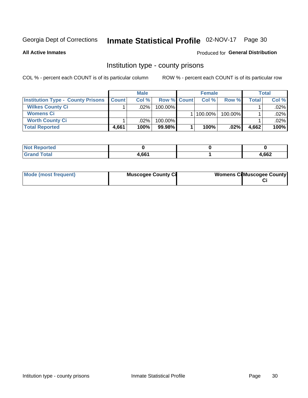## Inmate Statistical Profile 02-NOV-17 Page 30

**All Active Inmates** 

## Produced for General Distribution

## Institution type - county prisons

COL % - percent each COUNT is of its particular column

|                                          |              | <b>Male</b> |                    | <b>Female</b> |         |         | <b>Total</b> |
|------------------------------------------|--------------|-------------|--------------------|---------------|---------|---------|--------------|
| <b>Institution Type - County Prisons</b> | <b>Count</b> | Col%        | <b>Row % Count</b> | Col%          | Row %   | Total i | Col %        |
| <b>Wilkes County Ci</b>                  |              | .02%        | $100.00\%$         |               |         |         | .02%         |
| <b>Womens Ci</b>                         |              |             |                    | 100.00%       | 100.00% |         | .02%         |
| <b>Worth County Ci</b>                   |              | $.02\%$     | 100.00%            |               |         |         | .02%         |
| <b>Total Reported</b>                    | 4,661        | 100%        | 99.98%             | 100%          | $.02\%$ | 4,662   | 100%         |

| <u>ied</u>           |     |      |
|----------------------|-----|------|
| $\sim$ $\sim$ $\sim$ | 661 | ,662 |

| Mode (most frequent) | <b>Muscogee County Ci</b> | <b>Womens Cil Muscogee County</b> |
|----------------------|---------------------------|-----------------------------------|
|                      |                           |                                   |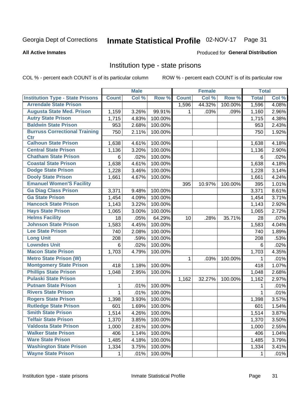## Inmate Statistical Profile 02-NOV-17 Page 31

### **All Active Inmates**

### Produced for General Distribution

## Institution type - state prisons

COL % - percent each COUNT is of its particular column

|                                         |              | <b>Male</b> |         |              | <b>Female</b> |         | <b>Total</b> |       |
|-----------------------------------------|--------------|-------------|---------|--------------|---------------|---------|--------------|-------|
| <b>Institution Type - State Prisons</b> | <b>Count</b> | Col %       | Row %   | <b>Count</b> | Col %         | Row %   | <b>Total</b> | Col % |
| <b>Arrendale State Prison</b>           |              |             |         | 1,596        | 44.32%        | 100.00% | 1,596        | 4.08% |
| <b>Augusta State Med. Prison</b>        | 1,159        | 3.26%       | 99.91%  | 1            | .03%          | .09%    | 1,160        | 2.96% |
| <b>Autry State Prison</b>               | 1,715        | 4.83%       | 100.00% |              |               |         | 1,715        | 4.38% |
| <b>Baldwin State Prison</b>             | 953          | 2.68%       | 100.00% |              |               |         | 953          | 2.43% |
| <b>Burruss Correctional Training</b>    | 750          | 2.11%       | 100.00% |              |               |         | 750          | 1.92% |
| <b>Ctr</b>                              |              |             |         |              |               |         |              |       |
| <b>Calhoun State Prison</b>             | 1,638        | 4.61%       | 100.00% |              |               |         | 1,638        | 4.18% |
| <b>Central State Prison</b>             | 1,136        | 3.20%       | 100.00% |              |               |         | 1,136        | 2.90% |
| <b>Chatham State Prison</b>             | 6            | .02%        | 100.00% |              |               |         | 6            | .02%  |
| <b>Coastal State Prison</b>             | 1,638        | 4.61%       | 100.00% |              |               |         | 1,638        | 4.18% |
| <b>Dodge State Prison</b>               | 1,228        | 3.46%       | 100.00% |              |               |         | 1,228        | 3.14% |
| <b>Dooly State Prison</b>               | 1,661        | 4.67%       | 100.00% |              |               |         | 1,661        | 4.24% |
| <b>Emanuel Women'S Facility</b>         |              |             |         | 395          | 10.97%        | 100.00% | 395          | 1.01% |
| <b>Ga Diag Class Prison</b>             | 3,371        | 9.48%       | 100.00% |              |               |         | 3,371        | 8.61% |
| <b>Ga State Prison</b>                  | 1,454        | 4.09%       | 100.00% |              |               |         | 1,454        | 3.71% |
| <b>Hancock State Prison</b>             | 1,143        | 3.22%       | 100.00% |              |               |         | 1,143        | 2.92% |
| <b>Hays State Prison</b>                | 1,065        | 3.00%       | 100.00% |              |               |         | 1,065        | 2.72% |
| <b>Helms Facility</b>                   | 18           | .05%        | 64.29%  | 10           | .28%          | 35.71%  | 28           | .07%  |
| <b>Johnson State Prison</b>             | 1,583        | 4.45%       | 100.00% |              |               |         | 1,583        | 4.04% |
| <b>Lee State Prison</b>                 | 740          | 2.08%       | 100.00% |              |               |         | 740          | 1.89% |
| <b>Long Unit</b>                        | 208          | .59%        | 100.00% |              |               |         | 208          | .53%  |
| <b>Lowndes Unit</b>                     | 6            | .02%        | 100.00% |              |               |         | 6            | .02%  |
| <b>Macon State Prison</b>               | 1,703        | 4.79%       | 100.00% |              |               |         | 1,703        | 4.35% |
| <b>Metro State Prison (W)</b>           |              |             |         | 1            | .03%          | 100.00% | 1            | .01%  |
| <b>Montgomery State Prison</b>          | 418          | 1.18%       | 100.00% |              |               |         | 418          | 1.07% |
| <b>Phillips State Prison</b>            | 1,048        | 2.95%       | 100.00% |              |               |         | 1,048        | 2.68% |
| <b>Pulaski State Prison</b>             |              |             |         | 1,162        | 32.27%        | 100.00% | 1,162        | 2.97% |
| <b>Putnam State Prison</b>              | 1            | .01%        | 100.00% |              |               |         | 1            | .01%  |
| <b>Rivers State Prison</b>              | 1            | .01%        | 100.00% |              |               |         | 1            | .01%  |
| <b>Rogers State Prison</b>              | 1,398        | 3.93%       | 100.00% |              |               |         | 1,398        | 3.57% |
| <b>Rutledge State Prison</b>            | 601          | 1.69%       | 100.00% |              |               |         | 601          | 1.54% |
| <b>Smith State Prison</b>               | 1,514        | 4.26%       | 100.00% |              |               |         | 1,514        | 3.87% |
| <b>Telfair State Prison</b>             | 1,370        | 3.85%       | 100.00% |              |               |         | 1,370        | 3.50% |
| <b>Valdosta State Prison</b>            | 1,000        | 2.81%       | 100.00% |              |               |         | 1,000        | 2.55% |
| <b>Walker State Prison</b>              | 406          | 1.14%       | 100.00% |              |               |         | 406          | 1.04% |
| <b>Ware State Prison</b>                | 1,485        | 4.18%       | 100.00% |              |               |         | 1,485        | 3.79% |
| <b>Washington State Prison</b>          | 1,334        | 3.75%       | 100.00% |              |               |         | 1,334        | 3.41% |
| <b>Wayne State Prison</b>               | 1            | .01%        | 100.00% |              |               |         | 1            | .01%  |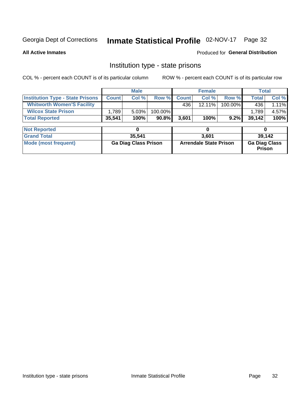## Inmate Statistical Profile 02-NOV-17 Page 32

**All Active Inmates** 

## Produced for General Distribution

## Institution type - state prisons

COL % - percent each COUNT is of its particular column

|                                         |              | <b>Male</b>                 |         |              | <b>Female</b>                 |         | <b>Total</b>                   |        |
|-----------------------------------------|--------------|-----------------------------|---------|--------------|-------------------------------|---------|--------------------------------|--------|
| <b>Institution Type - State Prisons</b> | <b>Count</b> | Col %                       | Row %   | <b>Count</b> | Col %                         | Row %   | Total                          | Col %  |
| <b>Whitworth Women'S Facility</b>       |              |                             |         | 436          | $12.11\%$                     | 100.00% | 436                            | 1.11%  |
| <b>Wilcox State Prison</b>              | 1,789        | 5.03%                       | 100.00% |              |                               |         | 1,789                          | 4.57%  |
| <b>Total Reported</b>                   | 35,541       | 100%                        | 90.8%   | 3,601        | 100%                          | 9.2%    | 39,142                         | 100%   |
| <b>Not Reported</b>                     |              | 0                           |         |              | 0                             |         | 0                              |        |
|                                         |              |                             |         |              |                               |         |                                |        |
| <b>Grand Total</b>                      |              | 35,541                      |         |              | 3,601                         |         |                                | 39,142 |
| <b>Mode (most frequent)</b>             |              | <b>Ga Diag Class Prison</b> |         |              | <b>Arrendale State Prison</b> |         | <b>Ga Diag Class</b><br>Prison |        |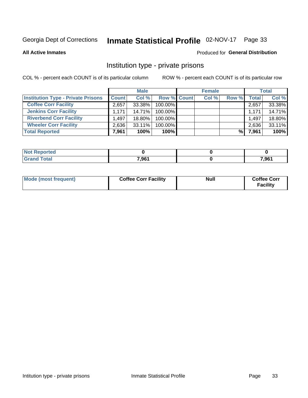## Inmate Statistical Profile 02-NOV-17 Page 33

**All Active Inmates** 

## Produced for General Distribution

## Institution type - private prisons

COL % - percent each COUNT is of its particular column

|                                           |              | <b>Male</b> |                    | <b>Female</b> |       |       | <b>Total</b> |
|-------------------------------------------|--------------|-------------|--------------------|---------------|-------|-------|--------------|
| <b>Institution Type - Private Prisons</b> | <b>Count</b> | Col %       | <b>Row % Count</b> | Col %         | Row % | Total | Col %        |
| <b>Coffee Corr Facility</b>               | 2,657        | 33.38%      | 100.00%            |               |       | 2,657 | 33.38%       |
| <b>Jenkins Corr Facility</b>              | 1.171        | $14.71\%$   | 100.00%            |               |       | 1,171 | 14.71%       |
| <b>Riverbend Corr Facility</b>            | 1.497        | 18.80%      | 100.00%            |               |       | 1,497 | 18.80%       |
| <b>Wheeler Corr Facility</b>              | 2,636        | $33.11\%$   | 100.00%            |               |       | 2,636 | 33.11%       |
| <b>Total Reported</b>                     | 7,961        | 100%        | $100\%$            |               | %     | 7,961 | 100%         |

| <b>Reported</b> |       |       |
|-----------------|-------|-------|
| <b>otal</b>     | 7,961 | 7,961 |

| Mode (most frequent) | <b>Coffee Corr Facility</b> | <b>Null</b> | <b>Coffee Corr</b><br><b>Facility</b> |
|----------------------|-----------------------------|-------------|---------------------------------------|
|----------------------|-----------------------------|-------------|---------------------------------------|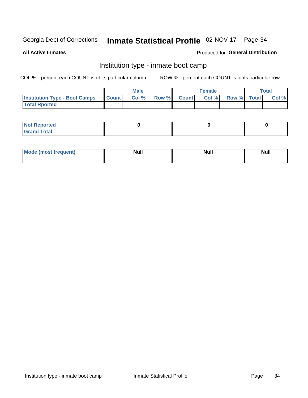## Inmate Statistical Profile 02-NOV-17 Page 34

**All Active Inmates** 

## Produced for General Distribution

## Institution type - inmate boot camp

COL % - percent each COUNT is of its particular column

|                                      |              | <b>Male</b> |               |              | <b>Female</b> |             | <b>Total</b> |
|--------------------------------------|--------------|-------------|---------------|--------------|---------------|-------------|--------------|
| <b>Institution Type - Boot Camps</b> | <b>Count</b> | Col %       | <b>Row %I</b> | <b>Count</b> | Col %         | Row % Total | Col %        |
| <b>Total Rported</b>                 |              |             |               |              |               |             |              |

| <b>Not Reported</b>            |  |  |
|--------------------------------|--|--|
| <b>Total</b><br>C <sub>r</sub> |  |  |

| Mod<br>uamo | Nul.<br>$- - - - - -$ | <b>Null</b> | . .<br>uu.<br>------ |
|-------------|-----------------------|-------------|----------------------|
|             |                       |             |                      |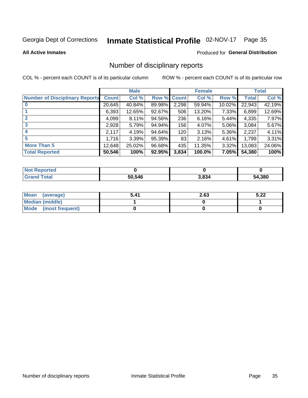## Inmate Statistical Profile 02-NOV-17 Page 35

### **All Active Inmates**

### Produced for General Distribution

## Number of disciplinary reports

COL % - percent each COUNT is of its particular column

|                                       |              | <b>Male</b> |                    |                  | <b>Female</b> |        |              | <b>Total</b> |
|---------------------------------------|--------------|-------------|--------------------|------------------|---------------|--------|--------------|--------------|
| <b>Number of Disciplinary Reports</b> | <b>Count</b> | Col %       | <b>Row % Count</b> |                  | Col %         | Row %  | <b>Total</b> | Col %        |
|                                       | 20,645       | 40.84%      | 89.98%             | 2,298            | 59.94%        | 10.02% | 22,943       | 42.19%       |
|                                       | 6,393        | 12.65%      | $92.67\%$          | 506              | 13.20%        | 7.33%  | 6,899        | 12.69%       |
|                                       | 4,099        | 8.11%       | 94.56%             | 236              | 6.16%         | 5.44%  | 4,335        | 7.97%        |
| 3                                     | 2,928        | 5.79%       | 94.94%             | 156 <sub>1</sub> | 4.07%         | 5.06%  | 3,084        | 5.67%        |
|                                       | 2,117        | 4.19%       | 94.64%             | 120              | 3.13%         | 5.36%  | 2,237        | 4.11%        |
| 5                                     | 1,716        | 3.39%       | 95.39%             | 83               | 2.16%         | 4.61%  | 1,799        | 3.31%        |
| <b>More Than 5</b>                    | 12,648       | 25.02%      | 96.68%             | 435              | 11.35%        | 3.32%  | 13,083       | 24.06%       |
| <b>Total Reported</b>                 | 50,546       | 100%        | 92.95%             | 3,834            | 100.0%        | 7.05%  | 54,380       | 100%         |

| Reported<br>Not <b>I</b> |        |       |        |
|--------------------------|--------|-------|--------|
| Total                    | 50.546 | 3,834 | 54,380 |

| Mean (average)       | 5.41 | 2.63 | 5.22 |
|----------------------|------|------|------|
| Median (middle)      |      |      |      |
| Mode (most frequent) |      |      |      |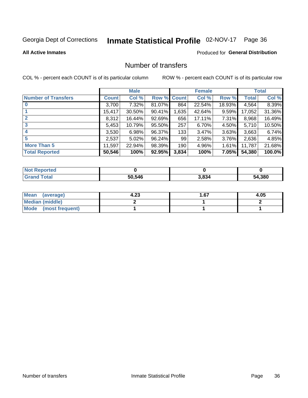## Inmate Statistical Profile 02-NOV-17 Page 36

**All Active Inmates** 

## **Produced for General Distribution**

## Number of transfers

COL % - percent each COUNT is of its particular column

|                            |              | <b>Male</b> |                    |       | <b>Female</b> |        |              | <b>Total</b> |
|----------------------------|--------------|-------------|--------------------|-------|---------------|--------|--------------|--------------|
| <b>Number of Transfers</b> | <b>Count</b> | Col %       | <b>Row % Count</b> |       | Col %         | Row %  | <b>Total</b> | Col %        |
|                            | 3,700        | 7.32%       | 81.07%             | 864   | 22.54%        | 18.93% | 4,564        | 8.39%        |
|                            | 15,417       | 30.50%      | 90.41%             | 1,635 | 42.64%        | 9.59%  | 17,052       | 31.36%       |
| $\mathbf{2}$               | 8,312        | 16.44%      | 92.69%             | 656   | 17.11%        | 7.31%  | 8,968        | 16.49%       |
| 3                          | 5,453        | 10.79%      | $95.50\%$          | 257   | 6.70%         | 4.50%  | 5,710        | 10.50%       |
|                            | 3,530        | 6.98%       | 96.37%             | 133   | 3.47%         | 3.63%  | 3,663        | 6.74%        |
| 5                          | 2,537        | 5.02%       | 96.24%             | 99    | 2.58%         | 3.76%  | 2,636        | 4.85%        |
| <b>More Than 5</b>         | 11,597       | 22.94%      | 98.39%             | 190   | 4.96%         | 1.61%  | 11,787       | 21.68%       |
| <b>Total Reported</b>      | 50,546       | 100%        | 92.95%             | 3,834 | 100%          | 7.05%  | 54,380       | 100.0%       |

| Reported<br>Not <b>I</b> |        |       |        |
|--------------------------|--------|-------|--------|
| Total                    | 50.546 | 3,834 | 54,380 |

| Mean (average)       | 4.23 | 1.67 | 4.05 |
|----------------------|------|------|------|
| Median (middle)      |      |      |      |
| Mode (most frequent) |      |      |      |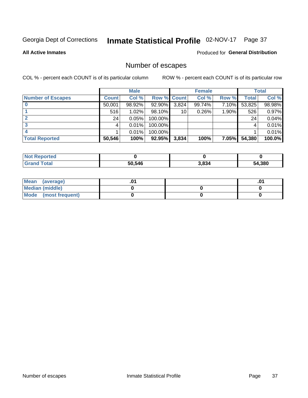## Inmate Statistical Profile 02-NOV-17 Page 37

**All Active Inmates** 

## **Produced for General Distribution**

## Number of escapes

COL % - percent each COUNT is of its particular column

|                          |              | <b>Male</b> |             |       | <b>Female</b> |          |        | <b>Total</b> |
|--------------------------|--------------|-------------|-------------|-------|---------------|----------|--------|--------------|
| <b>Number of Escapes</b> | <b>Count</b> | Col %       | Row % Count |       | Col %         | Row %    | Total  | Col %        |
|                          | 50,001       | 98.92%      | 92.90%      | 3,824 | 99.74%        | 7.10%    | 53,825 | 98.98%       |
|                          | 516          | $1.02\%$    | 98.10%      | 10    | 0.26%         | 1.90%    | 526    | 0.97%        |
|                          | 24           | 0.05%       | 100.00%     |       |               |          | 24     | 0.04%        |
|                          |              | 0.01%       | 100.00%     |       |               |          |        | 0.01%        |
|                          |              | 0.01%       | 100.00%     |       |               |          |        | 0.01%        |
| <b>Total Reported</b>    | 50,546       | 100%        | $92.95\%$   | 3,834 | 100%          | $7.05\%$ | 54,380 | 100.0%       |

| <b>Not Reported</b> |        |       |        |
|---------------------|--------|-------|--------|
| Total               | 50.546 | 3,834 | 54,380 |

| Mean (average)       |  | ו ש. |
|----------------------|--|------|
| Median (middle)      |  |      |
| Mode (most frequent) |  |      |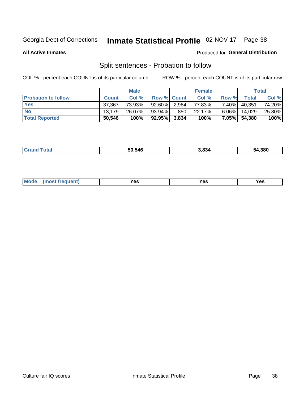## Inmate Statistical Profile 02-NOV-17 Page 38

**All Active Inmates** 

### Produced for General Distribution

## Split sentences - Probation to follow

COL % - percent each COUNT is of its particular column

|                            |              | <b>Male</b> |                    |     | <b>Female</b> |          |        | <b>Total</b> |
|----------------------------|--------------|-------------|--------------------|-----|---------------|----------|--------|--------------|
| <b>Probation to follow</b> | <b>Count</b> | Col%        | <b>Row % Count</b> |     | Col %         | Row %    | Total  | Col %        |
| <b>Yes</b>                 | 37.367       | 73.93%      | 92.60% 2.984       |     | 77.83%        | $7.40\%$ | 40,351 | 74.20%       |
| <b>No</b>                  | 13.179       | 26.07%      | $93.94\%$          | 850 | 22.17%        | $6.06\%$ | 14.029 | 25.80%       |
| <b>Total Reported</b>      | 50,546       | 100%        | $92.95\%$ 3,834    |     | 100%          | $7.05\%$ | 54,380 | 100%         |

|--|

| $Moo$<br>requent<br>′es<br>Yes<br><b>YAC</b><br>. |
|---------------------------------------------------|
|---------------------------------------------------|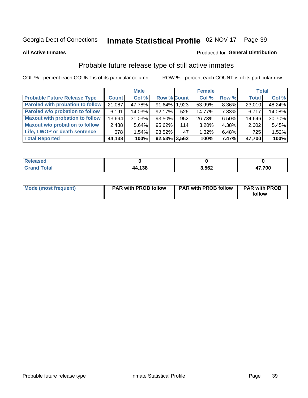## Inmate Statistical Profile 02-NOV-17 Page 39

**All Active Inmates** 

### Produced for General Distribution

## Probable future release type of still active inmates

COL % - percent each COUNT is of its particular column

|                                         |              | <b>Male</b> |                    |     | <b>Female</b> |       | <b>Total</b> |        |
|-----------------------------------------|--------------|-------------|--------------------|-----|---------------|-------|--------------|--------|
| <b>Probable Future Release Type</b>     | <b>Count</b> | Col %       | <b>Row % Count</b> |     | Col %         | Row % | <b>Total</b> | Col %  |
| <b>Paroled with probation to follow</b> | 21,087       | 47.78%      | 91.64% 1.923       |     | 53.99%        | 8.36% | 23,010       | 48.24% |
| Paroled w/o probation to follow         | 6,191        | 14.03%      | 92.17%             | 526 | 14.77%        | 7.83% | 6,717        | 14.08% |
| <b>Maxout with probation to follow</b>  | 13,694       | 31.03%      | 93.50%             | 952 | 26.73%        | 6.50% | 14,646       | 30.70% |
| <b>Maxout w/o probation to follow</b>   | 2,488        | 5.64%       | 95.62%             | 114 | 3.20%         | 4.38% | 2,602        | 5.45%  |
| Life, LWOP or death sentence            | 678          | $1.54\%$    | $93.52\%$          | 47  | 1.32%         | 6.48% | 725          | 1.52%  |
| <b>Total Reported</b>                   | 44,138       | 100%        | $92.53\%$ 3,562    |     | 100%          | 7.47% | 47.700       | 100%   |

| 456U                   |              |       |            |
|------------------------|--------------|-------|------------|
| $f \wedge f \wedge f'$ | 120<br>, 130 | 3,562 | 7700<br>vv |

| Mode (most frequent) | <b>PAR with PROB follow</b> | <b>PAR with PROB follow</b> | <b>PAR with PROB</b> |  |
|----------------------|-----------------------------|-----------------------------|----------------------|--|
|                      |                             |                             | follow               |  |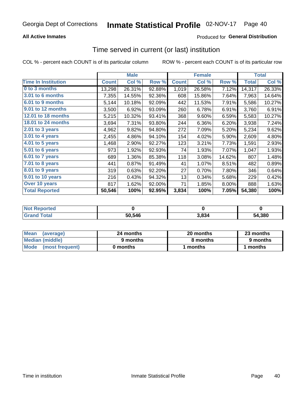### **All Active Inmates**

### Produced for General Distribution

## Time served in current (or last) institution

COL % - percent each COUNT is of its particular column

|                            |              | <b>Male</b> |        |              | <b>Female</b> |        |              | <b>Total</b> |
|----------------------------|--------------|-------------|--------|--------------|---------------|--------|--------------|--------------|
| <b>Time In Institution</b> | <b>Count</b> | Col %       | Row %  | <b>Count</b> | Col %         | Row %  | <b>Total</b> | Col %        |
| 0 to 3 months              | 13,298       | 26.31%      | 92.88% | 1,019        | 26.58%        | 7.12%  | 14,317       | 26.33%       |
| 3.01 to 6 months           | 7,355        | 14.55%      | 92.36% | 608          | 15.86%        | 7.64%  | 7,963        | 14.64%       |
| 6.01 to 9 months           | 5,144        | 10.18%      | 92.09% | 442          | 11.53%        | 7.91%  | 5,586        | 10.27%       |
| 9.01 to 12 months          | 3,500        | 6.92%       | 93.09% | 260          | 6.78%         | 6.91%  | 3,760        | 6.91%        |
| <b>12.01 to 18 months</b>  | 5,215        | 10.32%      | 93.41% | 368          | 9.60%         | 6.59%  | 5,583        | 10.27%       |
| <b>18.01 to 24 months</b>  | 3,694        | 7.31%       | 93.80% | 244          | 6.36%         | 6.20%  | 3,938        | 7.24%        |
| 2.01 to 3 years            | 4,962        | 9.82%       | 94.80% | 272          | 7.09%         | 5.20%  | 5,234        | 9.62%        |
| 3.01 to 4 years            | 2,455        | 4.86%       | 94.10% | 154          | 4.02%         | 5.90%  | 2,609        | 4.80%        |
| $4.01$ to 5 years          | 1,468        | 2.90%       | 92.27% | 123          | 3.21%         | 7.73%  | 1,591        | 2.93%        |
| 5.01 to 6 years            | 973          | 1.92%       | 92.93% | 74           | 1.93%         | 7.07%  | 1,047        | 1.93%        |
| 6.01 to 7 years            | 689          | 1.36%       | 85.38% | 118          | 3.08%         | 14.62% | 807          | 1.48%        |
| 7.01 to 8 years            | 441          | 0.87%       | 91.49% | 41           | 1.07%         | 8.51%  | 482          | 0.89%        |
| 8.01 to 9 years            | 319          | 0.63%       | 92.20% | 27           | 0.70%         | 7.80%  | 346          | 0.64%        |
| 9.01 to 10 years           | 216          | 0.43%       | 94.32% | 13           | 0.34%         | 5.68%  | 229          | 0.42%        |
| Over 10 years              | 817          | 1.62%       | 92.00% | 71           | 1.85%         | 8.00%  | 888          | 1.63%        |
| <b>Total Reported</b>      | 50,546       | 100%        | 92.95% | 3,834        | 100%          | 7.05%  | 54,380       | 100%         |

| <b>Not</b><br>Renorted |        |      |        |
|------------------------|--------|------|--------|
| Total                  | 50.546 | .834 | 54,380 |

| <b>Mean</b><br>(average) | 24 months | 20 months | 23 months |
|--------------------------|-----------|-----------|-----------|
| Median (middle)          | 9 months  | 8 months  | 9 months  |
| Mode (most frequent)     | 0 months  | months    | 1 months  |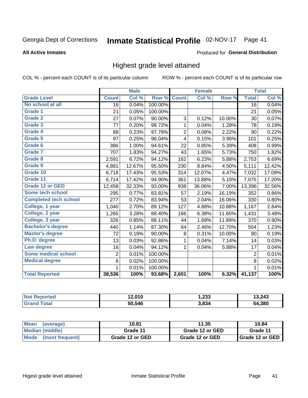#### Inmate Statistical Profile 02-NOV-17 Page 41

#### **All Active Inmates**

#### Produced for General Distribution

### Highest grade level attained

COL % - percent each COUNT is of its particular column

|                              |                 | <b>Male</b> |         |                | <b>Female</b> |        |                 | <b>Total</b> |
|------------------------------|-----------------|-------------|---------|----------------|---------------|--------|-----------------|--------------|
| <b>Grade Level</b>           | <b>Count</b>    | Col %       | Row %   | <b>Count</b>   | Col %         | Row %  | <b>Total</b>    | Col %        |
| No school at all             | $\overline{16}$ | 0.04%       | 100.00% |                |               |        | $\overline{16}$ | 0.04%        |
| <b>Grade 1</b>               | 21              | 0.05%       | 100.00% |                |               |        | 21              | 0.05%        |
| <b>Grade 2</b>               | 27              | 0.07%       | 90.00%  | 3              | 0.12%         | 10.00% | 30              | 0.07%        |
| Grade 3                      | 77              | 0.20%       | 98.72%  | 1              | 0.04%         | 1.28%  | 78              | 0.19%        |
| <b>Grade 4</b>               | 88              | 0.23%       | 97.78%  | $\overline{2}$ | 0.08%         | 2.22%  | 90              | 0.22%        |
| Grade 5                      | 97              | 0.25%       | 96.04%  | 4              | 0.15%         | 3.96%  | 101             | 0.25%        |
| Grade 6                      | 386             | 1.00%       | 94.61%  | 22             | 0.85%         | 5.39%  | 408             | 0.99%        |
| <b>Grade 7</b>               | 707             | 1.83%       | 94.27%  | 43             | 1.65%         | 5.73%  | 750             | 1.82%        |
| Grade 8                      | 2,591           | 6.72%       | 94.12%  | 162            | 6.23%         | 5.88%  | 2,753           | 6.69%        |
| Grade 9                      | 4,881           | 12.67%      | 95.50%  | 230            | 8.84%         | 4.50%  | 5,111           | 12.42%       |
| Grade 10                     | 6,718           | 17.43%      | 95.53%  | 314            | 12.07%        | 4.47%  | 7,032           | 17.09%       |
| Grade 11                     | 6,714           | 17.42%      | 94.90%  | 361            | 13.88%        | 5.10%  | 7,075           | 17.20%       |
| <b>Grade 12 or GED</b>       | 12,458          | 32.33%      | 93.00%  | 938            | 36.06%        | 7.00%  | 13,396          | 32.56%       |
| <b>Some tech school</b>      | 295             | 0.77%       | 83.81%  | 57             | 2.19%         | 16.19% | 352             | 0.86%        |
| <b>Completed tech school</b> | 277             | 0.72%       | 83.94%  | 53             | 2.04%         | 16.06% | 330             | 0.80%        |
| College, 1 year              | 1,040           | 2.70%       | 89.12%  | 127            | 4.88%         | 10.88% | 1,167           | 2.84%        |
| College, 2 year              | 1,265           | 3.28%       | 88.40%  | 166            | 6.38%         | 11.60% | 1,431           | 3.48%        |
| College, 3 year              | 326             | 0.85%       | 88.11%  | 44             | 1.69%         | 11.89% | 370             | 0.90%        |
| <b>Bachelor's degree</b>     | 440             | 1.14%       | 87.30%  | 64             | 2.46%         | 12.70% | 504             | 1.23%        |
| <b>Master's degree</b>       | 72              | 0.19%       | 90.00%  | 8              | 0.31%         | 10.00% | 80              | 0.19%        |
| Ph.D. degree                 | 13              | 0.03%       | 92.86%  | 1              | 0.04%         | 7.14%  | 14              | 0.03%        |
| Law degree                   | 16              | 0.04%       | 94.12%  | 1              | 0.04%         | 5.88%  | 17              | 0.04%        |
| <b>Some medical school</b>   | $\overline{2}$  | 0.01%       | 100.00% |                |               |        | $\overline{2}$  | 0.01%        |
| <b>Medical degree</b>        | 8               | 0.02%       | 100.00% |                |               |        | 8               | 0.02%        |
|                              | $\mathbf 1$     | 0.01%       | 100.00% |                |               |        | $\mathbf{1}$    | 0.01%        |
| <b>Total Reported</b>        | 38,536          | 100%        | 93.68%  | 2,601          | 100%          | 6.32%  | 41,137          | 100%         |

| 12.010 | າາາ<br>دد∡, ו | 3,243      |
|--------|---------------|------------|
| 50.546 | 3.834         | .380<br>54 |

| <b>Mean</b><br>(average) | 10.81           | 11.35           | 10.84           |
|--------------------------|-----------------|-----------------|-----------------|
| Median (middle)          | Grade 11        | Grade 12 or GED | Grade 11        |
| Mode<br>(most frequent)  | Grade 12 or GED | Grade 12 or GED | Grade 12 or GED |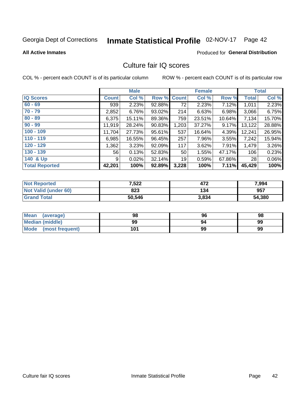# Inmate Statistical Profile 02-NOV-17 Page 42

#### **All Active Inmates**

#### **Produced for General Distribution**

### Culture fair IQ scores

COL % - percent each COUNT is of its particular column

|                       |              | <b>Male</b> |             |       | <b>Female</b> |        |                 | <b>Total</b> |
|-----------------------|--------------|-------------|-------------|-------|---------------|--------|-----------------|--------------|
| <b>IQ Scores</b>      | <b>Count</b> | Col %       | Row % Count |       | Col %         | Row %  | <b>Total</b>    | Col %        |
| $60 - 69$             | 939          | 2.23%       | 92.88%      | 72    | 2.23%         | 7.12%  | 1,011           | 2.23%        |
| $70 - 79$             | 2,852        | 6.76%       | 93.02%      | 214   | 6.63%         | 6.98%  | 3,066           | 6.75%        |
| $80 - 89$             | 6,375        | 15.11%      | 89.36%      | 759   | 23.51%        | 10.64% | 7,134           | 15.70%       |
| $90 - 99$             | 11,919       | 28.24%      | 90.83%      | 1,203 | 37.27%        | 9.17%  | 13,122          | 28.88%       |
| $100 - 109$           | 11,704       | 27.73%      | 95.61%      | 537   | 16.64%        | 4.39%  | 12,241          | 26.95%       |
| $110 - 119$           | 6,985        | 16.55%      | 96.45%      | 257   | 7.96%         | 3.55%  | 7,242           | 15.94%       |
| $120 - 129$           | 1,362        | 3.23%       | 92.09%      | 117   | 3.62%         | 7.91%  | 1,479           | 3.26%        |
| $130 - 139$           | 56           | 0.13%       | 52.83%      | 50    | 1.55%         | 47.17% | 106             | 0.23%        |
| 140 & Up              | 9            | 0.02%       | 32.14%      | 19    | 0.59%         | 67.86% | 28 <sup>1</sup> | 0.06%        |
| <b>Total Reported</b> | 42,201       | 100%        | 92.89%      | 3,228 | 100%          | 7.11%  | 45,429          | 100%         |

| <b>Not Reported</b>         | 7,522  | 472   | 7,994  |
|-----------------------------|--------|-------|--------|
| <b>Not Valid (under 60)</b> | 823    | 134   | 957    |
| <b>Grand Total</b>          | 50,546 | 3,834 | 54,380 |

| <b>Mean</b><br>(average) | 98  | 96 | 98 |
|--------------------------|-----|----|----|
| <b>Median (middle)</b>   | 99  | 94 | 99 |
| Mode<br>(most frequent)  | 101 | 99 | 99 |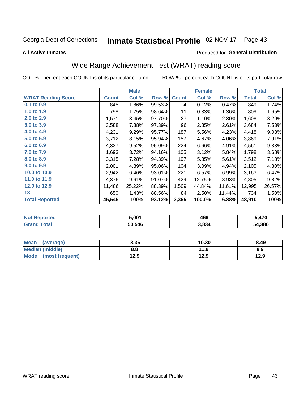#### Inmate Statistical Profile 02-NOV-17 Page 43

#### **All Active Inmates**

### Produced for General Distribution

## Wide Range Achievement Test (WRAT) reading score

COL % - percent each COUNT is of its particular column

|                           |              | <b>Male</b> |        |              | <b>Female</b> |        |              | <b>Total</b> |
|---------------------------|--------------|-------------|--------|--------------|---------------|--------|--------------|--------------|
| <b>WRAT Reading Score</b> | <b>Count</b> | Col %       | Row %  | <b>Count</b> | Col %         | Row %  | <b>Total</b> | Col %        |
| 0.1 to 0.9                | 845          | 1.86%       | 99.53% | 4            | 0.12%         | 0.47%  | 849          | 1.74%        |
| 1.0 to 1.9                | 798          | 1.75%       | 98.64% | 11           | 0.33%         | 1.36%  | 809          | 1.65%        |
| 2.0 to 2.9                | 1,571        | 3.45%       | 97.70% | 37           | 1.10%         | 2.30%  | 1,608        | 3.29%        |
| 3.0 to 3.9                | 3,588        | 7.88%       | 97.39% | 96           | 2.85%         | 2.61%  | 3,684        | 7.53%        |
| 4.0 to 4.9                | 4,231        | 9.29%       | 95.77% | 187          | 5.56%         | 4.23%  | 4,418        | 9.03%        |
| 5.0 to 5.9                | 3,712        | 8.15%       | 95.94% | 157          | 4.67%         | 4.06%  | 3,869        | 7.91%        |
| 6.0 to 6.9                | 4,337        | 9.52%       | 95.09% | 224          | 6.66%         | 4.91%  | 4,561        | 9.33%        |
| 7.0 to 7.9                | 1,693        | 3.72%       | 94.16% | 105          | 3.12%         | 5.84%  | 1,798        | 3.68%        |
| 8.0 to 8.9                | 3,315        | 7.28%       | 94.39% | 197          | 5.85%         | 5.61%  | 3,512        | 7.18%        |
| 9.0 to 9.9                | 2,001        | 4.39%       | 95.06% | 104          | 3.09%         | 4.94%  | 2,105        | 4.30%        |
| 10.0 to 10.9              | 2,942        | 6.46%       | 93.01% | 221          | 6.57%         | 6.99%  | 3,163        | 6.47%        |
| 11.0 to 11.9              | 4,376        | 9.61%       | 91.07% | 429          | 12.75%        | 8.93%  | 4,805        | 9.82%        |
| 12.0 to 12.9              | 11,486       | 25.22%      | 88.39% | 1,509        | 44.84%        | 11.61% | 12,995       | 26.57%       |
| 13                        | 650          | 1.43%       | 88.56% | 84           | 2.50%         | 11.44% | 734          | 1.50%        |
| <b>Total Reported</b>     | 45,545       | 100%        | 93.12% | 3,365        | 100.0%        | 6.88%  | 48,910       | 100%         |

| ר teo<br>NO | 5.001  | 469   | ה170   |
|-------------|--------|-------|--------|
|             | 50,546 | 3,834 | 54,380 |

| <b>Mean</b><br>(average) | 8.36 | 10.30 | 8.49 |
|--------------------------|------|-------|------|
| <b>Median (middle)</b>   | 8.8  | 11.9  | 8.9  |
| Mode<br>(most frequent)  | 12.9 | 12.9  | 12.9 |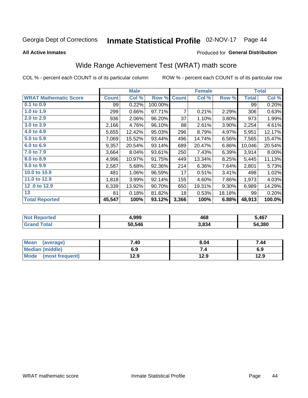#### Inmate Statistical Profile 02-NOV-17 Page 44

**All Active Inmates** 

#### Produced for General Distribution

## Wide Range Achievement Test (WRAT) math score

COL % - percent each COUNT is of its particular column

|                              |              | <b>Male</b> |         |              | <b>Female</b> |        |              | <b>Total</b> |
|------------------------------|--------------|-------------|---------|--------------|---------------|--------|--------------|--------------|
| <b>WRAT Mathematic Score</b> | <b>Count</b> | Col %       | Row %   | <b>Count</b> | Col %         | Row %  | <b>Total</b> | Col %        |
| 0.1 to 0.9                   | 99           | 0.22%       | 100.00% |              |               |        | 99           | 0.20%        |
| 1.0 to 1.9                   | 299          | 0.66%       | 97.71%  | 7            | 0.21%         | 2.29%  | 306          | 0.63%        |
| 2.0 to 2.9                   | 936          | 2.06%       | 96.20%  | 37           | 1.10%         | 3.80%  | 973          | 1.99%        |
| 3.0 to 3.9                   | 2,166        | 4.76%       | 96.10%  | 88           | 2.61%         | 3.90%  | 2,254        | 4.61%        |
| 4.0 to 4.9                   | 5,655        | 12.42%      | 95.03%  | 296          | 8.79%         | 4.97%  | 5,951        | 12.17%       |
| 5.0 to 5.9                   | 7,069        | 15.52%      | 93.44%  | 496          | 14.74%        | 6.56%  | 7,565        | 15.47%       |
| 6.0 to 6.9                   | 9,357        | 20.54%      | 93.14%  | 689          | 20.47%        | 6.86%  | 10,046       | 20.54%       |
| 7.0 to 7.9                   | 3,664        | 8.04%       | 93.61%  | 250          | 7.43%         | 6.39%  | 3,914        | $8.00\%$     |
| 8.0 to 8.9                   | 4,996        | 10.97%      | 91.75%  | 449          | 13.34%        | 8.25%  | 5,445        | 11.13%       |
| 9.0 to 9.9                   | 2,587        | 5.68%       | 92.36%  | 214          | 6.36%         | 7.64%  | 2,801        | 5.73%        |
| 10.0 to 10.9                 | 481          | 1.06%       | 96.59%  | 17           | 0.51%         | 3.41%  | 498          | 1.02%        |
| 11.0 to 11.9                 | 1,818        | 3.99%       | 92.14%  | 155          | 4.60%         | 7.86%  | 1,973        | 4.03%        |
| 12.0 to 12.9                 | 6,339        | 13.92%      | 90.70%  | 650          | 19.31%        | 9.30%  | 6,989        | 14.29%       |
| 13                           | 81           | 0.18%       | 81.82%  | 18           | 0.53%         | 18.18% | 99           | 0.20%        |
| <b>Total Reported</b>        | 45,547       | 100%        | 93.12%  | 3,366        | 100%          | 6.88%  | 48,913       | 100.0%       |

| NO | 4,999  | 468   | 5,467  |  |
|----|--------|-------|--------|--|
|    | 50,546 | 3,834 | 54,380 |  |

| <b>Mean</b><br>(average) | 7.40 | 8.04 | 7.44 |
|--------------------------|------|------|------|
| Median (middle)          | 6.9  | ۰.,  | 6.9  |
| Mode<br>(most frequent)  | 12.9 | 12.9 | 12.9 |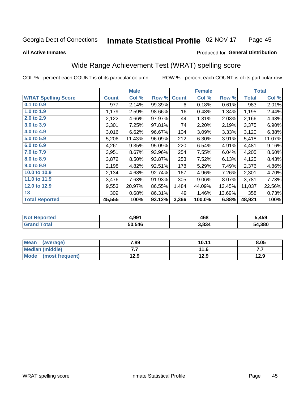#### Inmate Statistical Profile 02-NOV-17 Page 45

#### **All Active Inmates**

#### Produced for General Distribution

### Wide Range Achievement Test (WRAT) spelling score

COL % - percent each COUNT is of its particular column

|                            |              | <b>Male</b> |        |              | <b>Female</b> |        |              | <b>Total</b> |
|----------------------------|--------------|-------------|--------|--------------|---------------|--------|--------------|--------------|
| <b>WRAT Spelling Score</b> | <b>Count</b> | Col %       | Row %  | <b>Count</b> | Col %         | Row %  | <b>Total</b> | Col %        |
| 0.1 to 0.9                 | 977          | 2.14%       | 99.39% | 6            | 0.18%         | 0.61%  | 983          | 2.01%        |
| 1.0 to 1.9                 | 1,179        | 2.59%       | 98.66% | 16           | 0.48%         | 1.34%  | 1,195        | 2.44%        |
| 2.0 to 2.9                 | 2,122        | 4.66%       | 97.97% | 44           | 1.31%         | 2.03%  | 2,166        | 4.43%        |
| 3.0 to 3.9                 | 3,301        | 7.25%       | 97.81% | 74           | 2.20%         | 2.19%  | 3,375        | 6.90%        |
| 4.0 to 4.9                 | 3,016        | 6.62%       | 96.67% | 104          | 3.09%         | 3.33%  | 3,120        | 6.38%        |
| 5.0 to 5.9                 | 5,206        | 11.43%      | 96.09% | 212          | 6.30%         | 3.91%  | 5,418        | 11.07%       |
| 6.0 to 6.9                 | 4,261        | 9.35%       | 95.09% | 220          | 6.54%         | 4.91%  | 4,481        | 9.16%        |
| 7.0 to 7.9                 | 3,951        | 8.67%       | 93.96% | 254          | 7.55%         | 6.04%  | 4,205        | 8.60%        |
| 8.0 to 8.9                 | 3,872        | 8.50%       | 93.87% | 253          | 7.52%         | 6.13%  | 4,125        | 8.43%        |
| 9.0 to 9.9                 | 2,198        | 4.82%       | 92.51% | 178          | 5.29%         | 7.49%  | 2,376        | 4.86%        |
| 10.0 to 10.9               | 2,134        | 4.68%       | 92.74% | 167          | 4.96%         | 7.26%  | 2,301        | 4.70%        |
| 11.0 to 11.9               | 3,476        | 7.63%       | 91.93% | 305          | 9.06%         | 8.07%  | 3,781        | 7.73%        |
| 12.0 to 12.9               | 9,553        | 20.97%      | 86.55% | 1,484        | 44.09%        | 13.45% | 11,037       | 22.56%       |
| 13                         | 309          | 0.68%       | 86.31% | 49           | 1.46%         | 13.69% | 358          | 0.73%        |
| <b>Total Reported</b>      | 45,555       | 100%        | 93.12% | 3,366        | 100.0%        | 6.88%  | 48,921       | 100%         |

| วrted<br>NO | 4,991  | 468   | 5,459  |  |  |
|-------------|--------|-------|--------|--|--|
|             | 50,546 | 3,834 | 54,380 |  |  |

| <b>Mean</b><br>(average) | 7.89 | 10.11 | 8.05 |
|--------------------------|------|-------|------|
| <b>Median (middle)</b>   | .    | 11.6  | .    |
| Mode (most frequent)     | 12.9 | 12.9  | 12.9 |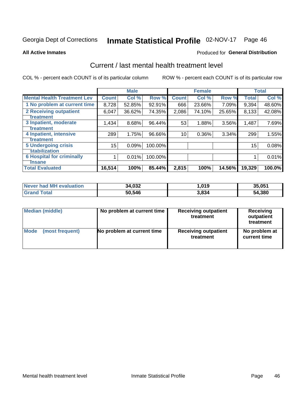# Inmate Statistical Profile 02-NOV-17 Page 46

#### **All Active Inmates**

#### Produced for General Distribution

### Current / last mental health treatment level

COL % - percent each COUNT is of its particular column

|                                    |              | <b>Male</b> |         |              | <b>Female</b> |        |              | <b>Total</b> |
|------------------------------------|--------------|-------------|---------|--------------|---------------|--------|--------------|--------------|
| <b>Mental Health Treatment Lev</b> | <b>Count</b> | Col %       | Row %   | <b>Count</b> | Col %         | Row %  | <b>Total</b> | Col %        |
| 1 No problem at current time       | 8,728        | 52.85%      | 92.91%  | 666          | 23.66%        | 7.09%  | 9,394        | 48.60%       |
| 2 Receiving outpatient             | 6,047        | 36.62%      | 74.35%  | 2,086        | 74.10%        | 25.65% | 8,133        | 42.08%       |
| <b>Treatment</b>                   |              |             |         |              |               |        |              |              |
| 3 Inpatient, moderate              | 1,434        | 8.68%       | 96.44%  | 53           | 1.88%         | 3.56%  | 1,487        | 7.69%        |
| Treatment                          |              |             |         |              |               |        |              |              |
| 4 Inpatient, intensive             | 289          | 1.75%       | 96.66%  | 10           | 0.36%         | 3.34%  | 299          | 1.55%        |
| Treatment                          |              |             |         |              |               |        |              |              |
| <b>5 Undergoing crisis</b>         | 15           | 0.09%       | 100.00% |              |               |        | 15           | 0.08%        |
| <b>stabilization</b>               |              |             |         |              |               |        |              |              |
| <b>6 Hospital for criminally</b>   |              | 0.01%       | 100.00% |              |               |        |              | 0.01%        |
| <b>Tinsane</b>                     |              |             |         |              |               |        |              |              |
| <b>Total Evaluated</b>             | 16,514       | 100%        | 85.44%  | 2,815        | 100%          | 14.56% | 19,329       | 100.0%       |

| Never had MH evaluation | 34,032 | 1,019 | 35,051 |
|-------------------------|--------|-------|--------|
| <b>Grand Total</b>      | 50,546 | 3,834 | 54,380 |

| Median (middle) | No problem at current time | <b>Receiving outpatient</b><br>treatment | <b>Receiving</b><br>outpatient<br>treatment |
|-----------------|----------------------------|------------------------------------------|---------------------------------------------|
| <b>Mode</b>     | No problem at current time | <b>Receiving outpatient</b>              | No problem at                               |
| (most frequent) |                            | treatment                                | current time                                |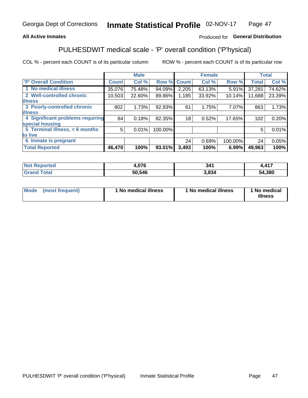### **All Active Inmates**

### Produced for General Distribution

## PULHESDWIT medical scale - 'P' overall condition ('P'hysical)

COL % - percent each COUNT is of its particular column

|                                  |              | <b>Male</b> |         |              | <b>Female</b> |         |              | <b>Total</b> |
|----------------------------------|--------------|-------------|---------|--------------|---------------|---------|--------------|--------------|
| 'P' Overall Condition            | <b>Count</b> | Col %       | Row %   | <b>Count</b> | Col %         | Row %   | <b>Total</b> | Col %        |
| 1 No medical illness             | 35,076       | 75.48%      | 94.09%  | 2,205        | 63.13%        | 5.91%   | 37,281       | 74.62%       |
| 2 Well-controlled chronic        | 10,503       | 22.60%      | 89.86%  | 1,185        | 33.92%        | 10.14%  | 11,688       | 23.39%       |
| <b>illness</b>                   |              |             |         |              |               |         |              |              |
| 3 Poorly-controlled chronic      | 802          | 1.73%       | 92.93%  | 61           | 1.75%         | 7.07%   | 863          | 1.73%        |
| <b>illness</b>                   |              |             |         |              |               |         |              |              |
| 4 Significant problems requiring | 84           | 0.18%       | 82.35%  | 18           | 0.52%         | 17.65%  | 102          | 0.20%        |
| special housing                  |              |             |         |              |               |         |              |              |
| 5 Terminal illness, < 6 months   | 5            | 0.01%       | 100.00% |              |               |         | 5            | 0.01%        |
| to live                          |              |             |         |              |               |         |              |              |
| 6 Inmate is pregnant             |              |             |         | 24           | 0.69%         | 100.00% | 24           | 0.05%        |
| <b>Total Reported</b>            | 46,470       | 100%        | 93.01%  | 3,493        | 100%          | 6.99%   | 49,963       | 100%         |

| rer<br>N | 0.7c   | 341 | 117<br>T I <i>I</i> |
|----------|--------|-----|---------------------|
| $-1$     | 50 54F | 834 | 54,380              |

| Mode | (most frequent) | 1 No medical illness | 1 No medical illness | 1 No medical<br>illness |
|------|-----------------|----------------------|----------------------|-------------------------|
|------|-----------------|----------------------|----------------------|-------------------------|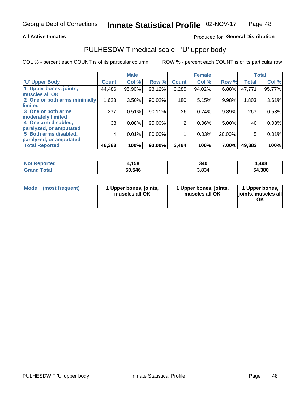#### **All Active Inmates**

### Produced for General Distribution

## PULHESDWIT medical scale - 'U' upper body

COL % - percent each COUNT is of its particular column

|                              |                    | <b>Male</b> |        |                | <b>Female</b> |        |              | <b>Total</b> |
|------------------------------|--------------------|-------------|--------|----------------|---------------|--------|--------------|--------------|
| <b>U' Upper Body</b>         | Count <sup>!</sup> | Col %       | Row %  | <b>Count</b>   | Col %         | Row %  | <b>Total</b> | Col %        |
| 1 Upper bones, joints,       | 44,486             | 95.90%      | 93.12% | 3,285          | 94.02%        | 6.88%  | 47,771       | 95.77%       |
| muscles all OK               |                    |             |        |                |               |        |              |              |
| 2 One or both arms minimally | 1,623              | 3.50%       | 90.02% | 180            | 5.15%         | 9.98%  | 1,803        | 3.61%        |
| limited                      |                    |             |        |                |               |        |              |              |
| 3 One or both arms           | 237                | 0.51%       | 90.11% | 26             | 0.74%         | 9.89%  | 263          | 0.53%        |
| <b>moderately limited</b>    |                    |             |        |                |               |        |              |              |
| 4 One arm disabled,          | 38                 | 0.08%       | 95.00% | $\overline{2}$ | 0.06%         | 5.00%  | 40           | 0.08%        |
| paralyzed, or amputated      |                    |             |        |                |               |        |              |              |
| 5 Both arms disabled,        | 4                  | 0.01%       | 80.00% |                | 0.03%         | 20.00% | 5            | 0.01%        |
| paralyzed, or amputated      |                    |             |        |                |               |        |              |              |
| <b>Total Reported</b>        | 46,388             | 100%        | 93.00% | 3,494          | 100%          | 7.00%  | 49,882       | 100%         |

| <b>Not Reported</b>   | 4,158  | 340   | l,498  |
|-----------------------|--------|-------|--------|
| <b>Total</b><br>Grand | 50,546 | 3,834 | 54,380 |

| Mode<br>(most frequent) | 1 Upper bones, joints,<br>muscles all OK | 1 Upper bones, joints,<br>muscles all OK | 1 Upper bones,<br>joints, muscles all<br>ΟK |
|-------------------------|------------------------------------------|------------------------------------------|---------------------------------------------|
|-------------------------|------------------------------------------|------------------------------------------|---------------------------------------------|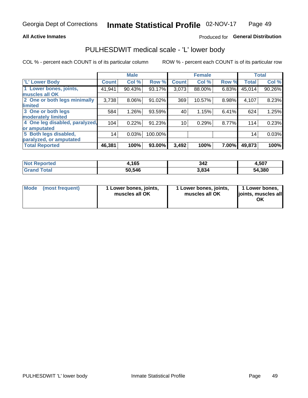#### **All Active Inmates**

### Produced for General Distribution

### PULHESDWIT medical scale - 'L' lower body

COL % - percent each COUNT is of its particular column

|                                |              | <b>Male</b> |         |              | <b>Female</b> |       |                 | <b>Total</b> |
|--------------------------------|--------------|-------------|---------|--------------|---------------|-------|-----------------|--------------|
| 'L' Lower Body                 | <b>Count</b> | Col %       | Row %   | <b>Count</b> | Col %         | Row % | <b>Total</b>    | Col %        |
| 1 Lower bones, joints,         | 41,941       | 90.43%      | 93.17%  | 3,073        | 88.00%        | 6.83% | 45,014          | 90.26%       |
| muscles all OK                 |              |             |         |              |               |       |                 |              |
| 2 One or both legs minimally   | 3,738        | 8.06%       | 91.02%  | 369          | 10.57%        | 8.98% | 4,107           | 8.23%        |
| limited                        |              |             |         |              |               |       |                 |              |
| 3 One or both legs             | 584          | 1.26%       | 93.59%  | 40           | 1.15%         | 6.41% | 624             | 1.25%        |
| moderately limited             |              |             |         |              |               |       |                 |              |
| 4 One leg disabled, paralyzed, | 104          | 0.22%       | 91.23%  | 10           | 0.29%         | 8.77% | 114             | 0.23%        |
| or amputated                   |              |             |         |              |               |       |                 |              |
| 5 Both legs disabled,          | 14           | 0.03%       | 100.00% |              |               |       | 14 <sub>1</sub> | 0.03%        |
| paralyzed, or amputated        |              |             |         |              |               |       |                 |              |
| <b>Total Reported</b>          | 46,381       | 100%        | 93.00%  | 3,492        | 100%          | 7.00% | 49,873          | 100%         |

| <b>Not Reported</b> | ,165   | 342   | 4,507  |
|---------------------|--------|-------|--------|
| <b>Total</b>        | 50,546 | 3.834 | 54,380 |

| Mode (most frequent) | 1 Lower bones, joints,<br>muscles all OK | 1 Lower bones, joints,<br>muscles all OK | 1 Lower bones,<br>joints, muscles all<br>ΟK |
|----------------------|------------------------------------------|------------------------------------------|---------------------------------------------|
|----------------------|------------------------------------------|------------------------------------------|---------------------------------------------|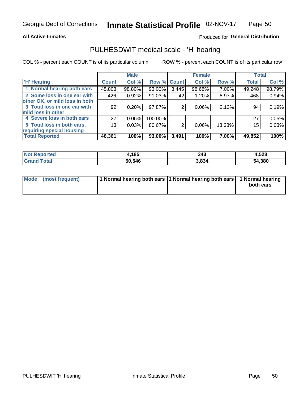#### **All Active Inmates**

### Produced for General Distribution

### PULHESDWIT medical scale - 'H' hearing

COL % - percent each COUNT is of its particular column

|                                |                 | <b>Male</b> |             |       | <b>Female</b> |        | <b>Total</b> |        |
|--------------------------------|-----------------|-------------|-------------|-------|---------------|--------|--------------|--------|
| <b>H'</b> Hearing              | <b>Count</b>    | Col %       | Row % Count |       | Col %         | Row %  | <b>Total</b> | Col %  |
| 1 Normal hearing both ears     | 45,803          | 98.80%      | 93.00%      | 3,445 | 98.68%        | 7.00%  | 49,248       | 98.79% |
| 2 Some loss in one ear with    | 426             | 0.92%       | 91.03%      | 42    | 1.20%         | 8.97%  | 468          | 0.94%  |
| other OK, or mild loss in both |                 |             |             |       |               |        |              |        |
| 3 Total loss in one ear with   | 92              | 0.20%       | 97.87%      | 2     | $0.06\%$      | 2.13%  | 94           | 0.19%  |
| mild loss in other             |                 |             |             |       |               |        |              |        |
| 4 Severe loss in both ears     | 27              | 0.06%       | 100.00%     |       |               |        | 27           | 0.05%  |
| 5 Total loss in both ears,     | 13 <sub>1</sub> | 0.03%       | 86.67%      | 2     | $0.06\%$      | 13.33% | 15           | 0.03%  |
| requiring special housing      |                 |             |             |       |               |        |              |        |
| <b>Total Reported</b>          | 46,361          | 100%        | 93.00%      | 3,491 | 100%          | 7.00%  | 49,852       | 100%   |

| <b>Not Repo</b><br><b>ported</b> | <b>I,185</b> | 343   | 1,528  |
|----------------------------------|--------------|-------|--------|
| Total                            | 50,546       | 3,834 | 54,380 |

| Mode (most frequent) | 1 Normal hearing both ears 1 Normal hearing both ears 1 Normal hearing |           |
|----------------------|------------------------------------------------------------------------|-----------|
|                      |                                                                        | both ears |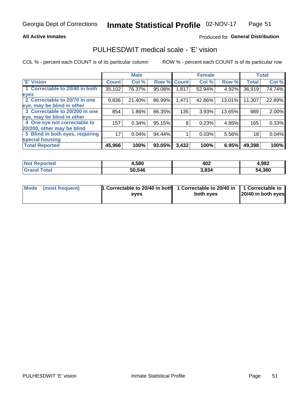#### **All Active Inmates**

### Produced for General Distribution

### PULHESDWIT medical scale - 'E' vision

COL % - percent each COUNT is of its particular column

|                                 |              | <b>Male</b> |        |              | <b>Female</b> |        |              | <b>Total</b> |
|---------------------------------|--------------|-------------|--------|--------------|---------------|--------|--------------|--------------|
| 'E' Vision                      | <b>Count</b> | Col %       | Row %  | <b>Count</b> | Col %         | Row %  | <b>Total</b> | Col %        |
| 1 Correctable to 20/40 in both  | 35,102       | 76.37%      | 95.08% | 1,817        | 52.94%        | 4.92%  | 36,919       | 74.74%       |
| eyes                            |              |             |        |              |               |        |              |              |
| 2 Correctable to 20/70 in one   | 9,836        | 21.40%      | 86.99% | 1,471        | 42.86%        | 13.01% | 11,307       | 22.89%       |
| eye, may be blind in other      |              |             |        |              |               |        |              |              |
| 3 Correctable to 20/200 in one  | 854          | 1.86%       | 86.35% | 135          | 3.93%         | 13.65% | 989          | 2.00%        |
| eye, may be blind in other      |              |             |        |              |               |        |              |              |
| 4 One eye not correctable to    | 157          | 0.34%       | 95.15% | 8            | 0.23%         | 4.85%  | 165          | 0.33%        |
| 20/200, other may be blind      |              |             |        |              |               |        |              |              |
| 5 Blind in both eyes, requiring | 17           | 0.04%       | 94.44% |              | 0.03%         | 5.56%  | 18           | 0.04%        |
| special housing                 |              |             |        |              |               |        |              |              |
| <b>Total Reported</b>           | 45,966       | 100%        | 93.05% | 3,432        | 100%          | 6.95%  | 49,398       | 100%         |

| <b>Not Reported</b> | 4,580  | 402   | 4,982  |
|---------------------|--------|-------|--------|
| Total               | 50,546 | 3,834 | 54,380 |

| Mode (most frequent) | 1 Correctable to 20/40 in both<br>eves | 1 Correctable to 20/40 in   1 Correctable to  <br>both eves | 20/40 in both eyes |
|----------------------|----------------------------------------|-------------------------------------------------------------|--------------------|
|                      |                                        |                                                             |                    |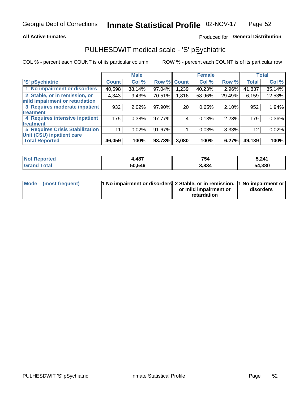#### **All Active Inmates**

### Produced for General Distribution

## PULHESDWIT medical scale - 'S' pSychiatric

COL % - percent each COUNT is of its particular column

|                                        |              | <b>Male</b> |        |              | <b>Female</b> |        |              | <b>Total</b> |
|----------------------------------------|--------------|-------------|--------|--------------|---------------|--------|--------------|--------------|
| 'S' pSychiatric                        | <b>Count</b> | Col %       | Row %  | <b>Count</b> | Col %         | Row %  | <b>Total</b> | Col %        |
| 1 No impairment or disorders           | 40,598       | 88.14%      | 97.04% | .239         | 40.23%        | 2.96%  | 41,837       | 85.14%       |
| 2 Stable, or in remission, or          | 4,343        | 9.43%       | 70.51% | 1,816        | 58.96%        | 29.49% | 6,159        | 12.53%       |
| mild impairment or retardation         |              |             |        |              |               |        |              |              |
| 3 Requires moderate inpatient          | 932          | 2.02%       | 97.90% | 20           | 0.65%         | 2.10%  | 952          | 1.94%        |
| treatment                              |              |             |        |              |               |        |              |              |
| 4 Requires intensive inpatient         | 175          | 0.38%       | 97.77% |              | 0.13%         | 2.23%  | 179          | 0.36%        |
| treatment                              |              |             |        |              |               |        |              |              |
| <b>5 Requires Crisis Stabilization</b> | 11           | 0.02%       | 91.67% |              | 0.03%         | 8.33%  | 12           | 0.02%        |
| Unit (CSU) inpatient care              |              |             |        |              |               |        |              |              |
| <b>Total Reported</b>                  | 46,059       | 100%        | 93.73% | 3,080        | 100%          | 6.27%  | 49,139       | 100%         |

| <b>Not Reported</b>          | ,487   | 754   | 5,241  |
|------------------------------|--------|-------|--------|
| <b>Total</b><br><b>Grand</b> | 50,546 | 3,834 | 54,380 |

| Mode (most frequent) | <b>1 No impairment or disorders 2 Stable, or in remission, 1 No impairment or</b> |                       |           |
|----------------------|-----------------------------------------------------------------------------------|-----------------------|-----------|
|                      |                                                                                   | or mild impairment or | disorders |
|                      |                                                                                   | retardation           |           |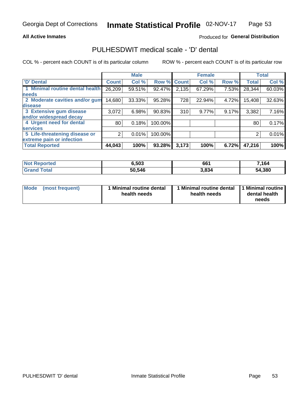#### **All Active Inmates**

### Produced for General Distribution

### PULHESDWIT medical scale - 'D' dental

COL % - percent each COUNT is of its particular column

|                                 |                 | <b>Male</b> |         |              | <b>Female</b> |       |              | <b>Total</b> |
|---------------------------------|-----------------|-------------|---------|--------------|---------------|-------|--------------|--------------|
| <b>D'</b> Dental                | <b>Count</b>    | Col %       | Row %   | <b>Count</b> | Col %         | Row % | <b>Total</b> | Col %        |
| 1 Minimal routine dental health | 26,209          | 59.51%      | 92.47%  | 2,135        | 67.29%        | 7.53% | 28,344       | 60.03%       |
| <b>needs</b>                    |                 |             |         |              |               |       |              |              |
| 2 Moderate cavities and/or gum  | 14,680          | 33.33%      | 95.28%  | 728          | 22.94%        | 4.72% | 15,408       | 32.63%       |
| disease                         |                 |             |         |              |               |       |              |              |
| 3 Extensive gum disease         | 3,072           | 6.98%       | 90.83%  | 310          | 9.77%         | 9.17% | 3,382        | 7.16%        |
| and/or widespread decay         |                 |             |         |              |               |       |              |              |
| 4 Urgent need for dental        | 80 <sub>1</sub> | 0.18%       | 100.00% |              |               |       | 80           | 0.17%        |
| <b>services</b>                 |                 |             |         |              |               |       |              |              |
| 5 Life-threatening disease or   | 2               | 0.01%       | 100.00% |              |               |       | 2            | 0.01%        |
| extreme pain or infection       |                 |             |         |              |               |       |              |              |
| <b>Total Reported</b>           | 44,043          | 100%        | 93.28%  | 3,173        | 100%          | 6.72% | 47,216       | 100%         |

| <b>Not Reported</b>     | 6,503  | 661   | 7,164  |
|-------------------------|--------|-------|--------|
| <b>Total</b><br>' Grand | 50,546 | 3,834 | 54,380 |

| Mode<br><b>Minimal routine dental</b><br>(most frequent)<br>health needs | 1 Minimal routine dental<br>health needs | 1 Minimal routine<br>dental health<br>needs |
|--------------------------------------------------------------------------|------------------------------------------|---------------------------------------------|
|--------------------------------------------------------------------------|------------------------------------------|---------------------------------------------|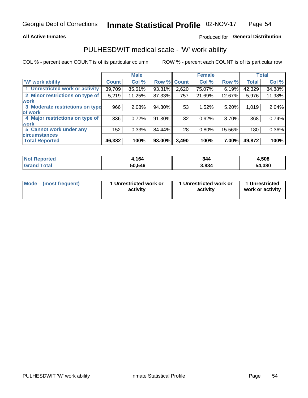### **All Active Inmates**

### Produced for General Distribution

### PULHESDWIT medical scale - 'W' work ability

COL % - percent each COUNT is of its particular column

|                                 |              | <b>Male</b> |        |             | <b>Female</b> |        |              | <b>Total</b> |
|---------------------------------|--------------|-------------|--------|-------------|---------------|--------|--------------|--------------|
| <b>W' work ability</b>          | <b>Count</b> | Col %       |        | Row % Count | Col %         | Row %  | <b>Total</b> | Col %        |
| 1 Unrestricted work or activity | 39,709       | 85.61%      | 93.81% | 2,620       | 75.07%        | 6.19%  | 42,329       | 84.88%       |
| 2 Minor restrictions on type of | 5,219        | 11.25%      | 87.33% | 757         | 21.69%        | 12.67% | 5,976        | 11.98%       |
| <b>work</b>                     |              |             |        |             |               |        |              |              |
| 3 Moderate restrictions on type | 966          | 2.08%       | 94.80% | 53          | 1.52%         | 5.20%  | 1,019        | 2.04%        |
| lof work                        |              |             |        |             |               |        |              |              |
| 4 Major restrictions on type of | 336          | 0.72%       | 91.30% | 32          | 0.92%         | 8.70%  | 368          | 0.74%        |
| <b>work</b>                     |              |             |        |             |               |        |              |              |
| 5 Cannot work under any         | 152          | 0.33%       | 84.44% | 28          | 0.80%         | 15.56% | 180          | 0.36%        |
| <b>circumstances</b>            |              |             |        |             |               |        |              |              |
| <b>Total Reported</b>           | 46,382       | 100%        | 93.00% | 3,490       | 100%          | 7.00%  | 49,872       | 100%         |

| NotR<br><b>Enorted</b> | 164    | 344   | 1,508  |
|------------------------|--------|-------|--------|
| Гоtal                  | 50,546 | 3,834 | 54,380 |

| Mode            | 1 Unrestricted work or | 1 Unrestricted work or | 1 Unrestricted   |
|-----------------|------------------------|------------------------|------------------|
| (most frequent) | activity               | activity               | work or activity |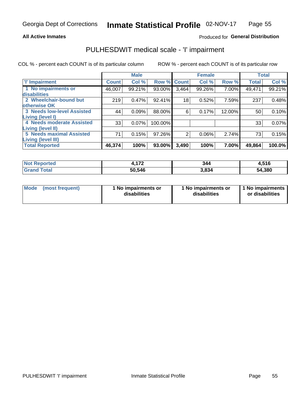#### **All Active Inmates**

### Produced for General Distribution

## PULHESDWIT medical scale - 'I' impairment

COL % - percent each COUNT is of its particular column

|                                                              |              | <b>Male</b> |             |                 | <b>Female</b> |        |              | <b>Total</b> |
|--------------------------------------------------------------|--------------|-------------|-------------|-----------------|---------------|--------|--------------|--------------|
| <b>T' Impairment</b>                                         | <b>Count</b> | Col %       | Row % Count |                 | Col %         | Row %  | <b>Total</b> | Col %        |
| 1 No impairments or<br>disabilities                          | 46,007       | 99.21%      | 93.00%      | 3,464           | 99.26%        | 7.00%  | 49,471       | 99.21%       |
| 2 Wheelchair-bound but                                       | 219          | 0.47%       | 92.41%      | 18 <sub>1</sub> | 0.52%         | 7.59%  | 237          | 0.48%        |
| otherwise OK<br><b>3 Needs low-level Assisted</b>            | 44           | 0.09%       | 88.00%      | 6               | 0.17%         | 12.00% | 50           | 0.10%        |
| Living (level I)<br>4 Needs moderate Assisted                | 33           | 0.07%       | 100.00%     |                 |               |        | 33           | 0.07%        |
| <b>Living (level II)</b>                                     |              |             |             |                 |               |        |              |              |
| <b>5 Needs maximal Assisted</b><br><b>Living (level III)</b> | 71           | 0.15%       | 97.26%      | 2               | 0.06%         | 2.74%  | 73           | 0.15%        |
| <b>Total Reported</b>                                        | 46,374       | 100%        | 93.00%      | 3,490           | 100%          | 7.00%  | 49,864       | 100.0%       |

| $^{\dagger}$ Not $\cdot$<br>Reported | 47c<br>. . | 344   | 4,516  |
|--------------------------------------|------------|-------|--------|
| <b>Total</b><br><b>Grand</b>         | 50,546     | 3.834 | 54,380 |

| Mode | (most frequent) | 1 No impairments or<br>disabilities | 1 No impairments or<br>disabilities | 1 No impairments<br>or disabilities |
|------|-----------------|-------------------------------------|-------------------------------------|-------------------------------------|
|------|-----------------|-------------------------------------|-------------------------------------|-------------------------------------|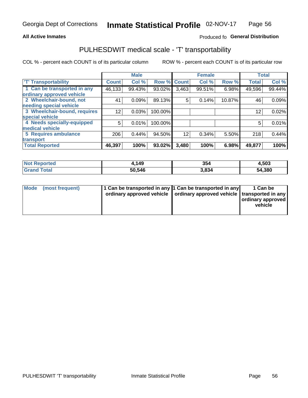#### **All Active Inmates**

### Produced fo General Distribution

## PULHESDWIT medical scale - 'T' transportability

COL % - percent each COUNT is of its particular column

|                              |              | <b>Male</b> |         |              | <b>Female</b> |        | <b>Total</b> |        |
|------------------------------|--------------|-------------|---------|--------------|---------------|--------|--------------|--------|
| <b>T' Transportability</b>   | <b>Count</b> | Col %       | Row %   | <b>Count</b> | Col %         | Row %  | <b>Total</b> | Col %  |
| 1 Can be transported in any  | 46,133       | 99.43%      | 93.02%  | 3,463        | 99.51%        | 6.98%  | 49,596       | 99.44% |
| ordinary approved vehicle    |              |             |         |              |               |        |              |        |
| 2 Wheelchair-bound, not      | 41           | 0.09%       | 89.13%  | 5            | 0.14%         | 10.87% | 46           | 0.09%  |
| needing special vehicle      |              |             |         |              |               |        |              |        |
| 3 Wheelchair-bound, requires | 12           | 0.03%       | 100.00% |              |               |        | 12           | 0.02%  |
| special vehicle              |              |             |         |              |               |        |              |        |
| 4 Needs specially-equipped   | 5            | 0.01%       | 100.00% |              |               |        | 5            | 0.01%  |
| medical vehicle              |              |             |         |              |               |        |              |        |
| <b>5 Requires ambulance</b>  | 206          | 0.44%       | 94.50%  | 12           | 0.34%         | 5.50%  | 218          | 0.44%  |
| transport                    |              |             |         |              |               |        |              |        |
| <b>Total Reported</b>        | 46,397       | 100%        | 93.02%  | 3,480        | 100%          | 6.98%  | 49,877       | 100%   |

| orted | ,149   | 354   | 4,503  |
|-------|--------|-------|--------|
| `otal | 50.546 | 3.834 | 54,380 |

|  | Mode (most frequent) | 1 Can be transported in any 1 Can be transported in any<br>ordinary approved vehicle   ordinary approved vehicle   transported in any |  | 1 Can be<br>  ordinary approved  <br>vehicle |
|--|----------------------|---------------------------------------------------------------------------------------------------------------------------------------|--|----------------------------------------------|
|--|----------------------|---------------------------------------------------------------------------------------------------------------------------------------|--|----------------------------------------------|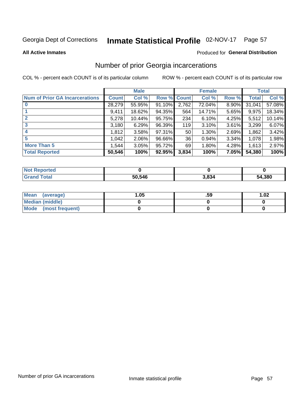# Inmate Statistical Profile 02-NOV-17 Page 57

#### **All Active Inmates**

#### Produced for General Distribution

### Number of prior Georgia incarcerations

COL % - percent each COUNT is of its particular column

|                                       |              | <b>Male</b> |             |                 | <b>Female</b> |       |        | <b>Total</b> |
|---------------------------------------|--------------|-------------|-------------|-----------------|---------------|-------|--------|--------------|
| <b>Num of Prior GA Incarcerations</b> | <b>Count</b> | Col %       | Row % Count |                 | Col %         | Row % | Total  | Col %        |
|                                       | 28,279       | 55.95%      | 91.10%      | 2,762           | 72.04%        | 8.90% | 31,041 | 57.08%       |
|                                       | 9,411        | 18.62%      | 94.35%      | 564             | 14.71%        | 5.65% | 9,975  | 18.34%       |
| $\overline{2}$                        | 5,278        | 10.44%      | 95.75%      | 234             | 6.10%         | 4.25% | 5,512  | 10.14%       |
| 3                                     | 3,180        | 6.29%       | 96.39%      | 119             | 3.10%         | 3.61% | 3,299  | 6.07%        |
| $\boldsymbol{4}$                      | 1,812        | 3.58%       | 97.31%      | 50 <sub>1</sub> | 1.30%         | 2.69% | 1,862  | 3.42%        |
| 5                                     | 1,042        | 2.06%       | 96.66%      | 36              | 0.94%         | 3.34% | 1,078  | 1.98%        |
| <b>More Than 5</b>                    | 1,544        | 3.05%       | 95.72%      | 69              | 1.80%         | 4.28% | 1,613  | 2.97%        |
| <b>Total Reported</b>                 | 50,546       | 100%        | 92.95%      | 3,834           | 100%          | 7.05% | 54,380 | 100%         |

| orted<br>NO.      |        |       |        |
|-------------------|--------|-------|--------|
| <b>otal</b><br>Gr | 50,546 | 3,834 | 54,380 |

| Mean (average)       | .05 | .59 | 1.02 |
|----------------------|-----|-----|------|
| Median (middle)      |     |     |      |
| Mode (most frequent) |     |     |      |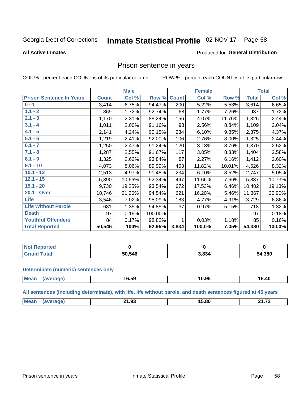#### Inmate Statistical Profile 02-NOV-17 Page 58

#### **All Active Inmates**

#### Produced for General Distribution

### Prison sentence in years

COL % - percent each COUNT is of its particular column

ROW % - percent each COUNT is of its particular row

|                                 |              | <b>Male</b> |         |              | <b>Female</b> |        |              | <b>Total</b> |
|---------------------------------|--------------|-------------|---------|--------------|---------------|--------|--------------|--------------|
| <b>Prison Sentence In Years</b> | <b>Count</b> | Col %       | Row %   | <b>Count</b> | Col %         | Row %  | <b>Total</b> | Col %        |
| $0 - 1$                         | 3,414        | 6.75%       | 94.47%  | 200          | 5.22%         | 5.53%  | 3,614        | 6.65%        |
| $1.1 - 2$                       | 869          | 1.72%       | 92.74%  | 68           | 1.77%         | 7.26%  | 937          | 1.72%        |
| $2.1 - 3$                       | 1,170        | 2.31%       | 88.24%  | 156          | 4.07%         | 11.76% | 1,326        | 2.44%        |
| $3.1 - 4$                       | 1,011        | 2.00%       | 91.16%  | 98           | 2.56%         | 8.84%  | 1,109        | 2.04%        |
| $4.1 - 5$                       | 2,141        | 4.24%       | 90.15%  | 234          | 6.10%         | 9.85%  | 2,375        | 4.37%        |
| $5.1 - 6$                       | 1,219        | 2.41%       | 92.00%  | 106          | 2.76%         | 8.00%  | 1,325        | 2.44%        |
| $6.1 - 7$                       | 1,250        | 2.47%       | 91.24%  | 120          | 3.13%         | 8.76%  | 1,370        | 2.52%        |
| $7.1 - 8$                       | 1,287        | 2.55%       | 91.67%  | 117          | 3.05%         | 8.33%  | 1,404        | 2.58%        |
| $8.1 - 9$                       | 1,325        | 2.62%       | 93.84%  | 87           | 2.27%         | 6.16%  | 1,412        | 2.60%        |
| $9.1 - 10$                      | 4,073        | 8.06%       | 89.99%  | 453          | 11.82%        | 10.01% | 4,526        | 8.32%        |
| $10.1 - 12$                     | 2,513        | 4.97%       | 91.48%  | 234          | 6.10%         | 8.52%  | 2,747        | 5.05%        |
| $12.1 - 15$                     | 5,390        | 10.66%      | 92.34%  | 447          | 11.66%        | 7.66%  | 5,837        | 10.73%       |
| $15.1 - 20$                     | 9,730        | 19.25%      | 93.54%  | 672          | 17.53%        | 6.46%  | 10,402       | 19.13%       |
| 20.1 - Over                     | 10,746       | 21.26%      | 94.54%  | 621          | 16.20%        | 5.46%  | 11,367       | 20.90%       |
| <b>Life</b>                     | 3,546        | 7.02%       | 95.09%  | 183          | 4.77%         | 4.91%  | 3,729        | 6.86%        |
| <b>Life Without Parole</b>      | 681          | 1.35%       | 94.85%  | 37           | 0.97%         | 5.15%  | 718          | 1.32%        |
| <b>Death</b>                    | 97           | 0.19%       | 100.00% |              |               |        | 97           | 0.18%        |
| <b>Youthful Offenders</b>       | 84           | 0.17%       | 98.82%  | 1            | 0.03%         | 1.18%  | 85           | 0.16%        |
| <b>Total Reported</b>           | 50,546       | 100%        | 92.95%  | 3,834        | 100.0%        | 7.05%  | 54,380       | 100.0%       |

| <b>Not Reported</b> |        |       |        |
|---------------------|--------|-------|--------|
| 'otal<br>$.C$ ron   | 50.546 | 3,834 | 54,380 |

#### **Determinate (numeric) sentences only**

| Mean | $\sim$ $\sim$<br>16.JY | 10.96 | <b>AC</b><br>∣ v.+v |
|------|------------------------|-------|---------------------|
|      |                        |       |                     |

All sentences (including determinate), with life, life without parole, and death sentences figured at 45 years

| Me | $\sim$ 0.0<br>. .<br>___ | $- - - -$ | <b>24.72</b> |
|----|--------------------------|-----------|--------------|
|    |                          |           |              |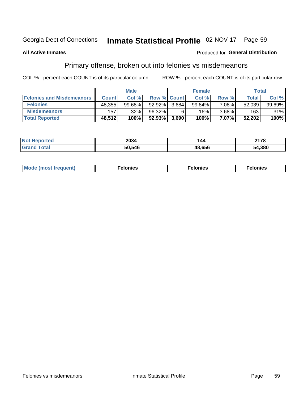## Inmate Statistical Profile 02-NOV-17 Page 59

#### **All Active Inmates**

#### Produced for General Distribution

### Primary offense, broken out into felonies vs misdemeanors

COL % - percent each COUNT is of its particular column

|                                  |              | <b>Male</b> |           |                    | <b>Female</b> |          | Total  |        |
|----------------------------------|--------------|-------------|-----------|--------------------|---------------|----------|--------|--------|
| <b>Felonies and Misdemeanors</b> | <b>Count</b> | Col %       |           | <b>Row % Count</b> | Col %         | Row %    | Total  | Col %  |
| <b>Felonies</b>                  | 48,355       | 99.68%      | $92.92\%$ | 3.684              | 99.84%        | $7.08\%$ | 52,039 | 99.69% |
| <b>Misdemeanors</b>              | 157          | .32%        | 96.32%    | 6                  | .16% ˈ        | $3.68\%$ | 163    | .31%   |
| <b>Total Reported</b>            | 48,512       | 100%        | $92.93\%$ | 3,690              | 100%          | 7.07%    | 52,202 | 100%   |

| ted        | 2034   | 144           | 2178   |
|------------|--------|---------------|--------|
| <b>ota</b> | 50.546 | 18.656<br>,,, | 54,380 |

| Mo | ___ | 11 C.S<br>. | onies<br>. |
|----|-----|-------------|------------|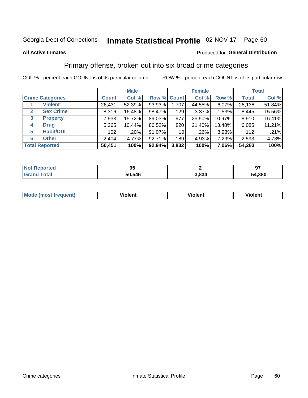#### Inmate Statistical Profile 02-NOV-17 Page 60

#### **All Active Inmates**

### **Produced for General Distribution**

### Primary offense, broken out into six broad crime categories

COL % - percent each COUNT is of its particular column

|                                 |              | <b>Male</b> |        |                 | <b>Female</b> |        | <b>Total</b> |        |  |
|---------------------------------|--------------|-------------|--------|-----------------|---------------|--------|--------------|--------|--|
| <b>Crime Categories</b>         | <b>Count</b> | Col %       |        | Row % Count     | Col %         | Row %  | <b>Total</b> | Col %  |  |
| <b>Violent</b>                  | 26,431       | 52.39%      | 93.93% | 1,707           | 44.55%        | 6.07%  | 28,138       | 51.84% |  |
| <b>Sex Crime</b><br>2           | 8,316        | 16.48%      | 98.47% | 129             | $3.37\%$      | 1.53%  | 8,445        | 15.56% |  |
| $\mathbf{3}$<br><b>Property</b> | 7,933        | 15.72%      | 89.03% | 977             | 25.50%        | 10.97% | 8,910        | 16.41% |  |
| <b>Drug</b><br>4                | 5,265        | 10.44%      | 86.52% | 820             | 21.40%        | 13.48% | 6,085        | 11.21% |  |
| <b>Habit/DUI</b><br>5           | 102          | .20%        | 91.07% | 10 <sup>1</sup> | $.26\%$       | 8.93%  | 112          | .21%   |  |
| <b>Other</b><br>6               | 2,404        | 4.77%       | 92.71% | 189             | 4.93%         | 7.29%  | 2,593        | 4.78%  |  |
| <b>Total Reported</b>           | 50,451       | 100%        | 92.94% | 3,832           | 100%          | 7.06%  | 54,283       | 100%   |  |

| <b>orteg</b><br>NO | oг<br>J. |       | <u>n7</u> |
|--------------------|----------|-------|-----------|
| Eata               | 50,546   | 834.د | 54,380    |

| Mc | .<br>$\cdots$ | VIOIEM |
|----|---------------|--------|
|    |               |        |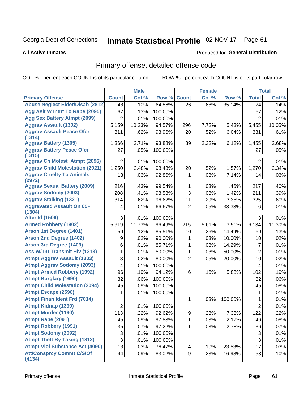# Inmate Statistical Profile 02-NOV-17 Page 61

#### **All Active Inmates**

#### Produced for General Distribution

## Primary offense, detailed offense code

COL % - percent each COUNT is of its particular column

|                                            |                  | <b>Male</b> |         |                | <b>Female</b> |         |                 | <b>Total</b> |
|--------------------------------------------|------------------|-------------|---------|----------------|---------------|---------|-----------------|--------------|
| <b>Primary Offense</b>                     | <b>Count</b>     | Col %       | Row %   | <b>Count</b>   | Col %         | Row %   | <b>Total</b>    | Col %        |
| <b>Abuse Neglect Elder/Disab (2812)</b>    | 48               | .10%        | 64.86%  | 26             | .68%          | 35.14%  | 74              | .14%         |
| Agg Aslt W Intnt To Rape (2095)            | 67               | .13%        | 100.00% |                |               |         | 67              | .12%         |
| <b>Agg Sex Battery Atmpt (2099)</b>        | $\overline{2}$   | .01%        | 100.00% |                |               |         | 2               | .01%         |
| <b>Aggrav Assault (1302)</b>               | 5,159            | 10.23%      | 94.57%  | 296            | 7.72%         | 5.43%   | 5,455           | 10.05%       |
| <b>Aggrav Assault Peace Ofcr</b>           | 311              | .62%        | 93.96%  | 20             | .52%          | 6.04%   | 331             | .61%         |
| (1314)<br><b>Aggrav Battery (1305)</b>     | 1,366            | 2.71%       | 93.88%  | 89             | 2.32%         | 6.12%   | 1,455           | 2.68%        |
| <b>Aggrav Battery Peace Ofcr</b>           | 27               | .05%        |         |                |               |         |                 |              |
| (1315)                                     |                  |             | 100.00% |                |               |         | 27              | .05%         |
| <b>Aggrav Ch Molest Atmpt (2096)</b>       | $\overline{2}$   | .01%        | 100.00% |                |               |         | $\overline{2}$  | .01%         |
| <b>Aggrav Child Molestation (2021)</b>     | 1,250            | 2.48%       | 98.43%  | 20             | .52%          | 1.57%   | 1,270           | 2.34%        |
| <b>Aggrav Cruelty To Animals</b>           | 13               | .03%        | 92.86%  | 1              | .03%          | 7.14%   | 14              | .03%         |
| (2972)                                     |                  |             |         |                |               |         |                 |              |
| <b>Aggrav Sexual Battery (2009)</b>        | 216              | .43%        | 99.54%  | 1              | .03%          | .46%    | 217             | .40%         |
| <b>Aggrav Sodomy (2003)</b>                | 208              | .41%        | 98.58%  | 3              | .08%          | 1.42%   | 211             | .39%         |
| <b>Aggrav Stalking (1321)</b>              | 314              | .62%        | 96.62%  | 11             | .29%          | 3.38%   | 325             | .60%         |
| <b>Aggravated Assault On 65+</b><br>(1304) | 4                | .01%        | 66.67%  | $\overline{2}$ | .05%          | 33.33%  | 6               | .01%         |
| <b>Alter Id (1506)</b>                     | 3                | .01%        | 100.00% |                |               |         | 3               | .01%         |
| <b>Armed Robbery (1902)</b>                | 5,919            | 11.73%      | 96.49%  | 215            | 5.61%         | 3.51%   | 6,134           | 11.30%       |
| Arson 1st Degree (1401)                    | 59               | .12%        | 85.51%  | 10             | .26%          | 14.49%  | 69              | .13%         |
| <b>Arson 2nd Degree (1402)</b>             | 9                | .02%        | 90.00%  | 1              | .03%          | 10.00%  | 10              | .02%         |
| <b>Arson 3rd Degree (1403)</b>             | 6                | .01%        | 85.71%  | 1              | .03%          | 14.29%  | $\overline{7}$  | .01%         |
| Ass W/ Int Transmit Hiv (1313)             | 1                | .01%        | 50.00%  | 1              | .03%          | 50.00%  | $\overline{2}$  | .01%         |
| <b>Atmpt Aggrav Assault (1303)</b>         | 8                | .02%        | 80.00%  | $\overline{2}$ | .05%          | 20.00%  | 10              | .02%         |
| <b>Atmpt Aggrav Sodomy (2093)</b>          | 4                | .01%        | 100.00% |                |               |         | 4               | .01%         |
| <b>Atmpt Armed Robbery (1992)</b>          | 96               | .19%        | 94.12%  | 6              | .16%          | 5.88%   | 102             | .19%         |
| <b>Atmpt Burglary (1690)</b>               | 32               | .06%        | 100.00% |                |               |         | 32              | .06%         |
| <b>Atmpt Child Molestation (2094)</b>      | 45               | .09%        | 100.00% |                |               |         | 45              | .08%         |
| <b>Atmpt Escape (2590)</b>                 | 1                | .01%        | 100.00% |                |               |         | 1               | .01%         |
| <b>Atmpt Finan Ident Frd (7014)</b>        |                  |             |         | 1              | .03%          | 100.00% | 1               | .01%         |
| <b>Atmpt Kidnap (1390)</b>                 | 2                | .01%        | 100.00% |                |               |         | $\overline{2}$  | .01%         |
| <b>Atmpt Murder (1190)</b>                 | $\overline{113}$ | .22%        | 92.62%  | 9              | .23%          | 7.38%   | $\frac{1}{122}$ | .22%         |
| Atmpt Rape (2091)                          | 45               | .09%        | 97.83%  | 1              | .03%          | 2.17%   | 46              | .08%         |
| <b>Atmpt Robbery (1991)</b>                | 35               | .07%        | 97.22%  | 1.             | .03%          | 2.78%   | 36              | .07%         |
| <b>Atmpt Sodomy (2092)</b>                 | 3                | .01%        | 100.00% |                |               |         | $\sqrt{3}$      | .01%         |
| <b>Atmpt Theft By Taking (1812)</b>        | $\overline{3}$   | .01%        | 100.00% |                |               |         | $\overline{3}$  | .01%         |
| <b>Atmpt Viol Substance Act (4090)</b>     | 13               | .03%        | 76.47%  | 4              | .10%          | 23.53%  | 17              | .03%         |
| <b>Att/Consprcy Commt C/S/Of</b><br>(4134) | 44               | .09%        | 83.02%  | 9              | .23%          | 16.98%  | 53              | .10%         |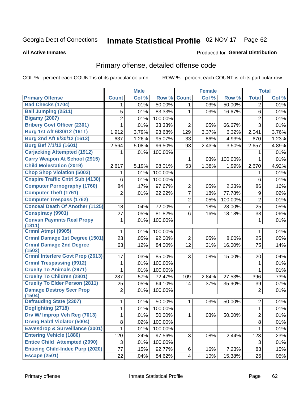# Inmate Statistical Profile 02-NOV-17 Page 62

#### **All Active Inmates**

#### Produced for General Distribution

## Primary offense, detailed offense code

COL % - percent each COUNT is of its particular column

|                                            |                | <b>Male</b> |         |                | <b>Female</b> |         |                | <b>Total</b> |
|--------------------------------------------|----------------|-------------|---------|----------------|---------------|---------|----------------|--------------|
| <b>Primary Offense</b>                     | <b>Count</b>   | Col %       | Row %   | <b>Count</b>   | Col %         | Row %   | <b>Total</b>   | Col %        |
| <b>Bad Checks (1704)</b>                   | 1              | .01%        | 50.00%  | $\mathbf{1}$   | .03%          | 50.00%  | $\overline{2}$ | .01%         |
| <b>Bail Jumping (2511)</b>                 | 5              | .01%        | 83.33%  | 1              | .03%          | 16.67%  | $\,6$          | .01%         |
| <b>Bigamy (2007)</b>                       | $\overline{2}$ | .01%        | 100.00% |                |               |         | $\overline{2}$ | .01%         |
| <b>Bribery Govt Officer (2301)</b>         | $\mathbf{1}$   | .01%        | 33.33%  | $\overline{2}$ | .05%          | 66.67%  | 3              | .01%         |
| Burg 1st Aft 6/30/12 (1611)                | 1,912          | 3.79%       | 93.68%  | 129            | 3.37%         | 6.32%   | 2,041          | 3.76%        |
| Burg 2nd Aft 6/30/12 (1612)                | 637            | 1.26%       | 95.07%  | 33             | .86%          | 4.93%   | 670            | 1.23%        |
| <b>Burg Bef 7/1/12 (1601)</b>              | 2,564          | 5.08%       | 96.50%  | 93             | 2.43%         | 3.50%   | 2,657          | 4.89%        |
| <b>Carjacking Attempted (1912)</b>         | 1              | .01%        | 100.00% |                |               |         | 1              | .01%         |
| <b>Carry Weapon At School (2915)</b>       |                |             |         | 1              | .03%          | 100.00% | 1              | .01%         |
| <b>Child Molestation (2019)</b>            | 2,617          | 5.19%       | 98.01%  | 53             | 1.38%         | 1.99%   | 2,670          | 4.92%        |
| <b>Chop Shop Violation (5003)</b>          | 1              | .01%        | 100.00% |                |               |         | 1              | .01%         |
| <b>Cnspire Traffic Cntrl Sub (4130)</b>    | 6              | .01%        | 100.00% |                |               |         | 6              | .01%         |
| <b>Computer Pornography (1760)</b>         | 84             | .17%        | 97.67%  | $\overline{2}$ | .05%          | 2.33%   | 86             | .16%         |
| <b>Computer Theft (1761)</b>               | $\overline{2}$ | .01%        | 22.22%  | 7              | .18%          | 77.78%  | 9              | .02%         |
| <b>Computer Trespass (1762)</b>            |                |             |         | $\overline{2}$ | .05%          | 100.00% | $\overline{2}$ | .01%         |
| <b>Conceal Death Of Another (1125)</b>     | 18             | .04%        | 72.00%  | 7              | .18%          | 28.00%  | 25             | .05%         |
| <b>Conspiracy (9901)</b>                   | 27             | .05%        | 81.82%  | 6              | .16%          | 18.18%  | 33             | .06%         |
| <b>Convsn Paymnts Real Propy</b><br>(1811) | 1              | .01%        | 100.00% |                |               |         | 1              | .01%         |
| Crmnl Atmpt (9905)                         | 1              | .01%        | 100.00% |                |               |         | 1              | .01%         |
| Crmnl Damage 1st Degree (1501)             | 23             | .05%        | 92.00%  | $\overline{2}$ | .05%          | 8.00%   | 25             | .05%         |
| <b>Crmnl Damage 2nd Degree</b><br>(1502)   | 63             | .12%        | 84.00%  | 12             | .31%          | 16.00%  | 75             | .14%         |
| <b>Crmnl Interfere Govt Prop (2613)</b>    | 17             | .03%        | 85.00%  | 3              | .08%          | 15.00%  | 20             | .04%         |
| <b>Crmnl Trespassing (9912)</b>            | 1              | .01%        | 100.00% |                |               |         | $\mathbf 1$    | .01%         |
| <b>Cruelty To Animals (2971)</b>           | $\mathbf{1}$   | .01%        | 100.00% |                |               |         | $\mathbf{1}$   | .01%         |
| <b>Cruelty To Children (2801)</b>          | 287            | .57%        | 72.47%  | 109            | 2.84%         | 27.53%  | 396            | .73%         |
| <b>Cruelty To Elder Person (2811)</b>      | 25             | .05%        | 64.10%  | 14             | .37%          | 35.90%  | 39             | .07%         |
| <b>Damage Destroy Secr Prop</b><br>(1504)  | $\overline{2}$ | .01%        | 100.00% |                |               |         | $\overline{2}$ | .01%         |
| <b>Defrauding State (2307)</b>             | 1              | .01%        | 50.00%  | 1              | .03%          | 50.00%  | $\mathbf 2$    | .01%         |
| Dogfighting (2718)                         | 1              | .01%        | 100.00% |                |               |         | 1              | .01%         |
| Drv W/ Improp Veh Reg (7013)               | $\mathbf{1}$   | .01%        | 50.00%  | $\mathbf 1$    | .03%          | 50.00%  | $\overline{c}$ | .01%         |
| <b>Drvng Habtl Violator (5004)</b>         | 8              | .02%        | 100.00% |                |               |         | 8              | .01%         |
| <b>Eavesdrop &amp; Surveillance (3001)</b> | $\mathbf{1}$   | .01%        | 100.00% |                |               |         | $\mathbf{1}$   | .01%         |
| <b>Entering Vehicle (1880)</b>             | 120            | .24%        | 97.56%  | 3              | .08%          | 2.44%   | 123            | .23%         |
| <b>Entice Child Attempted (2090)</b>       | 3              | .01%        | 100.00% |                |               |         | 3              | .01%         |
| <b>Enticing Child-Indec Purp (2020)</b>    | 77             | .15%        | 92.77%  | $6 \mid$       | .16%          | 7.23%   | 83             | .15%         |
| <b>Escape (2501)</b>                       | 22             | .04%        | 84.62%  | 4              | .10%          | 15.38%  | 26             | .05%         |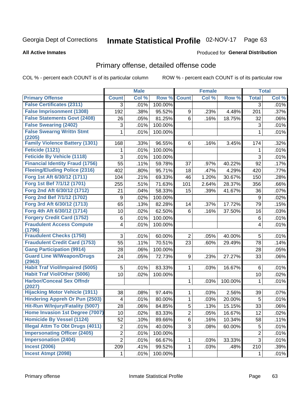#### Inmate Statistical Profile 02-NOV-17 Page 63

#### **All Active Inmates**

### **Produced for General Distribution**

### Primary offense, detailed offense code

COL % - percent each COUNT is of its particular column

|                                            |                 | <b>Male</b> |         |                | <b>Female</b> |         |                 | <b>Total</b> |
|--------------------------------------------|-----------------|-------------|---------|----------------|---------------|---------|-----------------|--------------|
| <b>Primary Offense</b>                     | <b>Count</b>    | Col %       | Row %   | <b>Count</b>   | Col %         | Row %   | <b>Total</b>    | Col %        |
| <b>False Certificates (2311)</b>           | 3               | .01%        | 100.00% |                |               |         | 3               | .01%         |
| <b>False Imprisonment (1308)</b>           | 192             | .38%        | 95.52%  | 9              | .23%          | 4.48%   | 201             | .37%         |
| <b>False Statements Govt (2408)</b>        | 26              | .05%        | 81.25%  | 6              | .16%          | 18.75%  | 32              | .06%         |
| <b>False Swearing (2402)</b>               | 3               | .01%        | 100.00% |                |               |         | 3               | .01%         |
| <b>False Swearng Writtn Stmt</b>           | 1               | .01%        | 100.00% |                |               |         | 1               | .01%         |
| (2205)                                     |                 |             |         |                |               |         |                 |              |
| <b>Family Violence Battery (1301)</b>      | 168             | .33%        | 96.55%  | 6              | .16%          | 3.45%   | 174             | .32%         |
| <b>Feticide (1121)</b>                     | 1               | .01%        | 100.00% |                |               |         | 1               | .01%         |
| <b>Feticide By Vehicle (1118)</b>          | 3               | .01%        | 100.00% |                |               |         | 3               | .01%         |
| <b>Financial Identity Fraud (1756)</b>     | 55              | .11%        | 59.78%  | 37             | .97%          | 40.22%  | 92              | .17%         |
| <b>Fleeing/Eluding Police (2316)</b>       | 402             | .80%        | 95.71%  | 18             | .47%          | 4.29%   | 420             | .77%         |
| Forg 1st Aft 6/30/12 (1711)                | 104             | .21%        | 69.33%  | 46             | 1.20%         | 30.67%  | 150             | .28%         |
| Forg 1st Bef 7/1/12 (1701)                 | 255             | .51%        | 71.63%  | 101            | 2.64%         | 28.37%  | 356             | .66%         |
| Forg 2nd Aft 6/30/12 (1712)                | 21              | .04%        | 58.33%  | 15             | .39%          | 41.67%  | 36              | .07%         |
| Forg 2nd Bef 7/1/12 (1702)                 | 9               | .02%        | 100.00% |                |               |         | 9               | .02%         |
| Forg 3rd Aft 6/30/12 (1713)                | 65              | .13%        | 82.28%  | 14             | .37%          | 17.72%  | 79              | .15%         |
| Forg 4th Aft 6/30/12 (1714)                | 10              | .02%        | 62.50%  | 6              | .16%          | 37.50%  | 16              | .03%         |
| <b>Forgery Credit Card (1752)</b>          | 6               | .01%        | 100.00% |                |               |         | 6               | .01%         |
| <b>Fraudulent Access Compute</b><br>(1796) | 4               | .01%        | 100.00% |                |               |         | 4               | .01%         |
| <b>Fraudulent Checks (1750)</b>            | 3               | .01%        | 60.00%  | $\overline{2}$ | .05%          | 40.00%  | 5               | .01%         |
| <b>Fraudulent Credit Card (1753)</b>       | 55              | .11%        | 70.51%  | 23             | .60%          | 29.49%  | 78              | .14%         |
| <b>Gang Participation (9914)</b>           | 28              | .06%        | 100.00% |                |               |         | 28              | .05%         |
| <b>Guard Line W/Weapon/Drugs</b>           | 24              | .05%        | 72.73%  | 9              | .23%          | 27.27%  | 33              | .06%         |
| (2963)                                     |                 |             |         |                |               |         |                 |              |
| <b>Habit Traf Viol/Impaired (5005)</b>     | 5               | .01%        | 83.33%  | 1.             | .03%          | 16.67%  | 6               | .01%         |
| <b>Habit Traf Viol/Other (5006)</b>        | 10 <sup>1</sup> | .02%        | 100.00% |                |               |         | 10              | .02%         |
| <b>Harbor/Conceal Sex Offndr</b><br>(2027) |                 |             |         | 1              | .03%          | 100.00% | 1               | .01%         |
| <b>Hijacking Motor Vehicle (1911)</b>      | 38              | .08%        | 97.44%  | 1              | .03%          | 2.56%   | 39              | .07%         |
| <b>Hindering Appreh Or Pun (2503)</b>      | 4               | .01%        | 80.00%  | 1              | .03%          | 20.00%  | 5               | .01%         |
| Hit-Run W/Injury/Fatality (5007)           | 28              | .06%        | 84.85%  | $\overline{5}$ | .13%          | 15.15%  | 33              | .06%         |
| Home Invasion 1st Degree (7007)            | 10 <sup>1</sup> | .02%        | 83.33%  | $\overline{2}$ | .05%          | 16.67%  | $\overline{12}$ | .02%         |
| <b>Homicide By Vessel (1124)</b>           | 52              | .10%        | 89.66%  | 6              | .16%          | 10.34%  | 58              | .11%         |
| <b>Illegal Attm To Obt Drugs (4011)</b>    | $\overline{2}$  | .01%        | 40.00%  | 3              | .08%          | 60.00%  | 5               | .01%         |
| <b>Impersonating Officer (2405)</b>        | $\overline{2}$  | .01%        | 100.00% |                |               |         | $\overline{c}$  | .01%         |
| <b>Impersonation (2404)</b>                | $\overline{2}$  | .01%        | 66.67%  | $\mathbf{1}$   | .03%          | 33.33%  | 3               | .01%         |
| <b>Incest (2006)</b>                       | 209             | .41%        | 99.52%  | 1              | .03%          | .48%    | 210             | .39%         |
| <b>Incest Atmpt (2098)</b>                 | 1.              | .01%        | 100.00% |                |               |         | 1               | .01%         |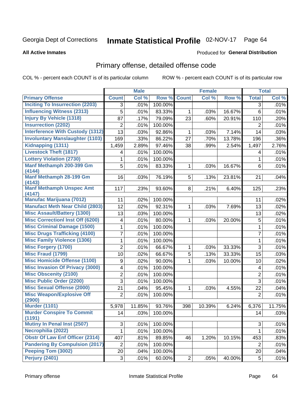# Inmate Statistical Profile 02-NOV-17 Page 64

#### **All Active Inmates**

#### Produced for General Distribution

## Primary offense, detailed offense code

COL % - percent each COUNT is of its particular column

|                                                                            |                | <b>Male</b> |         |              | <b>Female</b> |        |                | <b>Total</b> |
|----------------------------------------------------------------------------|----------------|-------------|---------|--------------|---------------|--------|----------------|--------------|
| <b>Primary Offense</b>                                                     | <b>Count</b>   | Col %       | Row %   | <b>Count</b> | Col %         | Row %  | <b>Total</b>   | Col %        |
| <b>Inciting To Insurrection (2203)</b>                                     | 3              | .01%        | 100.00% |              |               |        | 3              | .01%         |
| <b>Influencing Witness (2313)</b>                                          | 5              | .01%        | 83.33%  | $\mathbf{1}$ | .03%          | 16.67% | 6              | .01%         |
| <b>Injury By Vehicle (1318)</b>                                            | 87             | .17%        | 79.09%  | 23           | .60%          | 20.91% | 110            | .20%         |
| <b>Insurrection (2202)</b>                                                 | 2              | .01%        | 100.00% |              |               |        | $\overline{2}$ | .01%         |
| <b>Interference With Custody (1312)</b>                                    | 13             | .03%        | 92.86%  | $\mathbf{1}$ | .03%          | 7.14%  | 14             | .03%         |
| <b>Involuntary Manslaughter (1103)</b>                                     | 169            | .33%        | 86.22%  | 27           | .70%          | 13.78% | 196            | .36%         |
| Kidnapping (1311)                                                          | 1,459          | 2.89%       | 97.46%  | 38           | .99%          | 2.54%  | 1,497          | 2.76%        |
| <b>Livestock Theft (1817)</b>                                              | 4              | .01%        | 100.00% |              |               |        | 4              | .01%         |
| <b>Lottery Violation (2730)</b>                                            | 1              | .01%        | 100.00% |              |               |        | 1              | .01%         |
| Manf Methamph 200-399 Gm<br>(4144)                                         | 5              | .01%        | 83.33%  | $\mathbf{1}$ | .03%          | 16.67% | 6              | .01%         |
| <b>Manf Methamph 28-199 Gm</b>                                             | 16             | .03%        | 76.19%  | 5            | .13%          | 23.81% | 21             | .04%         |
| (4143)<br><b>Manf Methamph Unspec Amt</b>                                  | 117            | .23%        | 93.60%  | 8            | .21%          | 6.40%  | 125            | .23%         |
| (4147)<br><b>Manufac Marijuana (7012)</b>                                  |                |             |         |              |               |        |                |              |
| <b>Manufact Meth Near Child (2803)</b>                                     | 11             | .02%        | 100.00% |              |               |        | 11             | .02%         |
| <b>Misc Assault/Battery (1300)</b>                                         | 12             | .02%        | 92.31%  | $\mathbf{1}$ | .03%          | 7.69%  | 13             | .02%         |
| <b>Misc Correctionl Inst Off (6200)</b>                                    | 13             | .03%        | 100.00% |              |               |        | 13             | .02%         |
|                                                                            | 4              | .01%        | 80.00%  | $\mathbf 1$  | .03%          | 20.00% | 5              | .01%         |
| <b>Misc Criminal Damage (1500)</b>                                         | 1              | .01%        | 100.00% |              |               |        | 1              | .01%         |
| <b>Misc Drugs Trafficking (4100)</b><br><b>Misc Family Violence (1306)</b> | 7              | .01%        | 100.00% |              |               |        | $\overline{7}$ | .01%         |
|                                                                            | 1              | .01%        | 100.00% |              |               |        | $\mathbf{1}$   | .01%         |
| <b>Misc Forgery (1700)</b>                                                 | $\overline{2}$ | .01%        | 66.67%  | $\mathbf 1$  | .03%          | 33.33% | 3              | .01%         |
| <b>Misc Fraud (1799)</b>                                                   | 10             | .02%        | 66.67%  | 5            | .13%          | 33.33% | 15             | .03%         |
| <b>Misc Homicide Offense (1100)</b>                                        | 9              | .02%        | 90.00%  | $\mathbf{1}$ | .03%          | 10.00% | 10             | .02%         |
| <b>Misc Invasion Of Privacy (3000)</b>                                     | 4              | .01%        | 100.00% |              |               |        | 4              | .01%         |
| <b>Misc Obscenity (2100)</b>                                               | $\overline{c}$ | .01%        | 100.00% |              |               |        | $\overline{2}$ | .01%         |
| <b>Misc Public Order (2200)</b>                                            | 3              | .01%        | 100.00% |              |               |        | 3              | .01%         |
| <b>Misc Sexual Offense (2000)</b>                                          | 21             | .04%        | 95.45%  | $\mathbf{1}$ | .03%          | 4.55%  | 22             | .04%         |
| <b>Misc Weapon/Explosive Off</b><br>(2900)                                 | $\overline{2}$ | .01%        | 100.00% |              |               |        | $\overline{2}$ | .01%         |
| <b>Murder (1101)</b>                                                       | 5,978          | 11.85%      | 93.76%  | 398          | 10.39%        | 6.24%  | 6,376          | 11.75%       |
| <b>Murder Conspire To Commit</b>                                           | 14             | .03%        | 100.00% |              |               |        | 14             | .03%         |
| (1191)                                                                     |                |             |         |              |               |        |                |              |
| <b>Mutiny In Penal Inst (2507)</b>                                         | 3              | .01%        | 100.00% |              |               |        | 3              | .01%         |
| Necrophilia (2022)                                                         | 1              | .01%        | 100.00% |              |               |        | $\mathbf 1$    | .01%         |
| <b>Obstr Of Law Enf Officer (2314)</b>                                     | 407            | .81%        | 89.85%  | 46           | 1.20%         | 10.15% | 453            | .83%         |
| <b>Pandering By Compulsion (2017)</b>                                      | $\overline{2}$ | .01%        | 100.00% |              |               |        | $\overline{2}$ | .01%         |
| Peeping Tom (3002)                                                         | 20             | .04%        | 100.00% |              |               |        | 20             | .04%         |
| <b>Perjury (2401)</b>                                                      | 3              | .01%        | 60.00%  | $2\vert$     | .05%          | 40.00% | 5              | .01%         |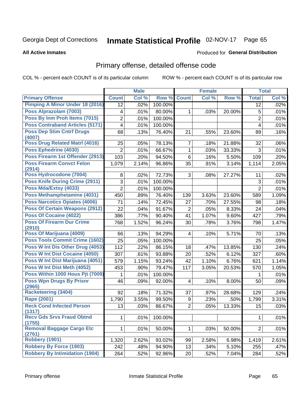# Inmate Statistical Profile 02-NOV-17 Page 65

#### **All Active Inmates**

#### Produced for General Distribution

## Primary offense, detailed offense code

COL % - percent each COUNT is of its particular column

|                                            |                         | <b>Male</b> |         |                         | <b>Female</b> |        |                | <b>Total</b> |
|--------------------------------------------|-------------------------|-------------|---------|-------------------------|---------------|--------|----------------|--------------|
| <b>Primary Offense</b>                     | <b>Count</b>            | Col %       | Row %   | <b>Count</b>            | Col %         | Row %  | <b>Total</b>   | Col %        |
| <b>Pimping A Minor Under 18 (2016)</b>     | 12                      | .02%        | 100.00% |                         |               |        | 12             | .02%         |
| Poss Alprazolam (7003)                     | 4                       | .01%        | 80.00%  | 1                       | .03%          | 20.00% | 5              | .01%         |
| Poss By Inm Proh Items (7015)              | $\overline{2}$          | .01%        | 100.00% |                         |               |        | $\overline{2}$ | .01%         |
| <b>Poss Contraband Articles (5171)</b>     | $\overline{\mathbf{4}}$ | .01%        | 100.00% |                         |               |        | 4              | .01%         |
| <b>Poss Dep Stim Cntrf Drugs</b>           | 68                      | .13%        | 76.40%  | 21                      | .55%          | 23.60% | 89             | .16%         |
| (4007)                                     |                         |             |         |                         |               |        |                |              |
| Poss Drug Related Matrl (4016)             | 25                      | .05%        | 78.13%  | $\overline{7}$          | .18%          | 21.88% | 32             | .06%         |
| Poss Ephedrine (4030)                      | $\overline{2}$          | .01%        | 66.67%  | $\mathbf{1}$            | .03%          | 33.33% | 3              | .01%         |
| Poss Firearm 1st Offender (2913)           | 103                     | .20%        | 94.50%  | 6                       | .16%          | 5.50%  | 109            | .20%         |
| <b>Poss Firearm Convct Felon</b><br>(2914) | 1,079                   | 2.14%       | 96.86%  | 35                      | .91%          | 3.14%  | 1,114          | 2.05%        |
| Poss Hydrocodone (7004)                    | 8                       | .02%        | 72.73%  | 3                       | .08%          | 27.27% | 11             | .02%         |
| <b>Poss Knife During Crime (2911)</b>      | 3                       | .01%        | 100.00% |                         |               |        | 3              | .01%         |
| Poss Mda/Extsy (4033)                      | $\overline{2}$          | .01%        | 100.00% |                         |               |        | $\overline{2}$ | .01%         |
| Poss Methamphetamine (4031)                | 450                     | .89%        | 76.40%  | 139                     | 3.63%         | 23.60% | 589            | 1.09%        |
| <b>Poss Narcotics Opiates (4006)</b>       | 71                      | .14%        | 72.45%  | 27                      | .70%          | 27.55% | 98             | .18%         |
| <b>Poss Of Certain Weapons (2912)</b>      | 22                      | .04%        | 91.67%  | 2                       | .05%          | 8.33%  | 24             | .04%         |
| <b>Poss Of Cocaine (4022)</b>              | 386                     | .77%        | 90.40%  | 41                      | 1.07%         | 9.60%  | 427            | .79%         |
| <b>Poss Of Firearm Dur Crime</b>           | 768                     | 1.52%       | 96.24%  | 30                      | .78%          | 3.76%  | 798            | 1.47%        |
| (2910)                                     |                         |             |         |                         |               |        |                |              |
| Poss Of Marijuana (4009)                   | 66                      | .13%        | 94.29%  | $\overline{4}$          | .10%          | 5.71%  | 70             | .13%         |
| Poss Tools Commit Crime (1602)             | 25                      | .05%        | 100.00% |                         |               |        | 25             | .05%         |
| Poss W Int Dis Other Drug (4053)           | 112                     | .22%        | 86.15%  | 18                      | .47%          | 13.85% | 130            | .24%         |
| <b>Poss W Int Dist Cocaine (4050)</b>      | 307                     | .61%        | 93.88%  | 20                      | .52%          | 6.12%  | 327            | .60%         |
| Poss W Int Dist Marijuana (4051)           | 579                     | 1.15%       | 93.24%  | 42                      | 1.10%         | 6.76%  | 621            | 1.14%        |
| Poss W Int Dist Meth (4052)                | 453                     | .90%        | 79.47%  | 117                     | 3.05%         | 20.53% | 570            | 1.05%        |
| Poss Within 1000 Hous Pjt (7009)           | 1                       | .01%        | 100.00% |                         |               |        | 1              | .01%         |
| <b>Poss Wpn Drugs By Prisnr</b><br>(2965)  | 46                      | .09%        | 92.00%  | $\overline{\mathbf{4}}$ | .10%          | 8.00%  | 50             | .09%         |
| <b>Racketeering (3404)</b>                 | 92                      | .18%        | 71.32%  | 37                      | .97%          | 28.68% | 129            | .24%         |
| Rape (2001)                                | 1,790                   | 3.55%       | 99.50%  | 9                       | .23%          | .50%   | 1,799          | 3.31%        |
| <b>Reck Cond Infected Person</b>           | 13                      | .03%        | 86.67%  | $\overline{2}$          | .05%          | 13.33% | 15             | .03%         |
| (1317)                                     |                         |             |         |                         |               |        |                |              |
| <b>Recv Gds Srvs Fraud Obtnd</b><br>(1755) | 1                       | .01%        | 100.00% |                         |               |        | $\mathbf{1}$   | .01%         |
| Removal Baggage Cargo Etc<br>(2761)        | $\mathbf{1}$            | .01%        | 50.00%  | $\mathbf{1}$            | .03%          | 50.00% | $\overline{2}$ | .01%         |
| <b>Robbery (1901)</b>                      | 1,320                   | 2.62%       | 93.02%  | 99                      | 2.58%         | 6.98%  | 1,419          | 2.61%        |
| <b>Robbery By Force (1903)</b>             | 242                     | .48%        | 94.90%  | 13                      | .34%          | 5.10%  | 255            | .47%         |
| <b>Robbery By Intimidation (1904)</b>      | 264                     | .52%        | 92.96%  | 20 <sup>°</sup>         | .52%          | 7.04%  | 284            | .52%         |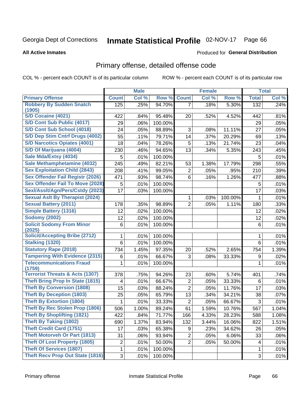# Inmate Statistical Profile 02-NOV-17 Page 66

#### **All Active Inmates**

#### Produced for General Distribution

## Primary offense, detailed offense code

COL % - percent each COUNT is of its particular column

|                                                      |                | <b>Male</b>         |         |                         | <b>Female</b> |         |              | <b>Total</b>        |
|------------------------------------------------------|----------------|---------------------|---------|-------------------------|---------------|---------|--------------|---------------------|
| <b>Primary Offense</b>                               | <b>Count</b>   | Col %               | Row %   | <b>Count</b>            | Col %         | Row %   | <b>Total</b> | Col %               |
| <b>Robbery By Sudden Snatch</b>                      | 125            | .25%                | 94.70%  | $\overline{7}$          | .18%          | 5.30%   | 132          | .24%                |
| (1905)                                               |                |                     |         |                         |               |         |              |                     |
| S/D Cocaine (4021)                                   | 422            | .84%                | 95.48%  | 20                      | .52%          | 4.52%   | 442          | .81%                |
| S/D Cont Sub Public (4017)                           | 29             | .06%                | 100.00% |                         |               |         | 29           | .05%                |
| S/D Cont Sub School (4018)                           | 24             | .05%                | 88.89%  | 3                       | .08%          | 11.11%  | 27           | .05%                |
| S/D Dep Stim Cntrf Drugs (4002)                      | 55             | .11%                | 79.71%  | 14                      | .37%          | 20.29%  | 69           | .13%                |
| <b>S/D Narcotics Opiates (4001)</b>                  | 18             | .04%                | 78.26%  | 5                       | .13%          | 21.74%  | 23           | .04%                |
| S/D Of Marijuana (4004)                              | 230            | .46%                | 94.65%  | 13                      | .34%          | 5.35%   | 243          | .45%                |
| Sale Mda/Extsy (4034)                                | 5              | .01%                | 100.00% |                         |               |         | 5            | .01%                |
| Sale Methamphetamine (4032)                          | 245            | .49%                | 82.21%  | 53                      | 1.38%         | 17.79%  | 298          | .55%                |
| <b>Sex Exploitation Child (2843)</b>                 | 208            | .41%                | 99.05%  | $\overline{2}$          | .05%          | .95%    | 210          | .39%                |
| Sex Offender Fail Registr (2026)                     | 471            | .93%                | 98.74%  | 6                       | .16%          | 1.26%   | 477          | .88%                |
| <b>Sex Offender Fail To Move (2028)</b>              | 5              | .01%                | 100.00% |                         |               |         | 5            | .01%                |
| Sexl/Asslt/Agn/Pers/Cstdy (2023)                     | 17             | .03%                | 100.00% |                         |               |         | 17           | .03%                |
| <b>Sexual Aslt By Therapist (2024)</b>               |                |                     |         | 1                       | .03%          | 100.00% | 1            | .01%                |
| <b>Sexual Battery (2011)</b>                         | 178            | .35%                | 98.89%  | $\overline{2}$          | .05%          | 1.11%   | 180          | .33%                |
| <b>Simple Battery (1316)</b>                         | 12             | .02%                | 100.00% |                         |               |         | 12           | .02%                |
| <b>Sodomy (2002)</b>                                 | 12             | .02%                | 100.00% |                         |               |         | 12           | .02%                |
| <b>Solicit Sodomy From Minor</b>                     | 6              | .01%                | 100.00% |                         |               |         | 6            | .01%                |
| (2025)                                               |                |                     |         |                         |               |         |              |                     |
| <b>Solicit/Accepting Bribe (2712)</b>                | 1              | .01%                | 100.00% |                         |               |         | 1            | .01%                |
| <b>Stalking (1320)</b>                               | 6              | .01%                | 100.00% |                         |               |         | 6            | .01%                |
| <b>Statutory Rape (2018)</b>                         | 734            | $\overline{1.45\%}$ | 97.35%  | 20                      | .52%          | 2.65%   | 754          | 1.39%               |
| <b>Tampering With Evidence (2315)</b>                | 6              | .01%                | 66.67%  | 3                       | .08%          | 33.33%  | 9            | .02%                |
| <b>Telecommunications Fraud</b>                      | 1              | .01%                | 100.00% |                         |               |         | 1            | .01%                |
| (1759)<br><b>Terrorist Threats &amp; Acts (1307)</b> | 378            | .75%                | 94.26%  | 23                      | .60%          | 5.74%   | 401          | .74%                |
| <b>Theft Bring Prop In State (1815)</b>              | 4              | .01%                | 66.67%  | $\overline{\mathbf{c}}$ | .05%          | 33.33%  | 6            | .01%                |
| <b>Theft By Conversion (1808)</b>                    | 15             | .03%                | 88.24%  | $\overline{2}$          | .05%          | 11.76%  | 17           | .03%                |
| <b>Theft By Deception (1803)</b>                     | 25             | .05%                | 65.79%  | 13                      | .34%          | 34.21%  | 38           | .07%                |
| <b>Theft By Extortion (1804)</b>                     | 1              | .01%                | 33.33%  | $\overline{2}$          | .05%          | 66.67%  | 3            | .01%                |
| <b>Theft By Rec Stolen Prop (1806)</b>               | 506            | 1.00%               | 89.24%  | 61                      | 1.59%         | 10.76%  | 567          | 1.04%               |
| <b>Theft By Shoplifting (1821)</b>                   | 422            | .84%                | 71.77%  | 166                     | 4.33%         | 28.23%  | 588          | 1.08%               |
| <b>Theft By Taking (1802)</b>                        | 690            | 1.37%               | 83.94%  | 132                     | 3.44%         | 16.06%  | 822          | $\overline{1.51\%}$ |
| <b>Theft Credit Card (1751)</b>                      | 17             | .03%                | 65.38%  | 9                       | .23%          | 34.62%  | 26           | .05%                |
| <b>Theft Motorveh Or Part (1813)</b>                 | 31             | .06%                | 93.94%  | $\overline{2}$          | .05%          | 6.06%   | 33           | .06%                |
| <b>Theft Of Lost Property (1805)</b>                 | $\overline{2}$ | .01%                | 50.00%  | $\overline{2}$          | .05%          | 50.00%  | 4            | .01%                |
| <b>Theft Of Services (1807)</b>                      | 1              | .01%                | 100.00% |                         |               |         | 1            | .01%                |
| <b>Theft Recv Prop Out State (1816)</b>              |                |                     |         |                         |               |         | 3            |                     |
|                                                      | $\overline{3}$ | .01%                | 100.00% |                         |               |         |              | .01%                |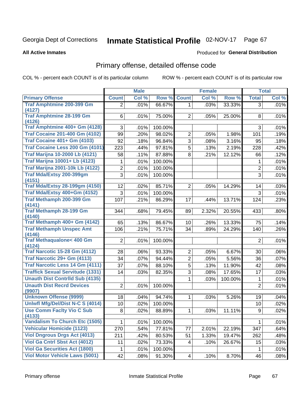# Inmate Statistical Profile 02-NOV-17 Page 67

#### **All Active Inmates**

#### Produced for General Distribution

## Primary offense, detailed offense code

COL % - percent each COUNT is of its particular column

|                                            |                | <b>Male</b> |         |                 | <b>Female</b> |         |                | <b>Total</b> |
|--------------------------------------------|----------------|-------------|---------|-----------------|---------------|---------|----------------|--------------|
| <b>Primary Offense</b>                     | <b>Count</b>   | Col %       | Row %   | <b>Count</b>    | Col %         | Row %   | <b>Total</b>   | Col %        |
| <b>Traf Amphtmine 200-399 Gm</b>           | $\overline{2}$ | .01%        | 66.67%  | 1 <sup>1</sup>  | .03%          | 33.33%  | $\overline{3}$ | .01%         |
| (4127)                                     |                |             |         |                 |               |         |                |              |
| <b>Traf Amphtmine 28-199 Gm</b><br>(4126)  | 6              | .01%        | 75.00%  | $\overline{2}$  | .05%          | 25.00%  | 8              | .01%         |
| Traf Amphtmine 400+ Gm (4128)              | 3              | .01%        | 100.00% |                 |               |         | 3              | .01%         |
| <b>Traf Cocaine 201-400 Gm (4102)</b>      | 99             | .20%        | 98.02%  | $\overline{2}$  | .05%          | 1.98%   | 101            | .19%         |
| <b>Traf Cocaine 401+ Gm (4103)</b>         | 92             | .18%        | 96.84%  | 3               | .08%          | 3.16%   | 95             | .18%         |
| Traf Cocaine Less 200 Gm (4101)            | 223            | .44%        | 97.81%  | 5               | .13%          | 2.19%   | 228            | .42%         |
| <b>Traf Marijna 10-2000 Lb (4121)</b>      | 58             | .11%        | 87.88%  | 8               | .21%          | 12.12%  | 66             | .12%         |
| <b>Traf Marijna 10001+ Lb (4123)</b>       | 1              | .01%        | 100.00% |                 |               |         | 1              | .01%         |
| <b>Traf Marijna 2001-10k Lb (4122)</b>     | $\overline{2}$ | .01%        | 100.00% |                 |               |         | $\overline{2}$ | .01%         |
| <b>Traf Mda/Extsy 200-399gm</b>            | 3              | .01%        | 100.00% |                 |               |         | 3              | .01%         |
| (4151)                                     |                |             |         |                 |               |         |                |              |
| <b>Traf Mda/Extsy 28-199gm (4150)</b>      | 12             | .02%        | 85.71%  | $\overline{2}$  | .05%          | 14.29%  | 14             | .03%         |
| Traf Mda/Extsy 400+Gm (4152)               | 3              | .01%        | 100.00% |                 |               |         | 3              | .01%         |
| Traf Methamph 200-399 Gm                   | 107            | .21%        | 86.29%  | 17              | .44%          | 13.71%  | 124            | .23%         |
| (4141)                                     |                |             |         |                 |               |         |                |              |
| <b>Traf Methamph 28-199 Gm</b><br>(4140)   | 344            | .68%        | 79.45%  | 89              | 2.32%         | 20.55%  | 433            | .80%         |
| Traf Methamph 400+ Gm (4142)               | 65             | .13%        | 86.67%  | 10              | .26%          | 13.33%  | 75             | .14%         |
| <b>Traf Methamph Unspec Amt</b>            | 106            | .21%        | 75.71%  | 34              | .89%          | 24.29%  | 140            | .26%         |
| (4146)                                     |                |             |         |                 |               |         |                |              |
| <b>Traf Methaqualone&lt; 400 Gm</b>        | $\overline{2}$ | .01%        | 100.00% |                 |               |         | $\overline{2}$ | .01%         |
| (4124)                                     |                |             |         |                 |               |         |                |              |
| <b>Traf Narcotic 15-28 Gm (4112)</b>       | 28             | .06%        | 93.33%  | $\overline{2}$  | .05%          | 6.67%   | 30             | $.06\%$      |
| Traf Narcotic 29+ Gm (4113)                | 34             | .07%        | 94.44%  | $\overline{2}$  | .05%          | 5.56%   | 36             | .07%         |
| Traf Narcotic Less 14 Gm (4111)            | 37             | .07%        | 88.10%  | $\overline{5}$  | .13%          | 11.90%  | 42             | .08%         |
| <b>Traffick Sexual Servitude (1331)</b>    | 14             | .03%        | 82.35%  | 3               | .08%          | 17.65%  | 17             | .03%         |
| <b>Unauth Dist Contrild Sub (4135)</b>     |                |             |         | 1               | .03%          | 100.00% | 1              | .01%         |
| <b>Unauth Dist Recrd Devices</b><br>(9907) | $\overline{2}$ | .01%        | 100.00% |                 |               |         | $\overline{2}$ | .01%         |
| <b>Unknown Offense (9999)</b>              | 18             | .04%        | 94.74%  | 1               | .03%          | 5.26%   | 19             | .04%         |
| Uniwfl Mfg/Del/Dist N-C S (4014)           | 10             | .02%        | 100.00% |                 |               |         | 10             | .02%         |
| <b>Use Comm Facity Vio C Sub</b>           | 8              | .02%        | 88.89%  | $\mathbf{1}$    | .03%          | 11.11%  | 9              | .02%         |
| (4133)                                     |                |             |         |                 |               |         |                |              |
| <b>Vandalism To Church Etc (1505)</b>      | 1              | .01%        | 100.00% |                 |               |         | $\mathbf{1}$   | .01%         |
| <b>Vehicular Homicide (1123)</b>           | 270            | .54%        | 77.81%  | 77              | 2.01%         | 22.19%  | 347            | .64%         |
| <b>Viol Dngrous Drgs Act (4013)</b>        | 211            | .42%        | 80.53%  | 51              | 1.33%         | 19.47%  | 262            | .48%         |
| Viol Ga Cntrl Sbst Act (4012)              | 11             | .02%        | 73.33%  | 4               | .10%          | 26.67%  | 15             | .03%         |
| <b>Viol Ga Securities Act (1800)</b>       | 1              | .01%        | 100.00% |                 |               |         | $\mathbf 1$    | .01%         |
| <b>Viol Motor Vehicle Laws (5001)</b>      | 42             | .08%        | 91.30%  | $\vert 4 \vert$ | .10%          | 8.70%   | 46             | .08%         |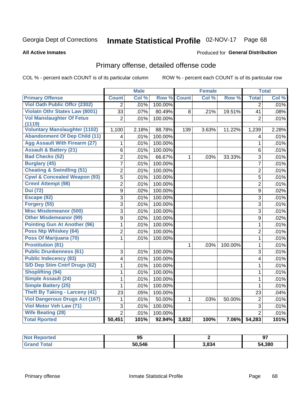# Inmate Statistical Profile 02-NOV-17 Page 68

**All Active Inmates** 

#### Produced for General Distribution

## Primary offense, detailed offense code

COL % - percent each COUNT is of its particular column

|                                            |                | <b>Male</b> |         |              | <b>Female</b> |         |                         | <b>Total</b> |
|--------------------------------------------|----------------|-------------|---------|--------------|---------------|---------|-------------------------|--------------|
| <b>Primary Offense</b>                     | <b>Count</b>   | Col %       | Row %   | <b>Count</b> | Col %         | Row %   | <b>Total</b>            | Col %        |
| <b>Viol Oath Public Offer (2302)</b>       | $\overline{2}$ | .01%        | 100.00% |              |               |         | $\overline{2}$          | .01%         |
| Violatn Othr States Law (8001)             | 33             | .07%        | 80.49%  | 8            | .21%          | 19.51%  | 41                      | .08%         |
| <b>Vol Manslaughter Of Fetus</b><br>(1119) | $\overline{2}$ | .01%        | 100.00% |              |               |         | $\overline{2}$          | .01%         |
| <b>Voluntary Manslaughter (1102)</b>       | 1,100          | 2.18%       | 88.78%  | 139          | 3.63%         | 11.22%  | 1,239                   | 2.28%        |
| <b>Abandonment Of Dep Child (11)</b>       | $\overline{4}$ | .01%        | 100.00% |              |               |         | $\overline{\mathbf{4}}$ | .01%         |
| <b>Agg Assault With Firearm (27)</b>       | 1              | .01%        | 100.00% |              |               |         | 1                       | .01%         |
| <b>Assault &amp; Battery (21)</b>          | 6              | .01%        | 100.00% |              |               |         | 6                       | .01%         |
| <b>Bad Checks (52)</b>                     | $\overline{2}$ | .01%        | 66.67%  | 1            | .03%          | 33.33%  | 3                       | .01%         |
| <b>Burglary (45)</b>                       | $\overline{7}$ | .01%        | 100.00% |              |               |         | $\overline{7}$          | .01%         |
| <b>Cheating &amp; Swindling (51)</b>       | 2              | .01%        | 100.00% |              |               |         | $\overline{2}$          | .01%         |
| <b>Cpwl &amp; Concealed Weapon (93)</b>    | $\overline{5}$ | .01%        | 100.00% |              |               |         | 5                       | .01%         |
| <b>Crmnl Attempt (98)</b>                  | $\overline{2}$ | .01%        | 100.00% |              |               |         | $\overline{2}$          | .01%         |
| <b>Dui (72)</b>                            | $\overline{9}$ | .02%        | 100.00% |              |               |         | 9                       | .02%         |
| Escape (92)                                | 3              | .01%        | 100.00% |              |               |         | 3                       | .01%         |
| Forgery (55)                               | $\overline{3}$ | .01%        | 100.00% |              |               |         | 3                       | .01%         |
| <b>Misc Misdemeanor (500)</b>              | $\overline{3}$ | .01%        | 100.00% |              |               |         | 3                       | .01%         |
| <b>Other Misdemeanor (99)</b>              | 9              | .02%        | 100.00% |              |               |         | 9                       | .02%         |
| <b>Pointing Gun At Another (96)</b>        | $\mathbf{1}$   | .01%        | 100.00% |              |               |         | $\mathbf{1}$            | .01%         |
| Poss Ntp Whiskey (64)                      | $\overline{2}$ | .01%        | 100.00% |              |               |         | $\overline{2}$          | .01%         |
| Poss Of Marijuana (70)                     | $\mathbf{1}$   | .01%        | 100.00% |              |               |         | $\mathbf{1}$            | .01%         |
| <b>Prostitution (81)</b>                   |                |             |         | $\mathbf 1$  | .03%          | 100.00% | $\mathbf{1}$            | .01%         |
| <b>Public Drunkenness (61)</b>             | 3              | .01%        | 100.00% |              |               |         | 3                       | .01%         |
| <b>Public Indecency (83)</b>               | $\overline{4}$ | .01%        | 100.00% |              |               |         | $\overline{4}$          | .01%         |
| S/D Dep Stim Cntrf Drugs (62)              | 1              | .01%        | 100.00% |              |               |         | $\mathbf 1$             | .01%         |
| <b>Shoplifting (94)</b>                    | $\mathbf{1}$   | .01%        | 100.00% |              |               |         | $\mathbf{1}$            | .01%         |
| Simple Assault (24)                        | $\overline{1}$ | .01%        | 100.00% |              |               |         | $\mathbf{1}$            | .01%         |
| <b>Simple Battery (25)</b>                 | 1              | .01%        | 100.00% |              |               |         | $\mathbf{1}$            | .01%         |
| <b>Theft By Taking - Larceny (41)</b>      | 23             | .05%        | 100.00% |              |               |         | 23                      | .04%         |
| <b>Viol Dangerous Drugs Act (167)</b>      | 1              | .01%        | 50.00%  | $\mathbf{1}$ | .03%          | 50.00%  | $\overline{2}$          | .01%         |
| Viol Motor Veh Law (71)                    | $\overline{3}$ | .01%        | 100.00% |              |               |         | $\overline{3}$          | .01%         |
| <b>Wife Beating (28)</b>                   | $\overline{2}$ | .01%        | 100.00% |              |               |         | $\overline{2}$          | .01%         |
| <b>Total Rported</b>                       | 50,451         | 101%        | 92.94%  | 3,832        | 100%          | 7.06%   | 54,283                  | 101%         |

| <b>eported</b>  | oτ     |       | Ω.          |
|-----------------|--------|-------|-------------|
| <b>NOT</b>      | JJ.    |       | J.          |
| $\sim$ 4 $\sim$ | 50.546 | 3,834 | ,380<br>54. |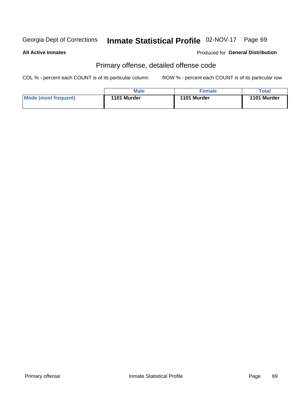# Inmate Statistical Profile 02-NOV-17 Page 69

#### **All Active Inmates**

### **Produced for General Distribution**

## Primary offense, detailed offense code

COL % - percent each COUNT is of its particular column

|                      | <b>Male</b> | <b>Female</b> | Total       |
|----------------------|-------------|---------------|-------------|
| Mode (most frequent) | 1101 Murder | 1101 Murder   | 1101 Murder |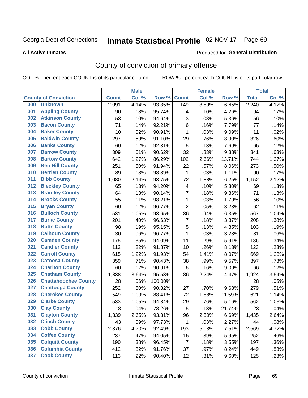# Inmate Statistical Profile 02-NOV-17 Page 69

**All Active Inmates** 

#### Produced for General Distribution

## County of conviction of primary offense

COL % - percent each COUNT is of its particular column

|     |                             |              | <b>Male</b> |         |                         | <b>Female</b> |        |              | <b>Total</b> |
|-----|-----------------------------|--------------|-------------|---------|-------------------------|---------------|--------|--------------|--------------|
|     | <b>County of Conviction</b> | <b>Count</b> | Col %       | Row %   | <b>Count</b>            | Col %         | Row %  | <b>Total</b> | Col %        |
| 000 | <b>Unknown</b>              | 2,091        | 4.14%       | 93.35%  | 149                     | 3.89%         | 6.65%  | 2,240        | 4.12%        |
| 001 | <b>Appling County</b>       | 90           | .18%        | 95.74%  | 4                       | .10%          | 4.26%  | 94           | .17%         |
| 002 | <b>Atkinson County</b>      | 53           | .10%        | 94.64%  | 3                       | .08%          | 5.36%  | 56           | .10%         |
| 003 | <b>Bacon County</b>         | 71           | .14%        | 92.21%  | 6                       | .16%          | 7.79%  | 77           | .14%         |
| 004 | <b>Baker County</b>         | 10           | .02%        | 90.91%  | $\mathbf{1}$            | .03%          | 9.09%  | 11           | .02%         |
| 005 | <b>Baldwin County</b>       | 297          | .59%        | 91.10%  | 29                      | .76%          | 8.90%  | 326          | .60%         |
| 006 | <b>Banks County</b>         | 60           | .12%        | 92.31%  | 5                       | .13%          | 7.69%  | 65           | .12%         |
| 007 | <b>Barrow County</b>        | 309          | .61%        | 90.62%  | 32                      | .83%          | 9.38%  | 341          | .63%         |
| 008 | <b>Bartow County</b>        | 642          | 1.27%       | 86.29%  | 102                     | 2.66%         | 13.71% | 744          | 1.37%        |
| 009 | <b>Ben Hill County</b>      | 251          | .50%        | 91.94%  | 22                      | .57%          | 8.06%  | 273          | .50%         |
| 010 | <b>Berrien County</b>       | 89           | .18%        | 98.89%  | 1                       | .03%          | 1.11%  | 90           | .17%         |
| 011 | <b>Bibb County</b>          | 1,080        | 2.14%       | 93.75%  | 72                      | 1.88%         | 6.25%  | 1,152        | 2.12%        |
| 012 | <b>Bleckley County</b>      | 65           | .13%        | 94.20%  | $\overline{\mathbf{4}}$ | .10%          | 5.80%  | 69           | .13%         |
| 013 | <b>Brantley County</b>      | 64           | .13%        | 90.14%  | $\overline{7}$          | .18%          | 9.86%  | 71           | .13%         |
| 014 | <b>Brooks County</b>        | 55           | .11%        | 98.21%  | 1                       | .03%          | 1.79%  | 56           | .10%         |
| 015 | <b>Bryan County</b>         | 60           | .12%        | 96.77%  | $\overline{2}$          | .05%          | 3.23%  | 62           | .11%         |
| 016 | <b>Bulloch County</b>       | 531          | 1.05%       | 93.65%  | 36                      | .94%          | 6.35%  | 567          | 1.04%        |
| 017 | <b>Burke County</b>         | 201          | .40%        | 96.63%  | $\overline{7}$          | .18%          | 3.37%  | 208          | .38%         |
| 018 | <b>Butts County</b>         | 98           | .19%        | 95.15%  | 5                       | .13%          | 4.85%  | 103          | .19%         |
| 019 | <b>Calhoun County</b>       | 30           | .06%        | 96.77%  | $\mathbf{1}$            | .03%          | 3.23%  | 31           | .06%         |
| 020 | <b>Camden County</b>        | 175          | .35%        | 94.09%  | 11                      | .29%          | 5.91%  | 186          | .34%         |
| 021 | <b>Candler County</b>       | 113          | .22%        | 91.87%  | 10                      | .26%          | 8.13%  | 123          | .23%         |
| 022 | <b>Carroll County</b>       | 615          | 1.22%       | 91.93%  | 54                      | 1.41%         | 8.07%  | 669          | 1.23%        |
| 023 | <b>Catoosa County</b>       | 359          | .71%        | 90.43%  | 38                      | .99%          | 9.57%  | 397          | .73%         |
| 024 | <b>Charlton County</b>      | 60           | .12%        | 90.91%  | 6                       | .16%          | 9.09%  | 66           | .12%         |
| 025 | <b>Chatham County</b>       | 1,838        | 3.64%       | 95.53%  | 86                      | 2.24%         | 4.47%  | 1,924        | 3.54%        |
| 026 | <b>Chattahoochee County</b> | 28           | .06%        | 100.00% |                         |               |        | 28           | .05%         |
| 027 | <b>Chattooga County</b>     | 252          | .50%        | 90.32%  | 27                      | .70%          | 9.68%  | 279          | .51%         |
| 028 | <b>Cherokee County</b>      | 549          | 1.09%       | 88.41%  | 72                      | 1.88%         | 11.59% | 621          | 1.14%        |
| 029 | <b>Clarke County</b>        | 533          | 1.05%       | 94.84%  | 29                      | .76%          | 5.16%  | 562          | 1.03%        |
| 030 | <b>Clay County</b>          | 18           | .04%        | 78.26%  | 5                       | .13%          | 21.74% | 23           | .04%         |
| 031 | <b>Clayton County</b>       | 1,339        | 2.65%       | 93.31%  | 96                      | 2.50%         | 6.69%  | 1,435        | 2.64%        |
| 032 | <b>Clinch County</b>        | 43           | .09%        | 97.73%  | 1                       | .03%          | 2.27%  | 44           | .08%         |
| 033 | <b>Cobb County</b>          | 2,376        | 4.70%       | 92.49%  | 193                     | 5.03%         | 7.51%  | 2,569        | 4.72%        |
| 034 | <b>Coffee County</b>        | 237          | .47%        | 94.05%  | 15                      | .39%          | 5.95%  | 252          | .46%         |
| 035 | <b>Colquitt County</b>      | 190          | .38%        | 96.45%  | $\overline{7}$          | .18%          | 3.55%  | 197          | .36%         |
| 036 | <b>Columbia County</b>      | 412          | .82%        | 91.76%  | 37                      | .97%          | 8.24%  | 449          | .83%         |
| 037 | <b>Cook County</b>          | 113          | .22%        | 90.40%  | 12                      | .31%          | 9.60%  | 125          | .23%         |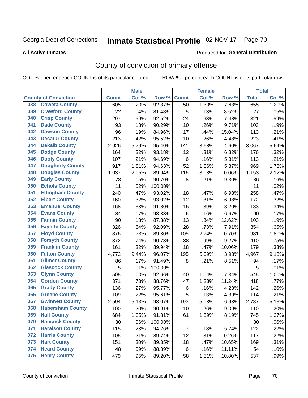# Inmate Statistical Profile 02-NOV-17 Page 70

#### **All Active Inmates**

#### Produced for General Distribution

## County of conviction of primary offense

COL % - percent each COUNT is of its particular column

|     |                             |              | <b>Male</b> |         |                | <b>Female</b> |        |              | <b>Total</b> |
|-----|-----------------------------|--------------|-------------|---------|----------------|---------------|--------|--------------|--------------|
|     | <b>County of Conviction</b> | <b>Count</b> | Col %       | Row %   | <b>Count</b>   | Col %         | Row %  | <b>Total</b> | Col %        |
| 038 | <b>Coweta County</b>        | 605          | 1.20%       | 92.37%  | 50             | 1.30%         | 7.63%  | 655          | 1.20%        |
| 039 | <b>Crawford County</b>      | 22           | .04%        | 81.48%  | 5              | .13%          | 18.52% | 27           | .05%         |
| 040 | <b>Crisp County</b>         | 297          | .59%        | 92.52%  | 24             | .63%          | 7.48%  | 321          | .59%         |
| 041 | <b>Dade County</b>          | 93           | .18%        | 90.29%  | 10             | .26%          | 9.71%  | 103          | .19%         |
| 042 | <b>Dawson County</b>        | 96           | .19%        | 84.96%  | 17             | .44%          | 15.04% | 113          | .21%         |
| 043 | <b>Decatur County</b>       | 213          | .42%        | 95.52%  | 10             | .26%          | 4.48%  | 223          | .41%         |
| 044 | <b>Dekalb County</b>        | 2,926        | 5.79%       | 95.40%  | 141            | 3.68%         | 4.60%  | 3,067        | 5.64%        |
| 045 | <b>Dodge County</b>         | 164          | .32%        | 93.18%  | 12             | .31%          | 6.82%  | 176          | .32%         |
| 046 | <b>Dooly County</b>         | 107          | .21%        | 94.69%  | 6              | .16%          | 5.31%  | 113          | .21%         |
| 047 | <b>Dougherty County</b>     | 917          | 1.81%       | 94.63%  | 52             | 1.36%         | 5.37%  | 969          | 1.78%        |
| 048 | <b>Douglas County</b>       | 1,037        | 2.05%       | 89.94%  | 116            | 3.03%         | 10.06% | 1,153        | 2.12%        |
| 049 | <b>Early County</b>         | 78           | .15%        | 90.70%  | 8              | .21%          | 9.30%  | 86           | .16%         |
| 050 | <b>Echols County</b>        | 11           | .02%        | 100.00% |                |               |        | 11           | .02%         |
| 051 | <b>Effingham County</b>     | 240          | .47%        | 93.02%  | 18             | .47%          | 6.98%  | 258          | .47%         |
| 052 | <b>Elbert County</b>        | 160          | .32%        | 93.02%  | 12             | .31%          | 6.98%  | 172          | .32%         |
| 053 | <b>Emanuel County</b>       | 168          | .33%        | 91.80%  | 15             | .39%          | 8.20%  | 183          | .34%         |
| 054 | <b>Evans County</b>         | 84           | .17%        | 93.33%  | 6              | .16%          | 6.67%  | 90           | .17%         |
| 055 | <b>Fannin County</b>        | 90           | .18%        | 87.38%  | 13             | .34%          | 12.62% | 103          | .19%         |
| 056 | <b>Fayette County</b>       | 326          | .64%        | 92.09%  | 28             | .73%          | 7.91%  | 354          | .65%         |
| 057 | <b>Floyd County</b>         | 876          | 1.73%       | 89.30%  | 105            | 2.74%         | 10.70% | 981          | 1.80%        |
| 058 | <b>Forsyth County</b>       | 372          | .74%        | 90.73%  | 38             | .99%          | 9.27%  | 410          | .75%         |
| 059 | <b>Franklin County</b>      | 161          | .32%        | 89.94%  | 18             | .47%          | 10.06% | 179          | .33%         |
| 060 | <b>Fulton County</b>        | 4,772        | 9.44%       | 96.07%  | 195            | 5.09%         | 3.93%  | 4,967        | 9.13%        |
| 061 | <b>Gilmer County</b>        | 86           | .17%        | 91.49%  | 8              | .21%          | 8.51%  | 94           | .17%         |
| 062 | <b>Glascock County</b>      | 5            | .01%        | 100.00% |                |               |        | 5            | .01%         |
| 063 | <b>Glynn County</b>         | 505          | 1.00%       | 92.66%  | 40             | 1.04%         | 7.34%  | 545          | 1.00%        |
| 064 | <b>Gordon County</b>        | 371          | .73%        | 88.76%  | 47             | 1.23%         | 11.24% | 418          | .77%         |
| 065 | <b>Grady County</b>         | 136          | .27%        | 95.77%  | $\,6$          | .16%          | 4.23%  | 142          | .26%         |
| 066 | <b>Greene County</b>        | 109          | .22%        | 95.61%  | 5              | .13%          | 4.39%  | 114          | .21%         |
| 067 | <b>Gwinnett County</b>      | 2,594        | 5.13%       | 93.07%  | 193            | 5.03%         | 6.93%  | 2,787        | 5.13%        |
| 068 | <b>Habersham County</b>     | 100          | .20%        | 90.91%  | 10             | .26%          | 9.09%  | 110          | .20%         |
| 069 | <b>Hall County</b>          | 684          | 1.35%       | 91.81%  | 61             | 1.59%         | 8.19%  | 745          | 1.37%        |
| 070 | <b>Hancock County</b>       | 30           | .06%        | 100.00% |                |               |        | 30           | .06%         |
| 071 | <b>Haralson County</b>      | 115          | .23%        | 94.26%  | $\overline{7}$ | .18%          | 5.74%  | 122          | .22%         |
| 072 | <b>Harris County</b>        | 105          | .21%        | 89.74%  | 12             | .31%          | 10.26% | 117          | .22%         |
| 073 | <b>Hart County</b>          | 151          | .30%        | 89.35%  | 18             | .47%          | 10.65% | 169          | .31%         |
| 074 | <b>Heard County</b>         | 48           | .09%        | 88.89%  | 6              | .16%          | 11.11% | 54           | .10%         |
| 075 | <b>Henry County</b>         | 479          | .95%        | 89.20%  | 58             | 1.51%         | 10.80% | 537          | .99%         |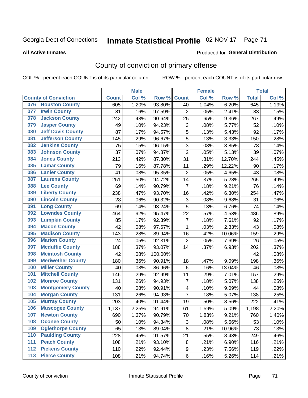# Inmate Statistical Profile 02-NOV-17 Page 71

#### **All Active Inmates**

#### Produced for General Distribution

## County of conviction of primary offense

COL % - percent each COUNT is of its particular column

|       |                             |              | <b>Male</b> |         |                           | <b>Female</b> |        |              | <b>Total</b> |
|-------|-----------------------------|--------------|-------------|---------|---------------------------|---------------|--------|--------------|--------------|
|       | <b>County of Conviction</b> | <b>Count</b> | Col %       | Row %   | <b>Count</b>              | Col %         | Row %  | <b>Total</b> | Col %        |
| 076   | <b>Houston County</b>       | 605          | 1.20%       | 93.80%  | 40                        | 1.04%         | 6.20%  | 645          | 1.19%        |
| 077   | <b>Irwin County</b>         | 81           | .16%        | 97.59%  | $\overline{2}$            | .05%          | 2.41%  | 83           | .15%         |
| 078   | <b>Jackson County</b>       | 242          | .48%        | 90.64%  | 25                        | .65%          | 9.36%  | 267          | .49%         |
| 079   | <b>Jasper County</b>        | 49           | .10%        | 94.23%  | $\ensuremath{\mathsf{3}}$ | .08%          | 5.77%  | 52           | .10%         |
| 080   | <b>Jeff Davis County</b>    | 87           | .17%        | 94.57%  | 5                         | .13%          | 5.43%  | 92           | .17%         |
| 081   | <b>Jefferson County</b>     | 145          | .29%        | 96.67%  | 5                         | .13%          | 3.33%  | 150          | .28%         |
| 082   | <b>Jenkins County</b>       | 75           | .15%        | 96.15%  | $\overline{3}$            | .08%          | 3.85%  | 78           | .14%         |
| 083   | <b>Johnson County</b>       | 37           | .07%        | 94.87%  | $\overline{2}$            | .05%          | 5.13%  | 39           | .07%         |
| 084   | <b>Jones County</b>         | 213          | .42%        | 87.30%  | 31                        | .81%          | 12.70% | 244          | .45%         |
| 085   | <b>Lamar County</b>         | 79           | .16%        | 87.78%  | 11                        | .29%          | 12.22% | 90           | .17%         |
| 086   | <b>Lanier County</b>        | 41           | .08%        | 95.35%  | $\mathbf 2$               | .05%          | 4.65%  | 43           | .08%         |
| 087   | <b>Laurens County</b>       | 251          | .50%        | 94.72%  | 14                        | .37%          | 5.28%  | 265          | .49%         |
| 088   | <b>Lee County</b>           | 69           | .14%        | 90.79%  | $\overline{7}$            | .18%          | 9.21%  | 76           | .14%         |
| 089   | <b>Liberty County</b>       | 238          | .47%        | 93.70%  | 16                        | .42%          | 6.30%  | 254          | .47%         |
| 090   | <b>Lincoln County</b>       | 28           | .06%        | 90.32%  | 3                         | .08%          | 9.68%  | 31           | .06%         |
| 091   | <b>Long County</b>          | 69           | .14%        | 93.24%  | 5                         | .13%          | 6.76%  | 74           | .14%         |
| 092   | <b>Lowndes County</b>       | 464          | .92%        | 95.47%  | 22                        | .57%          | 4.53%  | 486          | .89%         |
| 093   | <b>Lumpkin County</b>       | 85           | .17%        | 92.39%  | $\overline{7}$            | .18%          | 7.61%  | 92           | .17%         |
| 094   | <b>Macon County</b>         | 42           | .08%        | 97.67%  | $\mathbf 1$               | .03%          | 2.33%  | 43           | .08%         |
| 095   | <b>Madison County</b>       | 143          | .28%        | 89.94%  | 16                        | .42%          | 10.06% | 159          | .29%         |
| 096   | <b>Marion County</b>        | 24           | .05%        | 92.31%  | $\overline{2}$            | .05%          | 7.69%  | 26           | .05%         |
| 097   | <b>Mcduffie County</b>      | 188          | .37%        | 93.07%  | 14                        | .37%          | 6.93%  | 202          | .37%         |
| 098   | <b>Mcintosh County</b>      | 42           | .08%        | 100.00% |                           |               |        | 42           | .08%         |
| 099   | <b>Meriwether County</b>    | 180          | .36%        | 90.91%  | 18                        | .47%          | 9.09%  | 198          | .36%         |
| 100   | <b>Miller County</b>        | 40           | .08%        | 86.96%  | 6                         | .16%          | 13.04% | 46           | .08%         |
| 101   | <b>Mitchell County</b>      | 146          | .29%        | 92.99%  | 11                        | .29%          | 7.01%  | 157          | .29%         |
| 102   | <b>Monroe County</b>        | 131          | .26%        | 94.93%  | $\overline{7}$            | .18%          | 5.07%  | 138          | .25%         |
| 103   | <b>Montgomery County</b>    | 40           | .08%        | 90.91%  | 4                         | .10%          | 9.09%  | 44           | .08%         |
| 104   | <b>Morgan County</b>        | 131          | .26%        | 94.93%  | $\overline{7}$            | .18%          | 5.07%  | 138          | .25%         |
| 105   | <b>Murray County</b>        | 203          | .40%        | 91.44%  | 19                        | .50%          | 8.56%  | 222          | .41%         |
| 106   | <b>Muscogee County</b>      | 1,137        | 2.25%       | 94.91%  | 61                        | 1.59%         | 5.09%  | 1,198        | 2.20%        |
| 107   | <b>Newton County</b>        | 690          | 1.37%       | 90.79%  | 70                        | 1.83%         | 9.21%  | 760          | 1.40%        |
| 108   | <b>Oconee County</b>        | 50           | .10%        | 94.34%  | 3                         | .08%          | 5.66%  | 53           | .10%         |
| 109   | <b>Oglethorpe County</b>    | 65           | .13%        | 89.04%  | 8                         | .21%          | 10.96% | 73           | .13%         |
| 110   | <b>Paulding County</b>      | 228          | .45%        | 91.57%  | 21                        | .55%          | 8.43%  | 249          | .46%         |
| 111   | <b>Peach County</b>         | 108          | .21%        | 93.10%  | 8                         | .21%          | 6.90%  | 116          | .21%         |
| 112   | <b>Pickens County</b>       | 110          | .22%        | 92.44%  | 9                         | .23%          | 7.56%  | 119          | .22%         |
| $113$ | <b>Pierce County</b>        | 108          | .21%        | 94.74%  | 6                         | .16%          | 5.26%  | 114          | .21%         |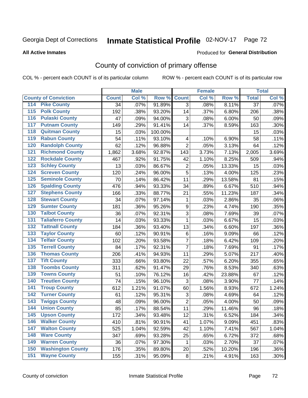# Inmate Statistical Profile 02-NOV-17 Page 72

#### **All Active Inmates**

#### Produced for General Distribution

## County of conviction of primary offense

COL % - percent each COUNT is of its particular column

|                                          |              | <b>Male</b> |         |                | <b>Female</b> |        |                 | <b>Total</b> |
|------------------------------------------|--------------|-------------|---------|----------------|---------------|--------|-----------------|--------------|
| <b>County of Conviction</b>              | <b>Count</b> | Col %       | Row %   | <b>Count</b>   | Col %         | Row %  | <b>Total</b>    | Col %        |
| <b>Pike County</b><br>114                | 34           | .07%        | 91.89%  | 3              | .08%          | 8.11%  | $\overline{37}$ | .07%         |
| <b>Polk County</b><br>$\overline{115}$   | 192          | .38%        | 93.20%  | 14             | .37%          | 6.80%  | 206             | .38%         |
| <b>Pulaski County</b><br>116             | 47           | .09%        | 94.00%  | 3              | .08%          | 6.00%  | 50              | .09%         |
| <b>Putnam County</b><br>117              | 149          | .29%        | 91.41%  | 14             | .37%          | 8.59%  | 163             | .30%         |
| <b>Quitman County</b><br>118             | 15           | .03%        | 100.00% |                |               |        | 15              | .03%         |
| <b>Rabun County</b><br>119               | 54           | .11%        | 93.10%  | 4              | .10%          | 6.90%  | 58              | .11%         |
| <b>Randolph County</b><br>120            | 62           | .12%        | 96.88%  | $\overline{2}$ | .05%          | 3.13%  | 64              | .12%         |
| <b>Richmond County</b><br>121            | 1,862        | 3.68%       | 92.87%  | 143            | 3.73%         | 7.13%  | 2,005           | 3.69%        |
| <b>Rockdale County</b><br>122            | 467          | .92%        | 91.75%  | 42             | 1.10%         | 8.25%  | 509             | .94%         |
| <b>Schley County</b><br>123              | 13           | .03%        | 86.67%  | $\overline{2}$ | .05%          | 13.33% | 15              | .03%         |
| <b>Screven County</b><br>124             | 120          | .24%        | 96.00%  | $\overline{5}$ | .13%          | 4.00%  | 125             | .23%         |
| <b>Seminole County</b><br>125            | 70           | .14%        | 86.42%  | 11             | .29%          | 13.58% | 81              | .15%         |
| <b>Spalding County</b><br>126            | 476          | .94%        | 93.33%  | 34             | .89%          | 6.67%  | 510             | .94%         |
| <b>Stephens County</b><br>127            | 166          | .33%        | 88.77%  | 21             | .55%          | 11.23% | 187             | .34%         |
| <b>Stewart County</b><br>128             | 34           | .07%        | 97.14%  | 1              | .03%          | 2.86%  | 35              | .06%         |
| <b>Sumter County</b><br>129              | 181          | .36%        | 95.26%  | 9              | .23%          | 4.74%  | 190             | .35%         |
| <b>Talbot County</b><br>130              | 36           | .07%        | 92.31%  | 3              | .08%          | 7.69%  | 39              | .07%         |
| <b>Taliaferro County</b><br>131          | 14           | .03%        | 93.33%  | 1              | .03%          | 6.67%  | 15              | .03%         |
| <b>Tattnall County</b><br>132            | 184          | .36%        | 93.40%  | 13             | .34%          | 6.60%  | 197             | .36%         |
| <b>Taylor County</b><br>133              | 60           | .12%        | 90.91%  | $\,6\,$        | .16%          | 9.09%  | 66              | .12%         |
| <b>Telfair County</b><br>134             | 102          | .20%        | 93.58%  | $\overline{7}$ | .18%          | 6.42%  | 109             | .20%         |
| <b>Terrell County</b><br>135             | 84           | .17%        | 92.31%  | $\overline{7}$ | .18%          | 7.69%  | 91              | .17%         |
| <b>Thomas County</b><br>136              | 206          | .41%        | 94.93%  | 11             | .29%          | 5.07%  | 217             | .40%         |
| <b>Tift County</b><br>137                | 333          | .66%        | 93.80%  | 22             | .57%          | 6.20%  | 355             | .65%         |
| <b>Toombs County</b><br>138              | 311          | .62%        | 91.47%  | 29             | .76%          | 8.53%  | 340             | .63%         |
| <b>Towns County</b><br>139               | 51           | .10%        | 76.12%  | 16             | .42%          | 23.88% | 67              | .12%         |
| <b>Treutlen County</b><br>140            | 74           | .15%        | 96.10%  | 3              | .08%          | 3.90%  | 77              | .14%         |
| <b>Troup County</b><br>141               | 612          | 1.21%       | 91.07%  | 60             | 1.56%         | 8.93%  | 672             | 1.24%        |
| <b>Turner County</b><br>142              | 61           | .12%        | 95.31%  | 3              | .08%          | 4.69%  | 64              | .12%         |
| <b>Twiggs County</b><br>$\overline{143}$ | 48           | .09%        | 96.00%  | $\overline{2}$ | .05%          | 4.00%  | 50              | .09%         |
| <b>Union County</b><br>144               | 85           | .17%        | 88.54%  | 11             | .29%          | 11.46% | 96              | .18%         |
| 145<br><b>Upson County</b>               | 172          | .34%        | 93.48%  | 12             | .31%          | 6.52%  | 184             | .34%         |
| <b>Walker County</b><br>146              | 410          | .81%        | 90.91%  | 41             | 1.07%         | 9.09%  | 451             | .83%         |
| <b>Walton County</b><br>147              | 525          | 1.04%       | 92.59%  | 42             | 1.10%         | 7.41%  | 567             | 1.04%        |
| <b>Ware County</b><br>148                | 347          | .69%        | 93.28%  | 25             | .65%          | 6.72%  | 372             | .68%         |
| <b>Warren County</b><br>149              | 36           | .07%        | 97.30%  | $\mathbf 1$    | .03%          | 2.70%  | 37              | .07%         |
| <b>Washington County</b><br>150          | 176          | .35%        | 89.80%  | 20             | .52%          | 10.20% | 196             | .36%         |
| <b>Wayne County</b><br>151               | 155          | .31%        | 95.09%  | 8              | .21%          | 4.91%  | 163             | .30%         |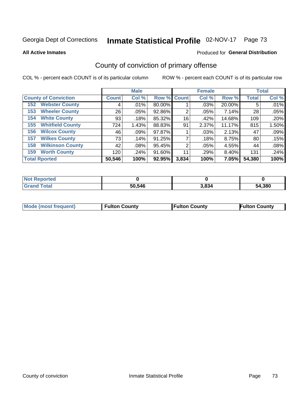# Inmate Statistical Profile 02-NOV-17 Page 73

**All Active Inmates** 

#### Produced for General Distribution

## County of conviction of primary offense

COL % - percent each COUNT is of its particular column

|                                |              | <b>Male</b> |             |       | <b>Female</b> |          |              | <b>Total</b> |
|--------------------------------|--------------|-------------|-------------|-------|---------------|----------|--------------|--------------|
| <b>County of Conviction</b>    | <b>Count</b> | Col %       | Row % Count |       | Col %         | Row %    | <b>Total</b> | Col %        |
| <b>Webster County</b><br>152   | 4            | .01%        | 80.00%      |       | .03%          | 20.00%   | 5            | .01%         |
| <b>Wheeler County</b><br>153   | 26           | .05%        | 92.86%      | 2     | .05%          | 7.14%    | 28           | .05%         |
| <b>White County</b><br>154     | 93           | .18%        | 85.32%      | 16    | .42%          | 14.68%   | 109          | .20%         |
| <b>Whitfield County</b><br>155 | 724          | 1.43%       | 88.83%      | 91    | 2.37%         | 11.17%   | 815          | 1.50%        |
| <b>Wilcox County</b><br>156    | 46           | $.09\%$     | 97.87%      |       | .03%          | 2.13%    | 47           | .09%         |
| <b>Wilkes County</b><br>157    | 73           | .14%        | 91.25%      |       | .18%          | 8.75%    | 80           | .15%         |
| <b>Wilkinson County</b><br>158 | 42           | $.08\%$     | 95.45%      | 2     | .05%          | 4.55%    | 44           | .08%         |
| <b>Worth County</b><br>159     | 120          | .24%        | 91.60%      | 11    | .29%          | $8.40\%$ | 131          | .24%         |
| <b>Total Rported</b>           | 50,546       | 100%        | 92.95%      | 3,834 | 100%          | 7.05%    | 54,380       | 100%         |

| <b>Not Reported</b> |        |       |        |
|---------------------|--------|-------|--------|
| <b>Grand Total</b>  | 50,546 | 3,834 | 54,380 |

| Mode (most frequent) | <b>Fulton County</b> | <b>Fulton County</b> | <b>Fulton County</b> |
|----------------------|----------------------|----------------------|----------------------|
|                      |                      |                      |                      |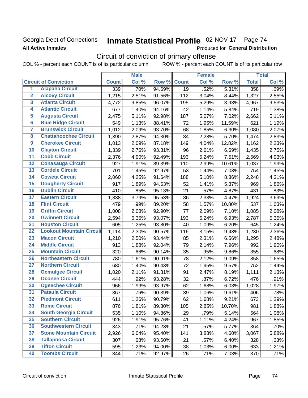### Georgia Dept of Corrections **All Active Inmates**

# Inmate Statistical Profile 02-NOV-17 Page 74

Produced for General Distribution

## Circuit of conviction of primary offense

COL % - percent each COUNT is of its particular column ROW % - percent each COUNT is of its particular row

|                         |                                 |              | <b>Male</b> |        |                 | <b>Female</b> |        |              | <b>Total</b> |
|-------------------------|---------------------------------|--------------|-------------|--------|-----------------|---------------|--------|--------------|--------------|
|                         | <b>Circuit of Conviction</b>    | <b>Count</b> | Col %       | Row %  | <b>Count</b>    | Col %         | Row %  | <b>Total</b> | Col %        |
| 1                       | <b>Alapaha Circuit</b>          | 339          | .70%        | 94.69% | $\overline{19}$ | .52%          | 5.31%  | 358          | .69%         |
| $\overline{2}$          | <b>Alcovy Circuit</b>           | 1,215        | 2.51%       | 91.56% | 112             | 3.04%         | 8.44%  | 1,327        | 2.55%        |
| $\overline{\mathbf{3}}$ | <b>Atlanta Circuit</b>          | 4,772        | 9.85%       | 96.07% | 195             | 5.29%         | 3.93%  | 4,967        | 9.53%        |
| 4                       | <b>Atlantic Circuit</b>         | 677          | 1.40%       | 94.16% | 42              | 1.14%         | 5.84%  | 719          | 1.38%        |
| $\overline{5}$          | <b>Augusta Circuit</b>          | 2,475        | 5.11%       | 92.98% | 187             | 5.07%         | 7.02%  | 2,662        | 5.11%        |
| $\overline{6}$          | <b>Blue Ridge Circuit</b>       | 549          | 1.13%       | 88.41% | 72              | 1.95%         | 11.59% | 621          | 1.19%        |
| $\overline{\mathbf{7}}$ | <b>Brunswick Circuit</b>        | 1,012        | 2.09%       | 93.70% | 68              | 1.85%         | 6.30%  | 1,080        | 2.07%        |
| $\overline{\mathbf{8}}$ | <b>Chattahoochee Circuit</b>    | 1,390        | 2.87%       | 94.30% | 84              | 2.28%         | 5.70%  | 1,474        | 2.83%        |
| $\overline{9}$          | <b>Cherokee Circuit</b>         | 1,013        | 2.09%       | 87.18% | 149             | 4.04%         | 12.82% | 1,162        | 2.23%        |
| 10                      | <b>Clayton Circuit</b>          | 1,339        | 2.76%       | 93.31% | 96              | 2.61%         | 6.69%  | 1,435        | 2.75%        |
| $\overline{11}$         | <b>Cobb Circuit</b>             | 2,376        | 4.90%       | 92.49% | 193             | 5.24%         | 7.51%  | 2,569        | 4.93%        |
| $\overline{12}$         | <b>Conasauga Circuit</b>        | 927          | 1.91%       | 89.39% | 110             | 2.99%         | 10.61% | 1,037        | 1.99%        |
| 13                      | <b>Cordele Circuit</b>          | 701          | 1.45%       | 92.97% | 53              | 1.44%         | 7.03%  | 754          | 1.45%        |
| 14                      | <b>Coweta Circuit</b>           | 2,060        | 4.25%       | 91.64% | 188             | 5.10%         | 8.36%  | 2,248        | 4.31%        |
| 15                      | <b>Dougherty Circuit</b>        | 917          | 1.89%       | 94.63% | 52              | 1.41%         | 5.37%  | 969          | 1.86%        |
| 16                      | <b>Dublin Circuit</b>           | 410          | .85%        | 95.13% | 21              | .57%          | 4.87%  | 431          | .83%         |
| 17                      | <b>Eastern Circuit</b>          | 1,838        | 3.79%       | 95.53% | 86              | 2.33%         | 4.47%  | 1,924        | 3.69%        |
| 18                      | <b>Flint Circuit</b>            | 479          | .99%        | 89.20% | 58              | 1.57%         | 10.80% | 537          | 1.03%        |
| 19                      | <b>Griffin Circuit</b>          | 1,008        | 2.08%       | 92.90% | 77              | 2.09%         | 7.10%  | 1,085        | 2.08%        |
| 20                      | <b>Gwinnett Circuit</b>         | 2,594        | 5.35%       | 93.07% | 193             | 5.24%         | 6.93%  | 2,787        | 5.35%        |
| $\overline{21}$         | <b>Houston Circuit</b>          | 605          | 1.25%       | 93.80% | 40              | 1.09%         | 6.20%  | 645          | 1.24%        |
| $\overline{22}$         | <b>Lookout Mountain Circuit</b> | 1,114        | 2.30%       | 90.57% | 116             | 3.15%         | 9.43%  | 1,230        | 2.36%        |
| 23                      | <b>Macon Circuit</b>            | 1,210        | 2.50%       | 93.44% | 85              | 2.31%         | 6.56%  | 1,295        | 2.48%        |
| $\overline{24}$         | <b>Middle Circuit</b>           | 913          | 1.88%       | 92.04% | 79              | 2.14%         | 7.96%  | 992          | 1.90%        |
| 25                      | <b>Mountain Circuit</b>         | 320          | .66%        | 90.14% | 35              | .95%          | 9.86%  | 355          | .68%         |
| 26                      | <b>Northeastern Circuit</b>     | 780          | 1.61%       | 90.91% | 78              | 2.12%         | 9.09%  | 858          | 1.65%        |
| $\overline{27}$         | <b>Northern Circuit</b>         | 680          | 1.40%       | 90.43% | 72              | 1.95%         | 9.57%  | 752          | 1.44%        |
| 28                      | <b>Ocmulgee Circuit</b>         | 1,020        | 2.11%       | 91.81% | 91              | 2.47%         | 8.19%  | 1,111        | 2.13%        |
| 29                      | <b>Oconee Circuit</b>           | 444          | .92%        | 93.28% | 32              | .87%          | 6.72%  | 476          | .91%         |
| 30                      | <b>Ogeechee Circuit</b>         | 966          | 1.99%       | 93.97% | 62              | 1.68%         | 6.03%  | 1,028        | 1.97%        |
| $\overline{31}$         | <b>Pataula Circuit</b>          | 367          | .76%        | 90.39% | 39              | 1.06%         | 9.61%  | 406          | .78%         |
| 32                      | <b>Piedmont Circuit</b>         | 611          | 1.26%       | 90.79% | 62              | 1.68%         | 9.21%  | 673          | 1.29%        |
| 33                      | <b>Rome Circuit</b>             | 876          | 1.81%       | 89.30% | 105             | 2.85%         | 10.70% | 981          | 1.88%        |
| 34                      | <b>South Georgia Circuit</b>    | 535          | 1.10%       | 94.86% | 29              | .79%          | 5.14%  | 564          | 1.08%        |
| 35                      | <b>Southern Circuit</b>         | 926          | 1.91%       | 95.76% | 41              | 1.11%         | 4.24%  | 967          | 1.85%        |
| 36                      | <b>Southwestern Circuit</b>     | 343          | .71%        | 94.23% | 21              | .57%          | 5.77%  | 364          | .70%         |
| 37                      | <b>Stone Mountain Circuit</b>   | 2,926        | 6.04%       | 95.40% | 141             | 3.83%         | 4.60%  | 3,067        | 5.88%        |
| 38                      | <b>Tallapoosa Circuit</b>       | 307          | .63%        | 93.60% | 21              | .57%          | 6.40%  | 328          | .63%         |
| 39                      | <b>Tifton Circuit</b>           | 595          | 1.23%       | 94.00% | 38              | 1.03%         | 6.00%  | 633          | 1.21%        |
| 40                      | <b>Toombs Circuit</b>           | 344          | .71%        | 92.97% | 26              | .71%          | 7.03%  | 370          | .71%         |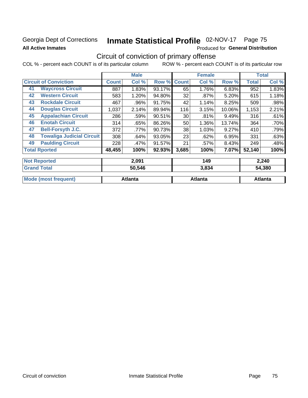### Georgia Dept of Corrections **All Active Inmates**

# Inmate Statistical Profile 02-NOV-17 Page 75

Produced for General Distribution

### Circuit of conviction of primary offense

|    |                                  |              | <b>Male</b> |           |              | <b>Female</b> |        |              | <b>Total</b> |  |
|----|----------------------------------|--------------|-------------|-----------|--------------|---------------|--------|--------------|--------------|--|
|    | <b>Circuit of Conviction</b>     | <b>Count</b> | Col %       | Row %     | <b>Count</b> | Col %         | Row %  | <b>Total</b> | Col %        |  |
| 41 | <b>Waycross Circuit</b>          | 887          | 1.83%       | 93.17%    | 65           | 1.76%         | 6.83%  | 952          | 1.83%        |  |
| 42 | <b>Western Circuit</b>           | 583          | 1.20%       | 94.80%    | 32           | $.87\%$       | 5.20%  | 615          | 1.18%        |  |
| 43 | <b>Rockdale Circuit</b>          | 467          | .96%        | 91.75%    | 42           | 1.14%         | 8.25%  | 509          | .98%         |  |
| 44 | <b>Douglas Circuit</b>           | 1,037        | 2.14%       | 89.94%    | 116          | 3.15%         | 10.06% | 1,153        | 2.21%        |  |
| 45 | <b>Appalachian Circuit</b>       | 286          | .59%        | 90.51%    | 30           | .81%          | 9.49%  | 316          | .61%         |  |
| 46 | <b>Enotah Circuit</b>            | 314          | .65%        | 86.26%    | 50           | 1.36%         | 13.74% | 364          | .70%         |  |
| 47 | <b>Bell-Forsyth J.C.</b>         | 372          | .77%        | 90.73%    | 38           | 1.03%         | 9.27%  | 410          | .79%         |  |
| 48 | <b>Towaliga Judicial Circuit</b> | 308          | .64%        | 93.05%    | 23           | .62%          | 6.95%  | 331          | .63%         |  |
| 49 | <b>Paulding Circuit</b>          | 228          | .47%        | 91.57%    | 21           | .57%          | 8.43%  | 249          | .48%         |  |
|    | <b>Total Rported</b>             | 48,455       | 100%        | $92.93\%$ | 3,685        | 100%          | 7.07%  | 52,140       | 100%         |  |
|    | <b>Not Reported</b>              |              | 2,091       |           |              | 149           |        |              | 2,240        |  |
|    | <b>Grand Total</b>               |              | 50,546      |           |              | 3,834         |        |              | 54,380       |  |

|                      | -----   | - - - - | -       |
|----------------------|---------|---------|---------|
|                      |         |         |         |
| Mode (most frequent) | Atlanta | Atlanta | Atlanta |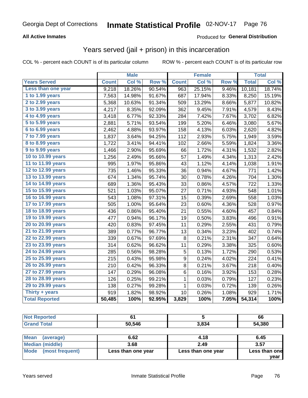#### **All Active Inmates**

#### Produced for **General Distribution**

### Years served (jail + prison) in this incarceration

|                                           |              | <b>Male</b> |        |              | <b>Female</b> |       |              | <b>Total</b> |
|-------------------------------------------|--------------|-------------|--------|--------------|---------------|-------|--------------|--------------|
| <b>Years Served</b>                       | <b>Count</b> | Col %       | Row %  | <b>Count</b> | Col %         | Row % | <b>Total</b> | Col%         |
| Less than one year                        | 9,218        | 18.26%      | 90.54% | 963          | 25.15%        | 9.46% | 10,181       | 18.74%       |
| 1 to 1.99 years                           | 7,563        | 14.98%      | 91.67% | 687          | 17.94%        | 8.33% | 8,250        | 15.19%       |
| 2 to 2.99 years                           | 5,368        | 10.63%      | 91.34% | 509          | 13.29%        | 8.66% | 5,877        | 10.82%       |
| 3 to 3.99 years                           | 4,217        | 8.35%       | 92.09% | 362          | 9.45%         | 7.91% | 4,579        | 8.43%        |
| 4 to 4.99 years                           | 3,418        | 6.77%       | 92.33% | 284          | 7.42%         | 7.67% | 3,702        | 6.82%        |
| $\overline{5}$ to 5.99 years              | 2,881        | 5.71%       | 93.54% | 199          | 5.20%         | 6.46% | 3,080        | 5.67%        |
| 6 to 6.99 years                           | 2,462        | 4.88%       | 93.97% | 158          | 4.13%         | 6.03% | 2,620        | 4.82%        |
| $\overline{7}$ to $\overline{7.9}9$ years | 1,837        | 3.64%       | 94.25% | 112          | 2.93%         | 5.75% | 1,949        | 3.59%        |
| 8 to 8.99 years                           | 1,722        | 3.41%       | 94.41% | 102          | 2.66%         | 5.59% | 1,824        | 3.36%        |
| 9 to 9.99 years                           | 1,466        | 2.90%       | 95.69% | 66           | 1.72%         | 4.31% | 1,532        | 2.82%        |
| 10 to 10.99 years                         | 1,256        | 2.49%       | 95.66% | 57           | 1.49%         | 4.34% | 1,313        | 2.42%        |
| 11 to 11.99 years                         | 995          | 1.97%       | 95.86% | 43           | 1.12%         | 4.14% | 1,038        | 1.91%        |
| 12 to 12.99 years                         | 735          | 1.46%       | 95.33% | 36           | 0.94%         | 4.67% | 771          | 1.42%        |
| 13 to 13.99 years                         | 674          | 1.34%       | 95.74% | 30           | 0.78%         | 4.26% | 704          | 1.30%        |
| 14 to 14.99 years                         | 689          | 1.36%       | 95.43% | 33           | 0.86%         | 4.57% | 722          | 1.33%        |
| 15 to 15.99 years                         | 521          | 1.03%       | 95.07% | 27           | 0.71%         | 4.93% | 548          | 1.01%        |
| 16 to 16.99 years                         | 543          | 1.08%       | 97.31% | 15           | 0.39%         | 2.69% | 558          | 1.03%        |
| 17 to 17.99 years                         | 505          | 1.00%       | 95.64% | 23           | 0.60%         | 4.36% | 528          | 0.97%        |
| 18 to 18.99 years                         | 436          | 0.86%       | 95.40% | 21           | 0.55%         | 4.60% | 457          | 0.84%        |
| 19 to 19.99 years                         | 477          | 0.94%       | 96.17% | 19           | 0.50%         | 3.83% | 496          | 0.91%        |
| 20 to 20.99 years                         | 420          | 0.83%       | 97.45% | 11           | 0.29%         | 2.55% | 431          | 0.79%        |
| 21 to 21.99 years                         | 389          | 0.77%       | 96.77% | 13           | 0.34%         | 3.23% | 402          | 0.74%        |
| 22 to 22.99 years                         | 339          | 0.67%       | 97.69% | 8            | 0.21%         | 2.31% | 347          | 0.64%        |
| 23 to 23.99 years                         | 314          | 0.62%       | 96.62% | 11           | 0.29%         | 3.38% | 325          | 0.60%        |
| 24 to 24.99 years                         | 285          | 0.56%       | 98.28% | 5            | 0.13%         | 1.72% | 290          | 0.53%        |
| 25 to 25.99 years                         | 215          | 0.43%       | 95.98% | 9            | 0.24%         | 4.02% | 224          | 0.41%        |
| 26 to 26.99 years                         | 210          | 0.42%       | 96.33% | 8            | 0.21%         | 3.67% | 218          | 0.40%        |
| 27 to 27.99 years                         | 147          | 0.29%       | 96.08% | 6            | 0.16%         | 3.92% | 153          | 0.28%        |
| 28 to 28.99 years                         | 126          | 0.25%       | 99.21% | 1            | 0.03%         | 0.79% | 127          | 0.23%        |
| 29 to 29.99 years                         | 138          | 0.27%       | 99.28% | $\mathbf 1$  | 0.03%         | 0.72% | 139          | 0.26%        |
| Thirty + years                            | 919          | 1.82%       | 98.92% | 10           | 0.26%         | 1.08% | 929          | 1.71%        |
| <b>Total Reported</b>                     | 50,485       | 100%        | 92.95% | 3,829        | 100%          | 7.05% | 54,314       | 100%         |

| <b>Not</b><br><b>rted</b> |        |       | 66     |
|---------------------------|--------|-------|--------|
| <b>Total</b>              | 50,546 | 3,834 | 54,380 |

| Mean<br>(average)    | 6.62               | 4.18               | 6.45          |
|----------------------|--------------------|--------------------|---------------|
| Median (middle)      | 3.68               | 2.49               | 3.57          |
| Mode (most frequent) | Less than one year | Less than one year | Less than one |
|                      |                    |                    | vear          |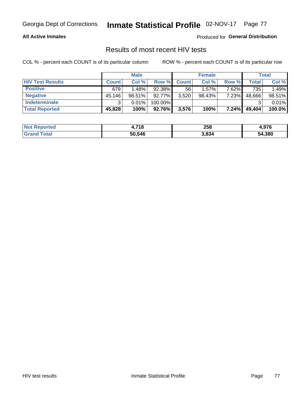#### **All Active Inmates**

Produced for **General Distribution**

### Results of most recent HIV tests

|                         | <b>Male</b>  |           | <b>Female</b> |              |          | Total |                    |        |
|-------------------------|--------------|-----------|---------------|--------------|----------|-------|--------------------|--------|
| <b>HIV Test Results</b> | <b>Count</b> | Col %     | Row %I        | <b>Count</b> | Col %    | Row % | Total <sub>1</sub> | Col %  |
| <b>Positive</b>         | 679          | 1.48%     | 92.38%        | 56           | $1.57\%$ | 7.62% | 735                | 1.49%  |
| <b>Negative</b>         | 45,146       | $98.51\%$ | 92.77%        | 3,520        | 98.43%   | 7.23% | 48,666             | 98.51% |
| Indeterminate           | ີ            | 0.01%     | 100.00%       |              |          |       |                    | 0.01%  |
| <b>Total Reported</b>   | 45,828       | 100%      | $92.76\%$     | 3,576        | 100%     | 7.24% | 49,404             | 100.0% |

| <b>Not Reported</b> | .718   | 258   | 07c<br>4.JI V |
|---------------------|--------|-------|---------------|
| Total               | 50,546 | 3,834 | 54,380        |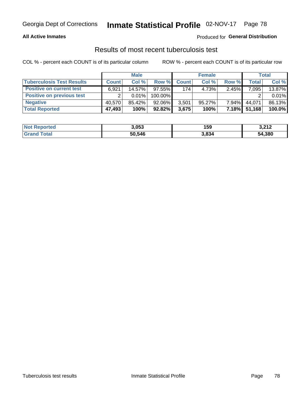#### **All Active Inmates**

#### Produced for **General Distribution**

### Results of most recent tuberculosis test

|                                  | <b>Male</b>  |        | <b>Female</b> |              |           | Total    |              |        |
|----------------------------------|--------------|--------|---------------|--------------|-----------|----------|--------------|--------|
| <b>Tuberculosis Test Results</b> | <b>Count</b> | Col %  | Row %         | <b>Count</b> | Col %     | Row %    | <b>Total</b> | Col %  |
| <b>Positive on current test</b>  | 6.921        | 14.57% | $97.55\%$     | 174          | 4.73%     | 2.45%    | 7,095        | 13.87% |
| <b>Positive on previous test</b> |              | 0.01%  | 100.00%       |              |           |          |              | 0.01%  |
| <b>Negative</b>                  | 40.570       | 85.42% | $92.06\%$     | 3,501        | $95.27\%$ | $7.94\%$ | 44.071       | 86.13% |
| <b>Total Reported</b>            | 47,493       | 100%   | $92.82\%$     | 3,675        | 100%      | $7.18\%$ | 51,168       | 100.0% |

| <b>Not Reported</b>     | 3,053  | 159   | <b>2.212</b><br>3.Z I Z |
|-------------------------|--------|-------|-------------------------|
| <b>Total</b><br>' Grand | 50,546 | 3,834 | 54,380                  |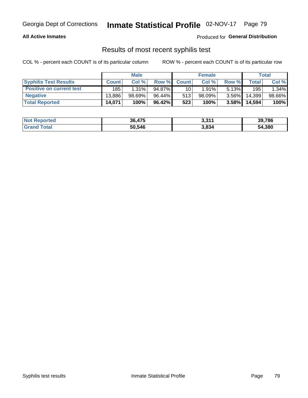#### **All Active Inmates**

Produced for **General Distribution**

### Results of most recent syphilis test

|                                 | <b>Male</b>  |        | <b>Female</b> |                 |           | Total    |        |        |
|---------------------------------|--------------|--------|---------------|-----------------|-----------|----------|--------|--------|
| <b>Syphilis Test Results</b>    | <b>Count</b> | Col%   | Row %I        | <b>Count</b>    | Col %     | Row %I   | Total  | Col %  |
| <b>Positive on current test</b> | 185          | 1.31%  | $94.87\%$     | 10 <sub>1</sub> | 1.91%     | $5.13\%$ | 195    | 1.34%  |
| <b>Negative</b>                 | 13.886       | 98.69% | 96.44%        | 513             | $98.09\%$ | $3.56\%$ | 14,399 | 98.66% |
| <b>Total Reported</b>           | 14,071       | 100%   | 96.42%        | 523             | 100%      | 3.58%    | 14,594 | 100%   |

| <b>Not Reported</b> | 36,475 | 3,311 | 39,786 |
|---------------------|--------|-------|--------|
| <b>Grand Total</b>  | 50,546 | 3,834 | 54,380 |